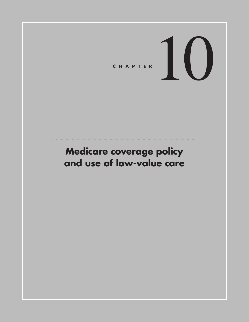# CHAPTER  $\left| \begin{array}{c} \end{array} \right|$

# **Medicare coverage policy and use of low-value care**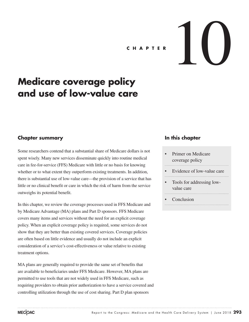# **C H A P T E R**  $\left\{\begin{array}{ccc} \end{array}\right\}$

# **Medicare coverage policy and use of low-value care**

# **Chapter summary**

Some researchers contend that a substantial share of Medicare dollars is not spent wisely. Many new services disseminate quickly into routine medical care in fee-for-service (FFS) Medicare with little or no basis for knowing whether or to what extent they outperform existing treatments. In addition, there is substantial use of low-value care—the provision of a service that has little or no clinical benefit or care in which the risk of harm from the service outweighs its potential benefit.

In this chapter, we review the coverage processes used in FFS Medicare and by Medicare Advantage (MA) plans and Part D sponsors. FFS Medicare covers many items and services without the need for an explicit coverage policy. When an explicit coverage policy is required, some services do not show that they are better than existing covered services. Coverage policies are often based on little evidence and usually do not include an explicit consideration of a service's cost-effectiveness or value relative to existing treatment options.

MA plans are generally required to provide the same set of benefits that are available to beneficiaries under FFS Medicare. However, MA plans are permitted to use tools that are not widely used in FFS Medicare, such as requiring providers to obtain prior authorization to have a service covered and controlling utilization through the use of cost sharing. Part D plan sponsors

# **In this chapter**

- Primer on Medicare coverage policy
- Evidence of low-value care
- Tools for addressing lowvalue care
- **Conclusion**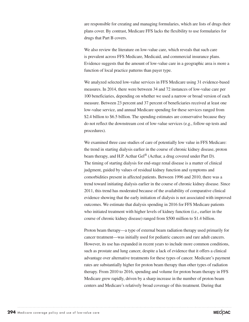are responsible for creating and managing formularies, which are lists of drugs their plans cover. By contrast, Medicare FFS lacks the flexibility to use formularies for drugs that Part B covers.

We also review the literature on low-value care, which reveals that such care is prevalent across FFS Medicare, Medicaid, and commercial insurance plans. Evidence suggests that the amount of low-value care in a geographic area is more a function of local practice patterns than payer type.

We analyzed selected low-value services in FFS Medicare using 31 evidence-based measures. In 2014, there were between 34 and 72 instances of low-value care per 100 beneficiaries, depending on whether we used a narrow or broad version of each measure. Between 23 percent and 37 percent of beneficiaries received at least one low-value service, and annual Medicare spending for these services ranged from \$2.4 billion to \$6.5 billion. The spending estimates are conservative because they do not reflect the downstream cost of low-value services (e.g., follow-up tests and procedures).

We examined three case studies of care of potentially low value in FFS Medicare: the trend in starting dialysis earlier in the course of chronic kidney disease, proton beam therapy, and H.P. Acthar Gel<sup>®</sup> (Acthar, a drug covered under Part D). The timing of starting dialysis for end-stage renal disease is a matter of clinical judgment, guided by values of residual kidney function and symptoms and comorbidities present in affected patients. Between 1996 and 2010, there was a trend toward initiating dialysis earlier in the course of chronic kidney disease. Since 2011, this trend has moderated because of the availability of comparative clinical evidence showing that the early initiation of dialysis is not associated with improved outcomes. We estimate that dialysis spending in 2016 for FFS Medicare patients who initiated treatment with higher levels of kidney function (i.e., earlier in the course of chronic kidney disease) ranged from \$500 million to \$1.4 billion.

Proton beam therapy—a type of external beam radiation therapy used primarily for cancer treatment—was initially used for pediatric cancers and rare adult cancers. However, its use has expanded in recent years to include more common conditions, such as prostate and lung cancer, despite a lack of evidence that it offers a clinical advantage over alternative treatments for these types of cancer. Medicare's payment rates are substantially higher for proton beam therapy than other types of radiation therapy. From 2010 to 2016, spending and volume for proton beam therapy in FFS Medicare grew rapidly, driven by a sharp increase in the number of proton beam centers and Medicare's relatively broad coverage of this treatment. During that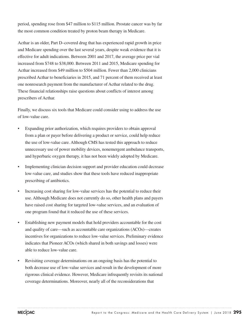period, spending rose from \$47 million to \$115 million. Prostate cancer was by far the most common condition treated by proton beam therapy in Medicare.

Acthar is an older, Part D–covered drug that has experienced rapid growth in price and Medicare spending over the last several years, despite weak evidence that it is effective for adult indications. Between 2001 and 2017, the average price per vial increased from \$748 to \$38,000. Between 2011 and 2015, Medicare spending for Acthar increased from \$49 million to \$504 million. Fewer than 2,000 clinicians prescribed Acthar to beneficiaries in 2015, and 71 percent of them received at least one nonresearch payment from the manufacturer of Acthar related to the drug. These financial relationships raise questions about conflicts of interest among prescribers of Acthar.

Finally, we discuss six tools that Medicare could consider using to address the use of low-value care.

- Expanding prior authorization, which requires providers to obtain approval from a plan or payer before delivering a product or service, could help reduce the use of low-value care. Although CMS has tested this approach to reduce unnecessary use of power mobility devices, nonemergent ambulance transports, and hyperbaric oxygen therapy, it has not been widely adopted by Medicare.
- Implementing clinician decision support and provider education could decrease low-value care, and studies show that these tools have reduced inappropriate prescribing of antibiotics.
- Increasing cost sharing for low-value services has the potential to reduce their use. Although Medicare does not currently do so, other health plans and payers have raised cost sharing for targeted low-value services, and an evaluation of one program found that it reduced the use of these services.
- Establishing new payment models that hold providers accountable for the cost and quality of care—such as accountable care organizations (ACOs)—creates incentives for organizations to reduce low-value services. Preliminary evidence indicates that Pioneer ACOs (which shared in both savings and losses) were able to reduce low-value care.
- Revisiting coverage determinations on an ongoing basis has the potential to both decrease use of low-value services and result in the development of more rigorous clinical evidence. However, Medicare infrequently revisits its national coverage determinations. Moreover, nearly all of the reconsiderations that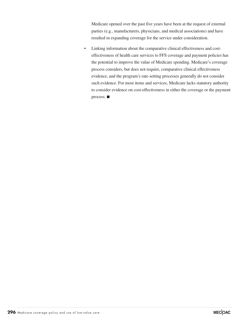Medicare opened over the past five years have been at the request of external parties (e.g., manufacturers, physicians, and medical associations) and have resulted in expanding coverage for the service under consideration.

• Linking information about the comparative clinical effectiveness and costeffectiveness of health care services to FFS coverage and payment policies has the potential to improve the value of Medicare spending. Medicare's coverage process considers, but does not require, comparative clinical effectiveness evidence, and the program's rate-setting processes generally do not consider such evidence. For most items and services, Medicare lacks statutory authority to consider evidence on cost-effectiveness in either the coverage or the payment process. ■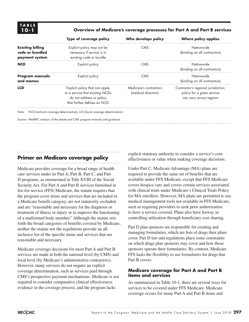#### **10-1 Overview of Medicare's coverage processes for Part A and Part B services**

|                                                              | Type of coverage policy                                                                                                      | Who develops policy                           | <b>Where policy applies</b>                                                                  |
|--------------------------------------------------------------|------------------------------------------------------------------------------------------------------------------------------|-----------------------------------------------|----------------------------------------------------------------------------------------------|
| <b>Existing billing</b><br>code or bundled<br>payment system | Explicit policy may not be<br>necessary if service is in<br>existing code or bundle                                          | <b>CMS</b>                                    | Nationwide<br>(binding on all contractors)                                                   |
| <b>NCD</b>                                                   | Explicit policy                                                                                                              | <b>CMS</b>                                    | Nationwide<br>(binding on all contractors)                                                   |
| Program manuals<br>and memos                                 | Explicit policy                                                                                                              | <b>CMS</b>                                    | Nationwide<br>(binding on all contractors)                                                   |
| <b>LCD</b>                                                   | Explicit policy that can apply<br>to a service that existing NCDs<br>do not address or policy<br>that further defines an NCD | Medicare's contractors<br>(medical directors) | Contractor's regional jurisdiction;<br>policy for a given service<br>can vary across regions |
| Note:                                                        | NCD (national coverage determination), LCD (local coverage determination).                                                   |                                               |                                                                                              |
|                                                              | Source: MedPAC analysis of the statute and CMS program manuals and guidance.                                                 |                                               |                                                                                              |

# **Primer on Medicare coverage policy**

Medicare provides coverage for a broad range of health care services under its Part A, Part B, Part C, and Part D programs, as enumerated in Title XVIII of the Social Security Act. For Part A and Part B services furnished in fee-for-service (FFS) Medicare, the statute requires that the program cover items and services that are included in a Medicare benefit category, are not statutorily excluded, and are "reasonable and necessary for the diagnosis or treatment of illness or injury or to improve the functioning of a malformed body member." Although the statute sets forth the broad categories of benefits covered by Medicare, neither the statute nor the regulations provide an allinclusive list of the specific items and services that are reasonable and necessary.

Medicare coverage decisions for most Part A and Part B services are made at both the national level (by CMS) and local level (by Medicare's administrative contractors). However, many services do not require an explicit coverage determination, such as services paid through CMS's prospective payment mechanisms. Medicare is not required to consider comparative clinical effectiveness evidence in the coverage process, and the program lacks

explicit statutory authority to consider a service's costeffectiveness or value when making coverage decisions.

Under Part C, Medicare Advantage (MA) plans are required to provide the same set of benefits that are available under FFS Medicare, except that FFS Medicare covers hospice care and covers certain services associated with clinical trials under Medicare's Clinical Trials Policy for MA enrollees. However, MA plans are permitted to use medical management tools not available in FFS Medicare, such as requiring providers to seek prior authorization to have a service covered. Plans also have leeway in controlling utilization through beneficiary cost sharing.

Part D plan sponsors are responsible for creating and managing formularies, which are lists of drugs their plans cover. Part D law and regulations place some constraints on which drugs plan sponsors may cover and how those sponsors operate their formularies. By contrast, Medicare FFS lacks the flexibility to use formularies for drugs that Part B covers.

### **Medicare coverage for Part A and Part B items and services**

As summarized in Table 10-1, there are several ways for services to be covered under FFS Medicare. Medicare coverage occurs for many Part A and Part B items and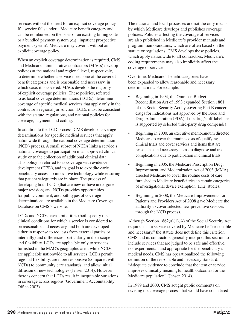services without the need for an explicit coverage policy. If a service falls under a Medicare benefit category and can be reimbursed on the basis of an existing billing code or a bundled payment system (e.g., inpatient prospective payment system), Medicare may cover it without an explicit coverage policy.

When an explicit coverage determination is required, CMS and Medicare administrative contractors (MACs) develop policies at the national and regional level, respectively, to determine whether a service meets one of the covered benefit categories and is reasonable and necessary, in which case, it is covered. MACs develop the majority of explicit coverage policies. These policies, referred to as local coverage determinations (LCDs), determine coverage of specific medical services that apply only in the contractor's regional jurisdiction. LCDs must be consistent with the statute, regulations, and national policies for coverage, payment, and coding.

In addition to the LCD process, CMS develops coverage determinations for specific medical services that apply nationwide through the national coverage determination (NCD) process. A small subset of NCDs links a service's national coverage to participation in an approved clinical study or to the collection of additional clinical data. This policy is referred to as coverage with evidence development (CED), and its goal is to expedite early beneficiary access to innovative technology while ensuring that patient safeguards are in place. The process of developing both LCDs (that are new or have undergone major revision) and NCDs provides opportunities for public comment, and both types of coverage determinations are available in the Medicare Coverage Database on CMS's website.

LCDs and NCDs have similarities (both specify the clinical conditions for which a service is considered to be reasonable and necessary, and both are developed either in response to requests from external parties or internally) and differences, particularly in their scope and flexibility. LCDs are applicable only to services furnished in the MAC's geographic area, while NCDs are applicable nationwide to all services. LCDs permit regional flexibility, are more responsive (compared with NCDs) to community care standards, and allow initial diffusion of new technologies (Jensen 2014). However, there is concern that LCDs result in inequitable variations in coverage across regions (Government Accountability Office 2003).

The national and local processes are not the only means by which Medicare develops and publishes coverage policies. Policies affecting the coverage of services are also published in Medicare's provider manuals and program memorandums, which are often based on the statute or regulations. CMS develops these policies, which apply nationwide to all contractors. Medicare's coding requirements may also implicitly affect the coverage of services.

Over time, Medicare's benefit categories have been expanded to allow reasonable and necessary determinations. For example:

- Beginning in 1994, the Omnibus Budget Reconciliation Act of 1993 expanded Section 1861 of the Social Security Act by covering Part B cancer drugs for indications not approved by the Food and Drug Administration (FDA) if the drug's off-label use is supported by selected third-party drug compendia.
- Beginning in 2000, an executive memorandum directed Medicare to cover the routine costs of qualifying clinical trials and cover services and items that are reasonable and necessary items to diagnose and treat complications due to participation in clinical trials.
- Beginning in 2005, the Medicare Prescription Drug, Improvement, and Modernization Act of 2003 (MMA) directed Medicare to cover the routine costs of care furnished to Medicare beneficiaries in certain categories of investigational device exemption (IDE) studies.
- Beginning in 2008, the Medicare Improvements for Patients and Providers Act of 2008 gave Medicare the authority to cover selected new preventive services through the NCD process.

Although Section 1862(a)(1)(A) of the Social Security Act requires that a service covered by Medicare be "reasonable and necessary," the statute does not define this criterion. CMS and its contractors generally interpret this section to include services that are judged to be safe and effective, not experimental, and appropriate for the beneficiary's medical needs. CMS has operationalized the following definition of the reasonable and necessary standard: "Adequate evidence to conclude that the item or service improves clinically meaningful health outcomes for the Medicare population" (Jensen 2014).

In 1989 and 2000, CMS sought public comments on revising the coverage process that would have considered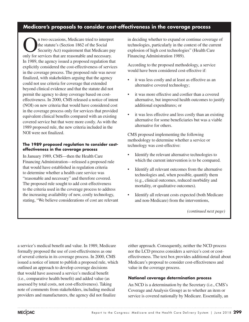# **Medicare's proposals to consider cost-effectiveness in the coverage process**

In two occasions, Medicare tried to interpret<br>
the statute's (Section 1862 of the Social<br>
Security Act) requirement that Medicare pay the statute's (Section 1862 of the Social only for services that are reasonable and necessary. In 1989, the agency issued a proposed regulation that explicitly considered the cost-effectiveness of services in the coverage process. The proposed rule was never finalized, with stakeholders arguing that the agency could not use criteria for coverage that extended beyond clinical evidence and that the statute did not permit the agency to deny coverage based on costeffectiveness. In 2000, CMS released a notice of intent (NOI) on new criteria that would have considered cost in the coverage process only for services that provided equivalent clinical benefits compared with an existing covered service but that were more costly. As with the 1989 proposed rule, the new criteria included in the NOI were not finalized.

#### **The 1989 proposed regulation to consider costeffectiveness in the coverage process**

In January 1989, CMS—then the Health Care Financing Administration—released a proposed rule that would have established in regulation criteria to determine whether a health care service was "reasonable and necessary" and therefore covered. The proposed rule sought to add cost-effectiveness to the criteria used in the coverage process to address the increasing availability of new, costly technology, stating, "We believe considerations of cost are relevant

in deciding whether to expand or continue coverage of technologies, particularly in the context of the current explosion of high cost technologies" (Health Care Financing Administration 1989).

According to the proposed methodology, a service would have been considered cost-effective if:

- it was less costly and at least as effective as an alternative covered technology;
- it was more effective and costlier than a covered alternative, but improved health outcomes to justify additional expenditures; or
- it was less effective and less costly than an existing alternative for some beneficiaries but was a viable alternative for others.

CMS proposed implementing the following methodology to determine whether a service or technology was cost-effective:

- Identify the relevant alternative technologies to which the current intervention is to be compared.
- Identify all relevant outcomes from the alternative technologies and, when possible, quantify them (e.g., clinical outcomes, reduced morbidity and mortality, or qualitative outcomes).
- Identify all relevant costs expected (both Medicare and non-Medicare) from the interventions,

*(continued next page)*

a service's medical benefit and value. In 1989, Medicare formally proposed the use of cost-effectiveness as one of several criteria in its coverage process. In 2000, CMS issued a notice of intent to publish a proposed rule, which outlined an approach to develop coverage decisions that would have assessed a service's medical benefit (i.e., comparative health benefit) and added value (as assessed by total costs, not cost-effectiveness). Taking note of comments from stakeholders, including medical providers and manufacturers, the agency did not finalize

either approach. Consequently, neither the NCD process nor the LCD process considers a service's cost or costeffectiveness. The text box provides additional detail about Medicare's proposal to consider cost-effectiveness and value in the coverage process.

#### **National coverage determination process**

An NCD is a determination by the Secretary (i.e., CMS's Coverage and Analysis Group) as to whether an item or service is covered nationally by Medicare. Essentially, an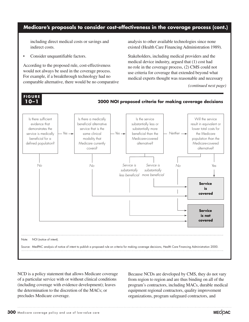# **Medicare's proposals to consider cost-effectiveness in the coverage process (cont.)**

including direct medical costs or savings and indirect costs.

Consider unquantifiable factors.

**x-x**

According to the proposed rule, cost-effectiveness would not always be used in the coverage process. For example, if a breakthrough technology had no comparable alternative, there would be no comparative analysis to other available technologies since none existed (Health Care Financing Administration 1989).

Stakeholders, including medical providers and the medical device industry, argued that (1) cost had no role in the coverage process, (2) CMS could not use criteria for coverage that extended beyond what medical experts thought was reasonable and necessary

**Medical home information**  $P(\text{continued next page})$ *(continued next page)*



NCD is a policy statement that allows Medicare coverage of a particular service with or without clinical conditions (including coverage with evidence development); leaves the determination to the discretion of the MACs; or precludes Medicare coverage.

Because NCDs are developed by CMS, they do not vary from region to region and are thus binding on all of the program's contractors, including MACs, durable medical equipment regional contractors, quality improvement organizations, program safeguard contractors, and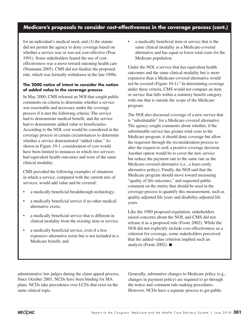# **Medicare's proposals to consider cost-effectiveness in the coverage process (cont.)**

for an individual's medical need, and (3) the statute did not permit the agency to deny coverage based on whether a service was or was not cost-effective (Pear 1991). Some stakeholders feared the use of costeffectiveness was a move toward rationing health care (Neumann 2005). CMS did not finalize the proposed rule, which was formally withdrawn in the late 1990s.

#### **The 2000 notice of intent to consider the notion of** *added value* **in the coverage process**

In May 2000, CMS released an NOI that sought public comments on criteria to determine whether a service was reasonable and necessary under the coverage process if it met the following criteria: The service had to demonstrate medical benefit, and the service had to demonstrate added value to beneficiaries. According to the NOI, cost would be considered in the coverage process in certain circumstances to determine whether a service demonstrated "added value." As shown in Figure 10-1, consideration of cost would have been limited to instances in which two services had equivalent health outcomes and were of the same clinical modality.

CMS provided the following examples of situations in which a service, compared with the current mix of services, would add value and be covered:

- a medically beneficial breakthrough technology;
- a medically beneficial service if no other medical alternative exists;
- a medically beneficial service that is different in clinical modality from the existing item or service;
- a medically beneficial service, even if a less expensive alternative exists but is not included in a Medicare benefit; and

• a medically beneficial item or service that is the same clinical modality as a Medicare-covered alternative and has equal or lower total costs for the Medicare population.

Under the NOI, a service that has equivalent health outcomes and the same clinical modality but is more expensive than a Medicare-covered alternative would not be covered (Figure  $10-1$ ).<sup>1</sup> In determining coverage under these criteria, CMS would not compare an item or service that falls within a statutory benefit category with one that is outside the scope of the Medicare program.

The NOI also discussed coverage of a new service that is "substitutable" for a Medicare-covered alternative. The agency sought comments about whether, if the substitutable service has greater total costs to the Medicare program, it should deny coverage but allow the requestor through the reconsideration process to alter the request to seek a positive coverage decision. Another option would be to cover the new service but reduce the payment rate to the same rate as the Medicare-covered alternative (i.e., a least costly alternative policy). Finally, the NOI said that the Medicare program should move toward measuring "quality of life outcomes," and requested public comment on the metric that should be used in the coverage process to quantify this measurement, such as quality-adjusted life years and disability-adjusted life years.

Like the 1989 proposed regulation, stakeholders raised concerns about the NOI, and CMS did not release it as a proposed rule (Foote 2002). While the NOI did not explicitly include cost-effectiveness as a criterion for coverage, some stakeholders perceived that the added-value criterion implied such an analysis (Foote 2002). ■

administrative law judges during the claim appeal process. Since October 2001, NCDs have been binding for MA plans. NCDs take precedence over LCDs that exist on the same clinical topic.

Generally, substantive changes to Medicare policy (e.g., changes in payment policy) are required to go through the notice and comment rule-making procedures. However, NCDs have a separate process to get public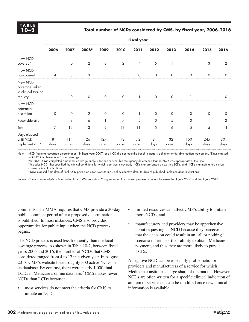#### **10–2 Total number of NCDs considered by CMS, by fiscal year, 2006–2016**

|                                                                 | <b>Fiscal year</b> |             |                   |                |                |                |             |             |             |             |                |
|-----------------------------------------------------------------|--------------------|-------------|-------------------|----------------|----------------|----------------|-------------|-------------|-------------|-------------|----------------|
|                                                                 | 2006               | 2007        | 2008 <sup>a</sup> | 2009           | 2010           | 2011           | 2012        | 2013        | 2014        | 2015        | 2016           |
| New NCD,<br>covered <sup>b</sup>                                |                    | $\circ$     | 2                 | $\mathfrak{Z}$ | $\overline{2}$ | $\overline{4}$ | $\sqrt{5}$  |             |             | 3           | $\overline{2}$ |
| New NCD,<br>noncovered                                          | $\overline{4}$     | 3           | 3                 | 5              | 3              | $\circ$        | $\circ$     | $\circ$     | $\mathbf 0$ | $\circ$     | $\circ$        |
| New NCD,<br>coverage linked<br>to clinical trial or<br>registry |                    | $\circ$     | $\circ$           | $\circ$        | $\circ$        |                | $\circ$     | $\circ$     |             |             | $\circ$        |
| New NCD,<br>contractor<br>discretion                            | 0                  | 0           | $\overline{2}$    | $\mathbf 0$    | $\circ$        |                | $\mathbf 0$ | 0           | 0           | $\Omega$    | $\circ$        |
| Reconsideration                                                 | 11                 | 9           | 6                 |                | 7              | 5              | $\circ$     | 5           | 3           |             | 2              |
| Total                                                           | 17                 | 12          | 13                | 9              | 12             | 11             | 5           | 6           | 5           | 5           | 4              |
| Days elapsed<br>until NCD<br>implementation <sup>c</sup>        | 81<br>days         | 114<br>days | 126<br>days       | 127<br>days    | 118<br>days    | 72<br>days     | 81<br>days  | 132<br>days | 160<br>days | 245<br>days | 301<br>days    |

Note: NCD (national coverage determination). In fiscal year 2007, one NCD did not meet the benefit category definition of durable medical equipment. "Days elapsed until NCD implementation" is an average.

<sup>a</sup> In 2008, CMS completed a national coverage analysis for one service, but the agency determined that no NCD was appropriate at the time.

b Includes NCDs that specified the clinical conditions for which a service is covered, NCDs that are based on existing LCDs, and NCDs that maintained current covered clinical indications.

c Days elapsed from date of final NCD posted on CMS website (i.e., policy effective date) to date of published implementation instructions.

Source: Commission analysis of information from CMS's reports to Congress on national coverage determinations between fiscal year 2006 and fiscal year 2016.

comments. The MMA requires that CMS provide a 30-day public comment period after a proposed determination is published. In most instances, CMS also provides opportunities for public input when the NCD process begins.

The NCD process is used less frequently than the local coverage process. As shown in Table 10-2, between fiscal years 2006 and 2016, the number of NCDs that CMS considered ranged from 4 to 17 in a given year. In August 2017, CMS's website listed roughly 300 active NCDs in its database. By contrast, there were nearly 1,000 final LCDs in Medicare's online database.<sup>2</sup> CMS makes fewer NCDs than LCDs because:

most services do not meet the criteria for CMS to initiate an NCD;

- limited resources can affect CMS's ability to initiate more NCDs; and
- manufacturers and providers may be apprehensive about requesting an NCD because they perceive that the decision could result in an "all or nothing" scenario in terms of their ability to obtain Medicare payment, and thus they are more likely to pursue LCDs.

A negative NCD can be especially problematic for providers and manufacturers of a service for which Medicare constitutes a large share of the market. However, NCDs are often written for a specific clinical indication of an item or service and can be modified once new clinical information is available.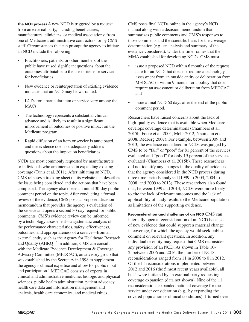**The NCD process** A new NCD is triggered by a request from an external party, including beneficiaries, manufacturers, clinicians, or medical associations; from one of Medicare's administrative contractors; or by CMS staff. Circumstances that can prompt the agency to initiate an NCD include the following:

- Practitioners, patients, or other members of the public have raised significant questions about the outcomes attributable to the use of items or services for beneficiaries.
- New evidence or reinterpretation of existing evidence indicates that an NCD may be warranted.
- LCDs for a particular item or service vary among the MAC<sub>s</sub>
- The technology represents a substantial clinical advance and is likely to result in a significant improvement in outcomes or positive impact on the Medicare program.
- Rapid diffusion of an item or service is anticipated, and the evidence does not adequately address questions about the impact on beneficiaries.

NCDs are most commonly requested by manufacturers or individuals who are interested in expanding existing coverage (Tunis et al. 2011). After initiating an NCD, CMS releases a tracking sheet on its website that describes the issue being considered and the actions that have been completed. The agency also opens an initial 30-day public comment period on the topic. After conducting a formal review of the evidence, CMS posts a proposed decision memorandum that provides the agency's evaluation of the service and opens a second 30-day request for public comments. CMS's evidence review can be informed by a technology assessment—a systematic analysis of the performance characteristics, safety, effectiveness, outcomes, and appropriateness of a service—from an external entity such as the Agency for Healthcare Research and Quality (AHRQ).<sup>3</sup> In addition, CMS can consult with the Medicare Evidence Development & Coverage Advisory Committee (MEDCAC), an advisory group that was established by the Secretary in 1998 to supplement the agency's clinical expertise and allow for public input and participation.<sup>4</sup> MEDCAC consists of experts in clinical and administrative medicine, biologic and physical sciences, public health administration, patient advocacy, health care data and information management and analysis, health care economics, and medical ethics.

CMS posts final NCDs online in the agency's NCD manual along with a decision memorandum that summarizes public comments and CMS's responses to those comments and the scientific basis for the coverage determination (e.g., an analysis and summary of the evidence considered). Under the time frames that the MMA established for developing NCDs, CMS must:

- issue a proposed NCD within 6 months of the request date for an NCD that does not require a technology assessment from an outside entity or deliberation from MEDCAC or within 9 months for a policy that does require an assessment or deliberation from MEDCAC and
- issue a final NCD 60 days after the end of the public comment period.

Researchers have raised concerns about the lack of high-quality evidence that is available when Medicare develops coverage determinations (Chambers et al. 2015b, Foote et al. 2004, Mohr 2012, Neumann et al. 2008, Redberg 2007). For example, between 2009 and 2013, the evidence considered in NCDs was judged by CMS to be "fair" or "poor" for 81 percent of the services evaluated and "good" for only 19 percent of the services evaluated (Chambers et al. 2015b). These researchers did not identify any changes in the quality of evidence that the agency considered in the NCD process during three time periods analyzed (1999 to 2003, 2004 to 2008, and 2009 to 2013). These researchers also found that, between 1999 and 2013, NCDs were more likely to cite the lack of relevant outcomes and the lack of applicability of study results to the Medicare population as limitations of the supporting evidence.

**Reconsideration and challenge of an NCD** CMS can internally open a reconsideration of an NCD because of new evidence that could support a material change in coverage, for which the agency would seek public comment on relevant questions. In addition, any individual or entity may request that CMS reconsider any provision of an NCD. As shown in Table 10- 2, between 2006 and 2016, the number of NCD reconsiderations ranged from 11 in 2006 to 0 in 2012. Of the 11 reconsiderations implemented between 2012 and 2016 (the 5 most recent years available), all but 1 were initiated by an external party requesting a coverage expansion (data not shown). Nine of the 11 reconsiderations expanded national coverage for the service under consideration (e.g., by expanding the covered population or clinical conditions), 1 turned over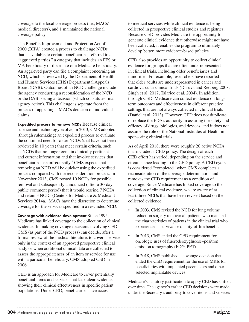coverage to the local coverage process (i.e., MACs' medical directors), and 1 maintained the national coverage policy.

The Benefits Improvement and Protection Act of 2000 (BIPA) created a process to challenge NCDs that is available to certain beneficiaries, referred to as "aggrieved parties," a category that includes an FFS or MA beneficiary or the estate of a Medicare beneficiary. An aggrieved party can file a complaint concerning an NCD, which is reviewed by the Department of Health and Human Services (HHS) Departmental Appeals Board (DAB). Outcomes of an NCD challenge include the agency conducting a reconsideration of the NCD or the DAB issuing a decision (which constitutes final agency action). This challenge is separate from the process of appealing a MAC's decision on individual claims.

**Expedited process to remove NCDs** Because clinical science and technology evolve, in 2013, CMS adopted (through rulemaking) an expedited process to evaluate the continued need for older NCDs (that have not been reviewed in 10 years) that meet certain criteria, such as NCDs that no longer contain clinically pertinent and current information and that involve services that beneficiaries use infrequently.<sup>5</sup> CMS expects that removing an NCD will be quicker using the expedited process compared with the reconsideration process. In November 2013, CMS posted 10 NCDs for possible removal and subsequently announced (after a 30-day public comment period) that it would rescind 7 NCDs and retain 3 NCDs (Centers for Medicare & Medicaid Services 2014a). MACs have the discretion to determine coverage for the services specified in a rescinded NCD.

**Coverage with evidence development** Since 1995, Medicare has linked coverage to the collection of clinical evidence. In making coverage decisions involving CED, CMS (as part of the NCD process) can decide, after a formal review of the medical literature, to cover a service only in the context of an approved prospective clinical study or when additional clinical data are collected to assess the appropriateness of an item or service for use with a particular beneficiary. CMS adopted CED in 2006.

CED is an approach for Medicare to cover potentially beneficial items and services that lack clear evidence showing their clinical effectiveness in specific patient populations. Under CED, beneficiaries have access

to medical services while clinical evidence is being collected in prospective clinical studies and registries. Because CED provides Medicare the opportunity to generate clinical evidence that otherwise might not have been collected, it enables the program to ultimately develop better, more evidence-based policies.

CED also provides an opportunity to collect clinical evidence for groups that are often underrepresented in clinical trials, including older beneficiaries and minorities. For example, researchers have reported that older adults are underrepresented in cancer and cardiovascular clinical trials (Dhruva and Redberg 2008, Singh et al. 2017, Talarico et al. 2004). In addition, through CED, Medicare can collect evidence on longterm outcomes and effectiveness in different practice settings that are not always collected in clinical trials (Daniel et al. 2013). However, CED does not duplicate or replace the FDA's authority in assuring the safety and efficacy of drugs, biologics, and devices, and it does not assume the role of the National Institutes of Health in sponsoring clinical trials.

As of April 2018, there were roughly 20 active NCDs that included a CED policy. The design of each CED effort has varied, depending on the service and circumstance leading to the CED policy. A CED cycle is considered "completed" when CMS completes a reconsideration of the coverage determination and removes the CED requirement as a condition of coverage. Since Medicare has linked coverage to the collection of clinical evidence, we are aware of at least three NCDs that have been revised based on the collected evidence:

- In 2003, CMS revised the NCD for lung volume reduction surgery to cover all patients who matched the characteristics of patients in the clinical trial who experienced a survival or quality-of-life benefit.
- In 2013, CMS ended the CED requirement for oncologic uses of fluorodeoxyglucose–positron emission tomography (FDG–PET).
- In 2018, CMS published a coverage decision that ended the CED requirement for the use of MRIs for beneficiaries with implanted pacemakers and other selected implantable devices.

Medicare's statutory justification to apply CED has shifted over time. The agency's earlier CED decisions were made under the Secretary's authority to cover items and services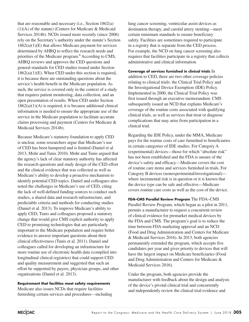that are reasonable and necessary (i.e., Section 1862(a) (1)(A) of the statute) (Centers for Medicare & Medicaid Services 2014b). NCDs issued more recently (since 2006) rely on the Secretary's authority under the statute's Section  $1862(a)(1)(E)$  that allows Medicare payment for services determined by AHRQ to reflect the research needs and priorities of the Medicare program.<sup>6</sup> According to CMS, AHRQ reviews and approves the CED questions and general standards for CED studies issued under Section  $1862(a)(1)(E)$ . When CED under this section is required, it is because there are outstanding questions about the service's health benefit in the Medicare population. As such, the service is covered only in the context of a study that requires patient monitoring, data collection, and an open presentation of results. When CED under Section  $1862(a)(1)(A)$  is required, it is because additional clinical information is needed to ensure the appropriate use of the service in the Medicare population to facilitate accurate claims processing and payment (Centers for Medicare & Medicaid Services 2014b).

Because Medicare's statutory foundation to apply CED is unclear, some researchers argue that Medicare's use of CED has been hampered and is limited (Daniel et al. 2013, Mohr and Tunis 2010). Mohr and Tunis argued that the agency's lack of clear statutory authority has affected the research questions and study design of the CED effort and the clinical evidence that was collected as well as Medicare's ability to develop a proactive mechanism to identify potential CED topics. Daniel and colleagues also noted the challenges in Medicare's use of CED, citing the lack of well-defined funding sources to conduct such studies, a shared data and research infrastructure, and predictable criteria and methods for conducting studies (Daniel et al. 2013). To improve Medicare's ability to apply CED, Tunis and colleagues proposed a statutory change that would give CMS explicit authority to apply CED to promising technologies that are particularly important to the Medicare population and require better evidence to answer important questions about their clinical effectiveness (Tunis et al. 2011). Daniel and colleagues called for developing an infrastructure for more routine use of electronic health data (compiled into longitudinal clinical registries) that could support CED and quality measurement and suggested that such an effort be supported by payers, physician groups, and other organizations (Daniel et al. 2013).

#### **Requirement that facilities meet safety requirements**

Medicare also issues NCDs that require facilities furnishing certain services and procedures—including

lung cancer screening, ventricular assist devices as destination therapy, and carotid artery stenting—meet certain minimum standards to ensure beneficiary safety. Facilities are sometimes required to participate in a registry that is separate from the CED process. For example, the NCD on lung cancer screening also requires that facilities participate in a registry that collects administrative and clinical information.

**Coverage of services furnished in clinical trials** In addition to CED, there are two other coverage policies relating to clinical trials: the Clinical Trial Policy and the Investigational Device Exemption (IDE) Policy. Implemented in 2000, the Clinical Trial Policy was first issued through an executive memorandum. CMS subsequently issued an NCD that explains Medicare's coverage of the routine costs associated with qualifying clinical trials, as well as services that treat or diagnose complications that may arise from participation in a clinical trial.

Regarding the IDE Policy, under the MMA, Medicare pays for the routine costs of care furnished to beneficiaries in certain categories of IDE studies. For Category A (experimental) devices—those for which "absolute risk" has not been established and the FDA is unsure of the device's safety and efficacy—Medicare covers the cost of routine care items and services furnished in trials. For Category B devices (nonexperimental/investigational) where incremental risk is in question or it is known that the device type can be safe and effective—Medicare covers routine care costs as well as the cost of the device.

**FDA–CMS Parallel Review Program** The FDA–CMS Parallel Review Program, which began as a pilot in 2011, permits a manufacturer to request a concurrent review of clinical evidence for premarket medical devices by the FDA and CMS. The program's goal is to reduce the time between FDA marketing approval and an NCD (Food and Drug Administration and Centers for Medicare & Medicaid Services 2016). In 2013, both agencies permanently extended the program, which accepts five candidates per year and gives priority to devices that will have the largest impact on Medicare beneficiaries (Food and Drug Administration and Centers for Medicare & Medicaid Services 2016).

Under the program, both agencies provide the manufacturer with feedback about the design and analysis of the device's pivotal clinical trial and concurrently and independently review the clinical trial evidence and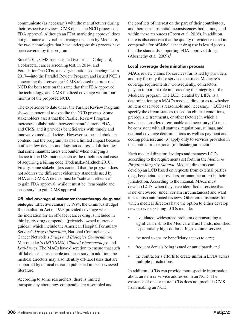communicate (as necessary) with the manufacturer during their respective reviews. CMS opens the NCD process on FDA approval. Although an FDA marketing approval does not guarantee a favorable coverage decision by Medicare, the two technologies that have undergone this process have been covered by the program.

Since 2011, CMS has accepted two tests—Cologuard, a colorectal cancer screening test, in 2014, and FoundationOne CDx, a next-generation sequencing test in 2017—into the Parallel Review Program and issued NCDs concerning their coverage.7 CMS released the proposed NCD for both tests on the same day that FDA approved the technology, and CMS finalized coverage within four months of the proposed NCD.

The experience to date under the Parallel Review Program shows its potential to expedite the NCD process. Some stakeholders assert that the Parallel Review Program increases collaboration between manufacturers, FDA, and CMS, and it provides beneficiaries with timely and innovative medical devices. However, some stakeholders contend that the program has had a limited impact because it affects few devices and does not address all difficulties that some manufacturers encounter when bringing a device to the U.S. market, such as the timeliness and ease of acquiring a billing code (Podemska-Mikluch 2016). Finally, some stakeholders contend that the program does not address the different evidentiary standards used by FDA and CMS. A device must be "safe and effective" to gain FDA approval, while it must be "reasonable and necessary" to gain CMS approval.

#### **Off-label coverage of anticancer chemotherapy drugs and**

**biologics** Effective January 1, 1994, the Omnibus Budget Reconciliation Act of 1993 provided coverage when the indication for an off-label cancer drug is included in third-party drug compendia (privately owned reference guides), which include the American Hospital Formulary Service's *Drug Information*, National Comprehensive Cancer Network's *Drugs and Biologics Compendium*, Micromedex's *DRUGDEX, Clinical Pharmacology*, and *Lexi-Drugs*. The MACs have discretion to ensure that such off-label use is reasonable and necessary. In addition, the medical directors may also identify off-label uses that are supported by clinical research published in peer-reviewed literature.

According to some researchers, there is limited transparency about how compendia are assembled and the conflicts of interest on the part of their contributors, and there are substantial inconsistences both among and within these resources (Green et al. 2016). In addition, there is also concern that the quality of evidence cited in compendia for off-label cancer drug use is less rigorous than the standards supporting FDA-approved drugs (Abernethy et al.  $2009$ ).<sup>8</sup>

#### **Local coverage determination process**

MACs review claims for services furnished by providers and pay for only those services that meet Medicare's coverage requirements.<sup>9</sup> Consequently, contractors play an important role in protecting the integrity of the Medicare program. The LCD, created by BIPA, is a determination by a MAC's medical director as to whether an item or service is reasonable and necessary.<sup>10</sup> LCDs  $(1)$ specify the circumstances (based on clinical conditions, prerequisite treatments, or other factors) in which a service is considered reasonable and necessary; (2) must be consistent with all statutes, regulations, rulings, and national coverage determinations as well as payment and coding policies; and (3) apply only to services provided in the contractor's regional (multistate) jurisdiction.

Each medical director develops and manages LCDs according to the requirements set forth in the *Medicare Program Integrity Manual*. Medical directors can develop an LCD based on requests from external parties (e.g., beneficiaries, providers, or manufacturers) in their jurisdiction. According to the manual, MACs must develop LCDs when they have identified a service that is never covered (under certain circumstances) and want to establish automated reviews. Other circumstances for which medical directors have the option to either develop new or revise existing LCDs include:

- a validated, widespread problem demonstrating a significant risk to the Medicare Trust Funds, identified as potentially high-dollar or high-volume services;
- the need to ensure beneficiary access to care;
- frequent denials being issued or anticipated; and
- the contractor's efforts to create uniform LCDs across multiple jurisdictions.

In addition, LCDs can provide more specific information about an item or service addressed in an NCD. The existence of one or more LCDs does not preclude CMS from making an NCD.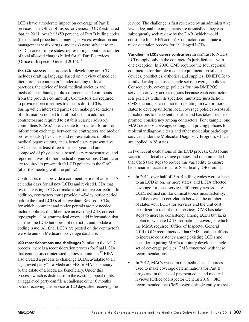LCDs have a moderate impact on coverage of Part B services. The Office of Inspector General (OIG) estimated that, in 2011, over half (59 percent) of Part B billing codes (for medical procedures, imaging services, evaluation and management visits, drugs, and tests) were subject to an LCD in one or more states, representing about one-quarter of total allowed charges billed for all Part B services (Office of Inspector General 2014). $^{11}$ 

**The LCD process** The process for developing an LCD includes drafting language based on a review of medical literature, the contractor's understanding of local practices, the advice of local medical societies and medical consultants, public comments, and comments from the provider community. Contractors are required to provide open meetings to discuss draft LCDs, during which interested parties can make presentations of information related to draft policies. In addition, contractors are required to establish carrier advisory committees (CACs) in each state to provide a forum for information exchange between the contractors and medical professionals (physicians and representatives of other medical organizations) and a beneficiary representative. CACs meet at least three times per year and are composed of physicians, a beneficiary representative, and representatives of other medical organizations. Contractors are required to present draft LCD policies to the CAC (after the meeting with the public).

Contractors must provide a comment period of at least 45 calendar days for all new LCDs and revised LCDs that restrict existing LCDs or make a substantive correction. In addition, contractors must provide a 45-day notice period before the final LCD's effective date. Revised LCDs, for which comment and notice periods are not needed, include policies that liberalize an existing LCD; correct typographical or grammatical errors; add information that clarifies the LCD but does not restrict it; and update a coding issue. All final LCDs are posted on the contractor's website and on Medicare's coverage database.

**LCD reconsiderations and challenges** Similar to the NCD process, there is a reconsideration process for final LCDs that contractors or interested parties can initiate.<sup>12</sup> BIPA also created a process to challenge LCDs, available to an "aggrieved party"—a Medicare FFS or MA beneficiary or the estate of a Medicare beneficiary. Under this process, which is distinct from the existing appeal rights, an aggrieved party can file a challenge either 6 months before receiving the service or 120 days after receiving the service. The challenge is first reviewed by an administrative law judge, and if complainants are unsatisfied, they can subsequently seek review by the DAB (which would constitute final HHS action). Contractors can initiate a reconsideration process for challenged LCDs.

**Variation in LCDs across contractors** In contrast to NCDs, LCDs apply only in the contractor's jurisdiction—with one exception: In 2006, CMS required the four regional contractors for durable medical equipment, prosthetic devices, prosthetics, orthotics, and supplies (DMEPOS) to jointly develop and use a single set of coverage policies. Consequently, coverage policies for *non-*DMEPOS services can vary across regions because each contractor sets policies within its specified multistate jurisdiction. CMS encourages a contractor operating in two or more states to develop uniform local coverage policies across all jurisdictions to the extent possible and has taken steps to promote consistency among contractors. For example, one MAC develops coverage, coding, and pricing policies for molecular diagnostic tests and other molecular pathology services under the Molecular Diagnostic Program, which are applied in 28 states.

In two recent evaluations of the LCD process, OIG found variations in local coverage policies and recommended that CMS take steps to reduce this variability to ensure beneficiaries' access to care. Specifically, OIG found:

- In 2011, over half of Part B billing codes were subject to an LCD in one or more states, and LCDs affected coverage for these services differently across states; LCDs defined similar clinical topics inconsistently; and there was no correlation between the number of states with LCDs for services and the unit cost or utilization rate of those services. CMS has taken steps to increase consistency among LCDs but lacks a plan to evaluate LCDs for national coverage, which the MMA required (Office of Inspector General 2014). OIG recommended that CMS continue efforts to increase consistency among existing LCDs and consider requiring MACs to jointly develop a single set of coverage policies. CMS concurred with these recommendations.
- In 2012, MACs varied in the methods and sources used to make coverage determinations for Part B drugs and in the use of payment edits and medical reviews (Office of Inspector General 2016). OIG recommended that CMS assign a single entity to assist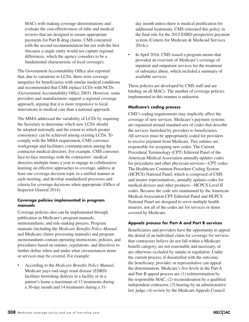MACs with making coverage determinations and evaluate the cost-effectiveness of edits and medical reviews that are designed to ensure appropriate payments for Part B drug claims. CMS concurred with the second recommendation but not with the first (because a single entity would not capture regional differences, which the agency considers to be a fundamental characteristic of local coverage).

The Government Accountability Office also reported that, due to variations in LCDs, there were coverage inequities for beneficiaries with similar medical conditions and recommended that CMS replace LCDs with NCDs (Government Accountability Office 2003). However, some providers and manufacturers support a regional coverage approach, arguing that it is more responsive to local innovations in medical care than a national approach.

The MMA addressed the variability of LCDs by requiring the Secretary to determine which new LCDs should be adopted nationally and the extent to which greater consistency can be achieved among existing LCDs. To comply with the MMA requirement, CMS convenes workgroups and facilitates communication among the contractor medical directors. For example, CMS convenes face-to-face meetings with the contractors' medical directors multiple times a year to engage in collaborative learning on effective approaches to coverage, address at least one coverage decision topic in a unified manner at each meeting, and develop standardized processes and criteria for coverage decisions when appropriate (Office of Inspector General 2014).

#### **Coverage policies implemented in program manuals**

Coverage policies also can be implemented through publication in Medicare's program manuals, memorandums, and rule-making process. Program manuals (including the *Medicare Benefits Policy Manual*  and Medicare claims processing manuals) and program memorandums contain operating instructions, policies, and procedures based on statutes, regulations, and directives to further define when and under what circumstances items or services may be covered. For example:

• According to the *Medicare Benefits Policy Manual*, Medicare pays end-stage renal disease (ESRD) facilities furnishing dialysis in a facility or in a patient's home a maximum of 13 treatments during a 30-day month and 14 treatments during a 31-

day month unless there is medical justification for additional treatments. CMS reiterated this policy in the final rule for the 2015 ESRD prospective payment system (Centers for Medicare & Medicaid Services 2014c).

• In April 2016, CMS issued a program memo that provided an overview of Medicare's coverage of inpatient and outpatient services for the treatment of substance abuse, which included a summary of available services.

These policies are developed by CMS staff and are binding on all MACs. The number of coverage policies implemented in this manner is unknown.

#### **Medicare's coding process**

CMS's coding requirements may implicitly affect the coverage of new services. Medicare's payment systems are organized around standard sets of codes that describe the services furnished by providers to beneficiaries. All services must be appropriately coded for providers to receive payment from Medicare. Two entities are responsible for assigning new codes. The Current Procedural Terminology (CPT) Editorial Panel of the American Medical Association annually updates codes for procedures and other physician services—CPT codes. The Healthcare Common Procedure Coding System (HCPCS) National Panel, which is composed of CMS and insurer representatives, annually updates codes for medical devices and other products—HCPCS Level II codes. Because the code sets maintained by the American Medical Association CPT Editorial Panel and HCPCS National Panel are designed to serve multiple health insurers, not all of the codes are for services or items covered by Medicare.

#### **Appeals process for Part A and Part B services**

Beneficiaries and providers have the opportunity to appeal the denial of an individual claim for coverage for services that contractors believe do not fall within a Medicare benefit category, are not reasonable and necessary, or are otherwise excluded by statute or regulation. Under the current process, if dissatisfied with the outcome, the beneficiary, provider, or representative can appeal the determination. Medicare's five levels in the Part A and Part B appeal process are (1) redetermination by the responsible MAC, (2) reconsideration by a qualified independent contractor, (3) hearing by an administrative law judge, (4) review by the Medicare Appeals Council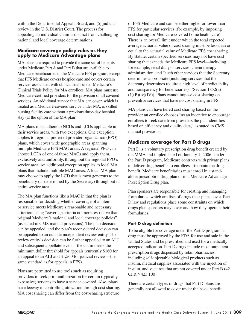within the Departmental Appeals Board, and (5) judicial review in the U.S. District Court. The process for appealing an individual claim is distinct from challenging national and local coverage determinations.

#### **Medicare coverage policy rules as they apply to Medicare Advantage plans**

MA plans are required to provide the same set of benefits under Medicare Part A and Part B that are available to Medicare beneficiaries in the Medicare FFS program, except that FFS Medicare covers hospice care and covers certain services associated with clinical trials under Medicare's Clinical Trials Policy for MA enrollees. MA plans must use Medicare-certified providers for the provision of all covered services. An additional service that MA can cover, which is treated as a Medicare-covered service under MA, is skilled nursing facility care without a previous three-day hospital stay (at the option of the MA plan).

MA plans must adhere to NCDs and LCDs applicable in their service areas, with two exceptions. One exception applies to regional preferred provider organization (PPO) plans, which cover wide geographic areas spanning multiple Medicare FFS MAC areas. A regional PPO can choose LCDs of one of those MACs and apply them, exclusively and uniformly, throughout the regional PPO's service area. An additional exception applies to local MA plans that include multiple MAC areas. A local MA plan may choose to apply the LCD that is most generous to the beneficiary (as determined by the Secretary) throughout its entire service area.

The MA plan functions like a MAC in that the plan is responsible for deciding whether coverage of an item or service meets Medicare's reasonable and necessary criterion, using "coverage criteria no more restrictive than original Medicare's national and local coverage policies" (as stated in CMS manual provisions). The plan decision can be appealed, and the plan's reconsidered decision can be appealed to an outside independent review entity. The review entity's decision can be further appealed to an ALJ and subsequent appellate levels if the claim meets the minimum dollar threshold for appeals (currently \$160 for an appeal to an ALJ and \$1,560 for judicial review—the same standard as for appeals in FFS).

Plans are permitted to use tools such as requiring providers to seek prior authorization for certain (typically, expensive) services to have a service covered. Also, plans have leeway in controlling utilization through cost sharing. MA cost sharing can differ from the cost-sharing structure

of FFS Medicare and can be either higher or lower than FFS for particular services (for example, by imposing cost sharing for Medicare-covered home health care). There is an overall limit under which the total expected average actuarial value of cost sharing must be less than or equal to the actuarial value of Medicare FFS cost sharing. By statute, certain specified services may not have cost sharing that exceeds the Medicare FFS level—including, for example, renal dialysis services, chemotherapy administration, and "such other services that the Secretary determines appropriate (including services that the Secretary determines require a high level of predictability and transparency for beneficiaries)" (Section 1852(a)  $(1)(B)(iv)(IV)$ . Plans cannot impose cost sharing on preventive services that have no cost sharing in FFS.

MA plans can have tiered cost sharing based on the provider an enrollee chooses "as an incentive to encourage enrollees to seek care from providers the plan identifies based on efficiency and quality data," as stated in CMS manual provisions.

# **Medicare coverage for Part D drugs**

Part D is a voluntary prescription drug benefit created by the MMA and implemented on January 1, 2006. Under the Part D program, Medicare contracts with private plans to deliver drug benefits to enrollees. To obtain the drug benefit, Medicare beneficiaries must enroll in a standalone prescription drug plan or in a Medicare Advantage– Prescription Drug plan.

Plan sponsors are responsible for creating and managing formularies, which are lists of drugs their plans cover. Part D law and regulations place some constraints on which drugs plan sponsors may cover and how they operate their formularies.

#### **Part D drug definition**

To be eligible for coverage under the Part D program, a drug must be approved by the FDA for use and sale in the United States and be prescribed and used for a medically accepted indication. Part D drugs include most outpatient prescription drugs dispensed by retail pharmacies, including self-injectable biological products such as insulin, medical supplies associated with the injection of insulin, and vaccines that are not covered under Part B (42 CFR § 423.100).

There are certain types of drugs that Part D plans are generally not allowed to cover under the basic benefit.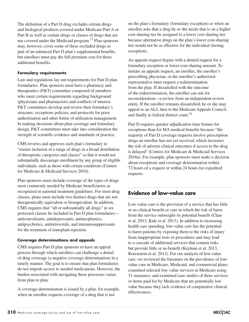The definition of a Part D drug excludes certain drugs and biological products covered under Medicare Part A or Part B as well as certain drugs or classes of drugs that are not covered under the Medicaid program.<sup>13</sup> Plan sponsors may, however, cover some of these excluded drugs as part of an enhanced Part D plan's supplemental benefits, but enrollees must pay the full premium cost for those additional benefits.

#### **Formulary requirements**

Law and regulations lay out requirements for Part D plan formularies. Plan sponsors must have a pharmacy and therapeutics (P&T) committee composed of members who meet certain requirements regarding background (physicians and pharmacists) and conflicts of interest. P&T committees develop and review their formulary's structure, exceptions policies, and protocols for prior authorization and other forms of utilization management. In making decisions about plan coverage and formulary design, P&T committees must take into consideration the strength of scientific evidence and standards of practice.

CMS reviews and approves each plan's formulary to "ensure inclusion of a range of drugs in a broad distribution of therapeutic categories and classes" so that it would not substantially discourage enrollment by any group of eligible individuals, such as those with certain conditions (Centers for Medicare & Medicaid Services 2010).

Plan sponsors must include coverage of the types of drugs most commonly needed by Medicare beneficiaries as recognized in national treatment guidelines. For most drug classes, plans must include two distinct drugs that are not therapeutically equivalent or bioequivalent. In addition, CMS requires that "all or substantially all drugs" in six protected classes be included in Part D plan formularies anticonvulsants, antidepressants, antineoplastics, antipsychotics, antiretrovirals, and immunosuppressants for the treatment of transplant rejection.

#### **Coverage determinations and appeals**

CMS requires Part D plan sponsors to have an appeal process through which enrollees can challenge a denial of drug coverage (a negative coverage determination) in a timely manner. The goal is to ensure that plan formularies do not impede access to needed medications. However, the burden associated with navigating these processes varies from plan to plan.

A coverage determination is issued by a plan, for example, when an enrollee requests coverage of a drug that is not

on the plan's formulary (formulary exception) or when an enrollee asks that a drug he or she needs that is on a higher cost-sharing tier be assigned to a lower cost-sharing tier because alternative drugs on the plan's lower cost-sharing tier would not be as effective for the individual (tiering exception).

An appeals request begins with a denied request for a formulary exception or lower cost-sharing amount. To initiate an appeals request, an enrollee, the enrollee's prescribing physician, or the enrollee's authorized representative must request a redetermination from the plan. If dissatisfied with the outcome of the redetermination, the enrollee can ask for reconsideration—a review from an independent review entity. If the enrollee remains dissatisfied, he or she may appeal to an ALJ, then to the Medicare Appeals Council, and finally to federal district court.<sup>14</sup>

Part D requires quicker adjudication time frames for exceptions than for MA medical benefits because "the majority of Part D coverage requests involve prescription drugs an enrollee has not yet received, which increases the risk of adverse clinical outcomes if access to the drug is delayed" (Centers for Medicare & Medicaid Services 2016a). For example, plan sponsors must make a decision about exceptions and coverage determination within 72 hours of a request or within 24 hours for expedited requests.

# **Evidence of low-value care**

Low-value care is the provision of a service that has little or no clinical benefit or care in which the risk of harm from the service outweighs its potential benefit (Chan et al. 2013, Kale et al. 2013). In addition to increasing health care spending, low-value care has the potential to harm patients by exposing them to the risks of injury from inappropriate tests or procedures and may lead to a cascade of additional services that contain risks but provide little or no benefit (Keyhani et al. 2013, Korenstein et al. 2012). For our analysis of low-value care, we reviewed the literature on the prevalence of lowvalue care in Medicare, Medicaid, and commercial plans; examined selected low-value services in Medicare using 31 measures; and examined case studies of three services or items paid for by Medicare that are potentially low value because they lack evidence of comparative clinical effectiveness.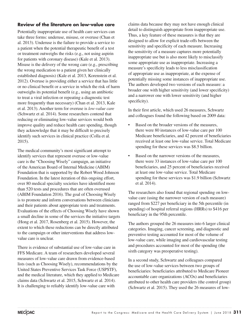## **Review of the literature on low-value care**

Potentially inappropriate use of health care services can take three forms: underuse, misuse, or overuse (Chan et al. 2013). Underuse is the failure to provide a service to a patient when the potential therapeutic benefit of a test or treatment outweighs the risks (e.g., not using aspirin for patients with coronary disease) (Kale et al. 2013). Misuse is the delivery of the wrong care (e.g., prescribing the wrong medication to a patient given her clinically established diagnosis) (Kale et al. 2013, Korenstein et al. 2012). Overuse is providing either a service that has little or no clinical benefit or a service in which the risk of harm outweighs its potential benefit (e.g., using an antibiotic to treat a viral infection or repeating a diagnostic test more frequently than necessary) (Chan et al. 2013, Kale et al. 2013). Another term for overuse is *low-value care* (Schwartz et al. 2014). Some researchers contend that reducing or eliminating low-value services would both improve quality and reduce health care spending, though they acknowledge that it may be difficult to precisely identify such services in clinical practice (Colla et al. 2015).

The medical community's most significant attempt to identify services that represent overuse or low-value care is the "Choosing Wisely" campaign, an initiative of the American Board of Internal Medicine (ABIM) Foundation that is supported by the Robert Wood Johnson Foundation. In the latest iteration of this ongoing effort, over 80 medical specialty societies have identified more than 520 tests and procedures that are often overused (ABIM Foundation 2016). The goal of Choosing Wisely is to promote and inform conversations between clinicians and their patients about appropriate tests and treatments. Evaluations of the effects of Choosing Wisely have shown a small decline in some of the services the initiative targets (Hong et al. 2017, Rosenberg et al. 2015). However, the extent to which these reductions can be directly attributed to the campaign or other interventions that address lowvalue care is unclear.

There is evidence of substantial use of low-value care in FFS Medicare. A team of researchers developed several measures of low-value care drawn from evidence-based lists (such as Choosing Wisely), recommendations by the United States Preventive Services Task Force (USPSTF), and the medical literature, which they applied to Medicare claims data (Schwartz et al. 2015, Schwartz et al. 2014). It is challenging to reliably identify low-value care with

claims data because they may not have enough clinical detail to distinguish appropriate from inappropriate use. Thus, a key feature of these measures is that they are designed to allow for explicit trade-offs between the sensitivity and specificity of each measure. Increasing the sensitivity of a measure captures more potentially inappropriate use but is also more likely to misclassify some appropriate use as inappropriate. Increasing a measure's specificity leads to less misclassification of appropriate use as inappropriate, at the expense of potentially missing some instances of inappropriate use. The authors developed two versions of each measure: a broader one with higher sensitivity (and lower specificity) and a narrower one with lower sensitivity (and higher specificity).

In their first article, which used 26 measures, Schwartz and colleagues found the following based on 2009 data:

- Based on the broader versions of the measures, there were 80 instances of low-value care per 100 Medicare beneficiaries, and 42 percent of beneficiaries received at least one low-value service. Total Medicare spending for these services was \$8.5 billion.
- Based on the narrower versions of the measures, there were 33 instances of low-value care per 100 beneficiaries, and 25 percent of beneficiaries received at least one low-value service. Total Medicare spending for these services was \$1.9 billion (Schwartz et al. 2014).

The researchers also found that regional spending on lowvalue care (using the narrower version of each measure) ranged from \$227 per beneficiary in the 5th percentile (in spending) of hospital referral regions (HRRs) to \$416 per beneficiary in the 95th percentile.

The authors grouped the 26 measures into 6 larger clinical categories. Imaging, cancer screening, and diagnostic and preventive testing accounted for most of the volume of low-value care, while imaging and cardiovascular testing and procedures accounted for most of the spending (the sixth category was preoperative testing).

In a second study, Schwartz and colleagues compared the use of low-value services between two groups of beneficiaries: beneficiaries attributed to Medicare Pioneer accountable care organizations (ACOs) and beneficiaries attributed to other health care providers (the control group) (Schwartz et al. 2015). They used the 26 measures of low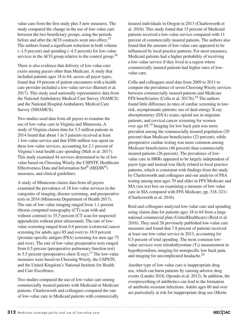value care from the first study plus 5 new measures. The study compared the change in the use of low-value care between the two beneficiary groups, using the periods before and after the ACO contracts went into effect.<sup>15</sup> The authors found a significant reduction in both volume (–1.9 percent) and spending (–4.5 percent) for low-value services in the ACO group relative to the control group.<sup>16</sup>

There is also evidence that delivery of low-value care exists among payers other than Medicare. A study that included patients ages 18 to 64, across all payer types, found that 19 percent of patient encounters with a health care provider included a low-value service (Barnett et al. 2017). This study used nationally representative data from the National Ambulatory Medical Care Survey (NAMCS) and the National Hospital Ambulatory Medical Care Survey (NHAMCS).

Two studies used data from all payers to examine the use of low-value care in Virginia and Minnesota. A study of Virginia claims data for 5.5 million patients in 2014 found that about 1 in 5 patients received at least 1 low-value service and that \$586 million was spent on these low-value services, accounting for 2.1 percent of Virginia's total health care spending (Mafi et al. 2017). This study examined 44 services determined to be of low value based on Choosing Wisely, the USPSTF, Healthcare Effectiveness Data and Information Set® (HEDIS®) measures, and clinical guidelines.

A study of Minnesota claims data from all payers examined the prevalence of 18 low-value services in the categories of imaging, disease screening, and preoperative tests in 2014 (Minnesota Department of Health 2017). The rate of low-value imaging ranged from 1.1 percent (thorax computed tomography (CT) scan with and without contrast) to 35.5 percent (CT scan for suspected appendicitis without prior ultrasound). The rate of lowvalue screening ranged from 0.4 percent (colorectal cancer screening for adults ages 85 and over) to 18.9 percent (prostate-specific antigen (PSA) screening for men age 75 and over). The rate of low-value preoperative tests ranged from 0.5 percent (preoperative pulmonary function test) to 5.5 percent (preoperative chest X-ray).<sup>17</sup> The low-value measures were based on Choosing Wisely, the USPSTF, and the United Kingdom's National Institute for Health and Care Excellence.

Two studies compared the use of low-value care among commercially insured patients with Medicaid or Medicare patients. Charlesworth and colleagues compared the rate of low-value care in Medicaid patients with commercially

insured individuals in Oregon in 2013 (Charlesworth et al. 2016). This study found that 15 percent of Medicaid patients received a low-value service compared with 11 percent of commercially insured patients. The authors also found that the amount of low-value care appeared to be influenced by local practice patterns. For most measures, Medicaid patients had a higher probability of receiving a low-value service if they lived in a region where commercially insured patients had higher rates of lowvalue care.

Colla and colleagues used data from 2009 to 2011 to compare the prevalence of seven Choosing Wisely services between commercially insured patients and Medicare FFS beneficiaries (Colla et al.  $2017b$ ).<sup>18</sup> The authors found little difference in rates of cardiac screening in lowrisk, asymptomatic patients; use of dual-energy X-ray absorptiometry (DXA) scans; opioid use in migraine patients; and cervical cancer screening for women over age 65.19 Imaging for low back pain was more prevalent among the commercially insured population (29 percent) than Medicare beneficiaries (23 percent), while preoperative cardiac testing was more common among Medicare beneficiaries (46 percent) than commercially insured patients (26 percent). The prevalence of lowvalue care in HRRs appeared to be largely independent of payer type and instead was likely related to local practice patterns, which is consistent with findings from the study by Charlesworth and colleagues and our analysis of PSA testing among men ages 70 and older in FFS Medicare and MA (see text box on examining a measure of low-value care in MA compared with FFS Medicare, pp. 318–321) (Charlesworth et al. 2016).

Reid and colleagues analyzed low-value care and spending using claims data for patients ages 18 to 64 from a large national commercial plan (UnitedHealthcare) (Reid et al. 2016). They used 28 previously published low-value care measures and found that 7.8 percent of patients received at least one low-value service in 2013, accounting for 0.5 percent of total spending. The most common lowvalue services were triiodothyronine  $(T_3)$  measurement in hypothyroidism, imaging for nonspecific low back pain, and imaging for uncomplicated headache.<sup>20</sup>

Another type of low-value care is inappropriate drug use, which can harm patients by causing adverse drug events (Landro 2016, Opondo et al. 2012). In addition, the overprescribing of antibiotics can lead to the formation of antibiotic-resistant infections. Adults ages 60 and over are particularly at risk for inappropriate drug use (Morin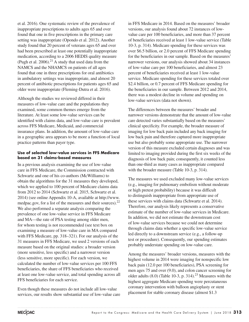et al. 2016). One systematic review of the prevalence of inappropriate prescriptions to adults ages 65 and over found that one in five prescriptions in the primary care setting was inappropriate (Opondo et al. 2012). Another study found that 20 percent of veterans ages 65 and over had been prescribed at least one potentially inappropriate medication, according to a 2006 HEDIS quality measure (Pugh et al.  $2006$ ).<sup>21</sup> A study that used data from the NAMCS and the NHAMCS on patients of all ages found that one in three prescriptions for oral antibiotics in ambulatory settings was inappropriate, and almost 20 percent of antibiotic prescriptions for patients ages 65 and older were inappropriate (Fleming-Dutra et al. 2016).

Although the studies we reviewed differed in their measures of low-value care and the populations they examined, some common themes emerge from the literature. At least some low-value services can be identified with claims data, and low-value care is prevalent across FFS Medicare, Medicaid, and commercial insurance plans. In addition, the amount of low-value care in a geographic area appears to be more a function of local practice patterns than payer type.

#### **Use of selected low-value services in FFS Medicare based on 31 claims-based measures**

In a previous analysis examining the use of low-value care in FFS Medicare, the Commission contracted with Schwartz and one of his co-authors (McWilliams) to obtain the algorithms for the 31 measures they developed, which we applied to 100 percent of Medicare claims data from 2012 to 2014 (Schwartz et al. 2015, Schwartz et al. 2014) (see online Appendix 10-A, available at http://www. medpac.gov, for a list of the measures and their sources).<sup>22</sup> We also performed a separate analysis comparing the prevalence of one low-value service in FFS Medicare and MA—the rate of PSA testing among older men, for whom testing is not recommended (see text box on examining a measure of low-value care in MA compared with FFS Medicare, pp. 318–321). For our analysis of the 31 measures in FFS Medicare, we used 2 versions of each measure based on the original studies: a broader version (more sensitive, less specific) and a narrower version (less sensitive, more specific). For each version, we calculated the number of low-value services per 100 FFS beneficiaries, the share of FFS beneficiaries who received at least one low-value service, and total spending across all FFS beneficiaries for each service.

Even though these measures do not include all low-value services, our results show substantial use of low-value care in FFS Medicare in 2014. Based on the measures' broader versions, our analysis found about 72 instances of lowvalue care per 100 beneficiaries, and more than 37 percent of beneficiaries received at least 1 low-value service (Table 10-3, p. 314). Medicare spending for these services was over \$6.5 billion, or 2.0 percent of FFS Medicare spending for the beneficiaries in our sample. Based on the measures' narrower versions, our analysis showed about 34 instances of low-value care per 100 beneficiaries, and almost 23 percent of beneficiaries received at least 1 low-value service. Medicare spending for these services totaled over \$2.4 billion, or 0.7 percent of FFS Medicare spending for the beneficiaries in our sample. Between 2012 and 2014, there was a modest decline in volume and spending on low-value services (data not shown).

The differences between the measures' broader and narrower versions demonstrate that the amount of low-value care detected varies substantially based on the measures' clinical specificity. For example, the broader measure of imaging for low back pain included any back imaging for low back pain and therefore captured more inappropriate use but also probably some appropriate use. The narrower version of this measure excluded certain diagnoses and was limited to imaging provided during the first six weeks of the diagnosis of low back pain; consequently, it counted less than one-third as many cases as inappropriate compared with the broader measure (Table 10-3, p. 314).

The measures we used excluded many low-value services (e.g., imaging for pulmonary embolism without moderate or high pretest probability) because it was difficult to distinguish inappropriate from appropriate use of these services with claims data (Schwartz et al. 2014). Therefore, our analysis likely represents a conservative estimate of the number of low-value services in Medicare. In addition, we did not estimate the downstream cost of low-value services because we could not determine through claims data whether a specific low-value service led directly to a downstream service (e.g., a follow-up test or procedure). Consequently, our spending estimates probably understate spending on low-value care.

Among the measures' broader versions, measures with the highest volume in 2014 were imaging for nonspecific low back pain (12.0 per 100 beneficiaries), PSA screening for men ages 75 and over (9.0), and colon cancer screening for older adults  $(8.0)$  (Table 10-3, p. 314).<sup>23</sup> Measures with the highest aggregate Medicare spending were percutaneous coronary intervention with balloon angioplasty or stent placement for stable coronary disease (almost \$1.3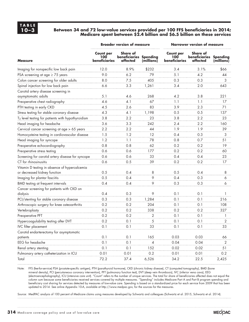#### **10–3 Between 34 and 72 low-value services provided per 100 FFS beneficiaries in 2014; Medicare spent between \$2.4 billion and \$6.5 billion on these services**

|                                                               |                                                 | <b>Broader version of measure</b>                     |            | <b>Narrower version of measure</b>       |                                                       |                |  |
|---------------------------------------------------------------|-------------------------------------------------|-------------------------------------------------------|------------|------------------------------------------|-------------------------------------------------------|----------------|--|
| <b>Measure</b>                                                | <b>Count per</b><br><b>100</b><br>beneficiaries | <b>Share of</b><br>beneficiaries Spending<br>affected | (millions) | <b>Count per</b><br>100<br>beneficiaries | <b>Share of</b><br>beneficiaries Spending<br>affected | (millions)     |  |
| Imaging for nonspecific low back pain                         | 12.0                                            | 8.9%                                                  | \$232      | 3.4                                      | 3.1%                                                  | \$66           |  |
| PSA screening at age $\geq$ 75 years                          | 9.0                                             | 6.2                                                   | 79         | 5.1                                      | 4.2                                                   | 44             |  |
| Colon cancer screening for older adults                       | 8.0                                             | 7.5                                                   | 405        | 0.3                                      | 0.3                                                   | 3              |  |
| Spinal injection for low back pain                            | 6.6                                             | 3.3                                                   | 1,261      | 3.4                                      | 2.0                                                   | 643            |  |
| Carotid artery disease screening in<br>asymptomatic adults    | 5.1                                             | 4.6                                                   | 268        | 4.2                                      | 3.8                                                   | 221            |  |
| Preoperative chest radiography                                | 4.6                                             | 4.1                                                   | 67         | 1.1                                      | 1.1                                                   | 17             |  |
| PTH testing in early CKD                                      | 4.5                                             | 2.6                                                   | 83         | 3.9                                      | 2.3                                                   | 71             |  |
| Stress testing for stable coronary disease                    | 4.3                                             | 4.1                                                   | 1,198      | 0.5                                      | 0.5                                                   | 137            |  |
| T <sub>3</sub> level testing for patients with hypothyroidism | 3.8                                             | 2.2                                                   | 23         | 3.8                                      | 2.2                                                   | 23             |  |
| Head imaging for headache                                     | 3.6                                             | 3.3                                                   | 242        | 2.4                                      | 2.2                                                   | 160            |  |
| Cervical cancer screening at age > 65 years                   | 2.2                                             | 2.2                                                   | 44         | 1.9                                      | 1.9                                                   | 39             |  |
| Homocysteine testing in cardiovascular disease                | 1.5                                             | 1.2                                                   | 12         | 0.4                                      | 0.3                                                   | 3              |  |
| Head imaging for syncope                                      | 1.2                                             | 1.1                                                   | 78         | 0.8                                      | 0.7                                                   | 51             |  |
| Preoperative echocardiography                                 | 0.8                                             | 0.8                                                   | 62         | 0.2                                      | 0.2                                                   | 19             |  |
| Preoperative stress testing                                   | 0.6                                             | 0.6                                                   | 177        | 0.2                                      | 0.2                                                   | 60             |  |
| Screening for carotid artery disease for syncope              | 0.6                                             | 0.6                                                   | 33         | 0.4                                      | 0.4                                                   | 23             |  |
| CT for rhinosinusitis                                         | 0.6                                             | 0.5                                                   | 39         | 0.2                                      | 0.2                                                   | 17             |  |
| Vitamin D testing in absence of hypercalcemia                 |                                                 |                                                       |            |                                          |                                                       |                |  |
| or decreased kidney function                                  | 0.5                                             | 0.4                                                   | 8          | 0.5                                      | 0.4                                                   | 8              |  |
| Imaging for plantar fasciitis                                 | 0.5                                             | 0.4                                                   | 9          | 0.4                                      | 0.3                                                   | 6              |  |
| BMD testing at frequent intervals                             | 0.4                                             | 0.4                                                   | 9          | 0.3                                      | 0.3                                                   | 6              |  |
| Cancer screening for patients with CKD on                     |                                                 |                                                       |            |                                          |                                                       |                |  |
| dialysis                                                      | 0.4                                             | 0.3                                                   | 9          | 0.1                                      | 0.1                                                   | 1              |  |
| PCI/stenting for stable coronary disease                      | 0.3                                             | 0.3                                                   | 1,284      | 0.1                                      | 0.1                                                   | 216            |  |
| Arthroscopic surgery for knee osteoarthritis                  | 0.2                                             | 0.2                                                   | 204        | 0.1                                      | 0.1                                                   | 108            |  |
| Vertebroplasty                                                | 0.2                                             | 0.2                                                   | 338        | 0.2                                      | 0.2                                                   | 327            |  |
| Preoperative PFT                                              | 0.2                                             | 0.2                                                   | 2          | 0.1                                      | 0.1                                                   |                |  |
| Hypercoagulability testing after DVT                          | 0.2                                             | 0.1                                                   | 5          | 0.1                                      | 0.1                                                   | $\overline{2}$ |  |
| <b>IVC</b> filter placement                                   | 0.1                                             | 0.1                                                   | 33         | 0.1                                      | 0.1                                                   | 33             |  |
| Carotid endarterectomy for asymptomatic                       |                                                 |                                                       |            |                                          |                                                       |                |  |
| patients                                                      | 0.1                                             | 0.1                                                   | 165        | 0.03                                     | 0.03                                                  | 66             |  |
| EEG for headache                                              | 0.1                                             | 0.1                                                   | 4          | 0.04                                     | 0.04                                                  | 2              |  |
| Renal artery stenting                                         | 0.1                                             | 0.1                                                   | 152        | 0.02                                     | 0.02                                                  | 51             |  |
| Pulmonary artery catheterization in ICU                       | 0.01                                            | 0.01                                                  | 0.2        | 0.01                                     | 0.01                                                  | 0.2            |  |
| Total                                                         | 72.2                                            | 37.4                                                  | 6,526      | 34.2                                     | 22.5                                                  | 2,425          |  |

Note: FFS (fee-for-service) PSA (prostate-specific antigen), PTH (parathyroid hormone), CKD (chronic kidney disease), CT (computed tomography), BMD (bone mineral density), PCI (percutaneous coronary intervention), PFT (pulmonary function test), DVT (deep vein thrombosis), IVC (inferior vena cava), EEG (electroencephalography), ICU (intensive care unit). "Count" refers to the number of unique services. The total for share of beneficiaries affected does not equal the column sum because some beneficiaries received services covered by multiple measures. "Spending" includes Medicare Part A and Part B program spending and beneficiary cost sharing for services detected by measures of low-value care. Spending is based on a standardized price for each service from 2009 that has been updated to 2014. See online Appendix 10-A, available at http://www.medpac.gov, for the sources for the measures.

Source: MedPAC analysis of 100 percent of Medicare claims using measures developed by Schwartz and colleagues (Schwartz et al. 2015, Schwartz et al. 2014).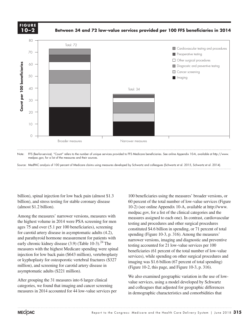#### **FIGURE X-X FIGURE 10–2**

**Between 34 and 72 low-value services provided per 100 FFS beneficiaries in 2014**

 $X \rightarrow \infty$   $X \rightarrow \infty$   $X \rightarrow \infty$ 



medpac.gov, for a list of the measures and their sources.

Source: MedPAC analysis of 100 percent of Medicare claims using measures developed by Schwartz and colleagues (Schwartz et al. 2015, Schwartz et al. 2014).

billion), spinal injection for low back pain (almost \$1.3 billion), and stress testing for stable coronary disease (almost \$1.2 billion).

Among the measures' narrower versions, measures with the highest volume in 2014 were PSA screening for men  $\frac{1}{\text{testing and ni}}$ ages 75 and over (5.1 per 100 beneficiaries), screening constituted \$4.6 billion for carotid artery disease in asymptomatic adults (4.2), and parathyroid hormone measurement for patients with early chronic kidney disease  $(3.9)$  (Table 10-3).<sup>24</sup> The measures with the highest Medicare spending were spinal in beneficiaries with the ingliest Medicale spending were spinal beneficiaries (61 percenting beneficiaries beneficiaries) while spending million), and screening for carotid artery disease in asymptomatic adults  $(\$221$  million).

After grouping the 31 measures into 6 larger clinical  $\frac{1}{\text{value} \times \text{e}^2}$  is  $\frac{1}{\text{value} \times \text{e}^2}$  and  $\frac{1}{\text{value} \times \text{e}^2}$ categories, we found that imaging and cancer screening measures in 2014 accounted for 44 low-value services per

100 beneficiaries using the measures' broader versions, or 60 percent of the total number of low-value services (Figure 10-2) (see online Appendix 10-A, available at http://www. medpac.gov, for a list of the clinical categories and the measures assigned to each one). In contrast, cardiovascular testing and procedures and other surgical procedures constituted \$4.6 billion in spending, or 71 percent of total spending (Figure 10-3, p. 316). Among the measures' narrower versions, imaging and diagnostic and preventive ronic kidney disease  $(3.9)$  (Table 10-3).<sup>24</sup> The testing accounted for 21 low-value services per 100 beneficiaries (61 percent of the total number of low-value services), while spending on other surgical procedures and imaging was \$1.6 billion (67 percent of total spending) (Figure 10-2, this page, and Figure 10-3, p. 316). or kyphoplasty for osteoporotic vertebral fractures  $\frac{1}{2}$  is selvices), while spending on other surgical procedures and on kyphoplasty for osteoporotic vertebral fractures  $\frac{1}{2}$  is  $\frac{1}{2}$  is  $\frac{1}{2}$  is  $\frac{1}{$ 

> We also examined geographic variation in the use of lowvalue services, using a model developed by Schwartz and colleagues that adjusted for geographic differences in demographic characteristics and comorbidities that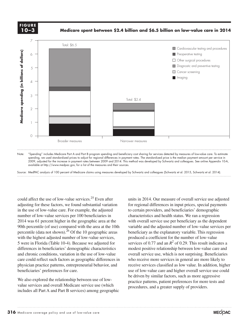**FIGURE X-X FIGURE 10–3**

**Medicare spent between \$2.4 billion and \$6.5 billion on low-value care in 2014**



2009, adjusted for the increase in payment rates between 2009 and 2014. This method was developed by Schwartz and colleagues. See online Appendix 10-A, available at http://www.medpac.gov, for a list of the measures and their sources.

Source: MedPAC analysis of 100 percent of Medicare claims using measures developed by Schwartz and colleagues (Schwartz et al. 2015, Schwartz et al. 2014).

could affect the use of low-value services.<sup>25</sup> Even after adjusting for these factors, we found substantial variation in the use of low-value care. For example, the adjusted number of low-value services per 100 beneficiaries in 2014 was 61 percent higher in the geographic area at the with overall is 90th percentile (of use) compared with the area at the 10th bout percentile (of use) compared with the area at the Tour and warrante and the adjustment percentile (data not shown).<sup>26</sup> Of the 10 geographic areas beneficiary as the exp with the highest adjusted number of low-value services, 5 were in Florida (Table 10-4). Because we adjusted for differences in beneficiaries' demographic characteristics and chronic conditions, variation in the use of low-value overall service use, while care could reflect such factors as geographic differences in physician practice patterns, entrepreneurial behavior, and beneficiaries' preferences for care. Use of the styles (and object styles) to format.

We also explored the relationship between use of low- $\frac{1}{\text{gradient}}$  practice patterns, patient preferences 1 value services and overall Medicare service use (which includes all Part A and Part B services) among geographic

units in 2014. Our measure of overall service use adjusted for regional differences in input prices, special payments to certain providers, and beneficiaries' demographic characteristics and health status. We ran a regression with overall service use per beneficiary as the dependent variable and the adjusted number of low-value services per beneficiary as the explanatory variable. This regression produced a coefficient for the number of low-value n Florida (Table 10-4). Because we adjusted for services of 0.77 and an  $R^2$  of 0.29. This result indicates a modest positive relationship between low-value care and overall service use, which is not surprising. Beneficiaries Ild reflect such factors as geographic differences in who receive more services in general are more likely to receive services classified as low value. In addition, higher use of low-value care and higher overall service use could be driven by similar factors, such as more aggressive practice patterns, patient preferences for more tests and procedures, and a greater supply of providers.

 $X \rightarrow \infty$   $X \rightarrow \infty$   $X \rightarrow \infty$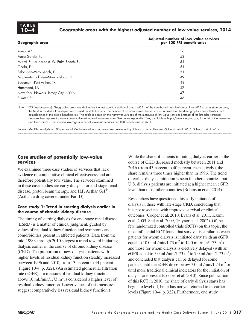

## **10–4 Geographic areas with the highest adjusted number of low-value services, 2014**

| Geographic area                        | Adjusted number of low-value services<br>per 100 FFS beneficiaries |
|----------------------------------------|--------------------------------------------------------------------|
| Yuma, AZ                               | 56                                                                 |
| Punta Gorda, FL                        | 53                                                                 |
| Miami-Ft. Lauderdale-W. Palm Beach, FL | 51                                                                 |
| Ocala, FL                              | 51                                                                 |
| Sebastian-Vero Beach, FL               | 51                                                                 |
| Naples-Immokalee-Marco Island, FL      | 49                                                                 |
| Beaumont-Port Arthur, TX               | 48                                                                 |
| Hammond, LA                            | 47                                                                 |
| New York-Newark-Jersey City, NY/NJ     | 47                                                                 |
| Sumter, SC                             | 46                                                                 |

Note: FFS (fee-for-service). Geographic areas are defined as the metropolitan statistical areas (MSAs) of the core-based statistical areas. If an MSA crosses state borders, the MSA is divided into multiple areas based on state borders. The number of an area's low-value services is adjusted for the demographic characteristics and comorbidities of the area's beneficiaries. This table is based on the narrower versions of the measures of low-value services (instead of the broader versions) because they represent a more conservative estimate of low-value care. See online Appendix 10-A, available at http://www.medpac.gov, for a list of the measures and their sources. The national average number of low-value services per 100 beneficiaries is 32.1.

Source: MedPAC analysis of 100 percent of Medicare claims using measures developed by Schwartz and colleagues (Schwartz et al. 2015, Schwartz et al. 2014).

### **Case studies of potentially low-value services**

We examined three case studies of services that lack evidence of comparative clinical effectiveness and are therefore potentially low value. The services examined in these case studies are early dialysis for end-stage renal disease, proton beam therapy, and H.P. Acthar Gel<sup>®</sup> (Acthar, a drug covered under Part D).

#### **Case study 1: Trend in starting dialysis earlier in the course of chronic kidney disease**

The timing of starting dialysis for end-stage renal disease (ESRD) is a matter of clinical judgment, guided by values of residual kidney function and symptoms and comorbidities present in affected patients. Data from the mid-1990s through 2010 suggest a trend toward initiating dialysis earlier in the course of chronic kidney disease (CKD). The proportion of new dialysis patients with higher levels of residual kidney function steadily increased between 1996 and 2010, from 13 percent to 44 percent (Figure 10-4, p. 322). (An estimated glomerular filtration rate (eGFR)—a measure of residual kidney function above 10 mL/min/1.73 m<sup>2</sup> is considered a higher level of residual kidney function. Lower values of this measure suggest comparatively less residual kidney function.)

While the share of patients initiating dialysis earlier in the course of CKD decreased modestly between 2011 and 2016 (from 43 percent to 40 percent, respectively), the share remains three times higher than in 1996. The trend of earlier dialysis initiation is seen in other countries, but U.S. dialysis patients are initiated at a higher mean eGFR level than most other countries (Robinson et al. 2014).

Researchers have questioned this early initiation of dialysis in those with late-stage CKD, concluding that it is not associated with improved survival or clinical outcomes (Cooper et al. 2010, Evans et al. 2011, Kazmi et al. 2005, Stel et al. 2009, Traynor et al. 2002). Of the few randomized controlled trials (RCTs) on this topic, the most influential RCT found that survival is similar between patients for whom dialysis is initiated early (with an eGFR equal to 10.0 mL/min/1.73 m<sup>2</sup> to 14.0 mL/min/1.73 m<sup>2</sup>) and those for whom dialysis is electively delayed (with an eGFR equal to 5.0 mL/min/1.73 m<sup>2</sup> to 7.0 mL/min/1.73 m<sup>2</sup>) and concluded that dialysis can be delayed for some patients until the eGFR drops below 7.0 mL/min/1.73 m<sup>2</sup> or until more traditional clinical indicators for the initiation of dialysis are present (Cooper et al. 2010). Since publication of this RCT in 2010, the share of early dialysis starts has begun to level off, but it has not yet returned to its earlier levels (Figure 10-4, p. 322). Furthermore, one study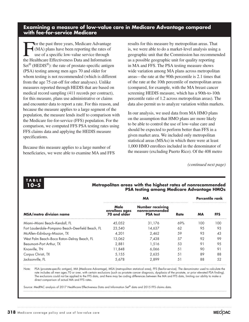## **Examining a measure of low-value care in Medicare Advantage compared with fee-for-service Medicare**

For the past three years, Medicare Advantage<br>(MA) plans have been reporting the rates of<br>use of a specific low-value service through<br>the Hoalthears Effectiveness Data and Information (MA) plans have been reporting the rates of use of a specific low-value service through the Healthcare Effectiveness Data and Information  $Set^{\circledR}$  (HEDIS $^{\circledR}$ ): the rate of prostate-specific antigen (PSA) testing among men ages 70 and older for whom testing is not recommended (which is different from the age 75 cut-off for other analyses). Unlike measures reported through HEDIS that are based on medical record sampling (411 records per contract), for this measure, plans use administrative or claims and encounter data to report a rate. For this reason, and because the measure applies to a large segment of the population, the measure lends itself to comparison with the Medicare fee-for-service (FFS) population. For the comparison, we computed FFS PSA testing rates using FFS claims data and applying the HEDIS measure specifications.

Because this measure applies to a large number of beneficiaries, we were able to examine MA and FFS results for this measure by metropolitan areas. That is, we were able to do a market-level analysis using a geographic unit that the Commission has recommended as a possible geographic unit for quality reporting in MA and FFS. The PSA testing measure shows wide variation among MA plans across metropolitan areas—the rate at the 90th percentile is 2.1 times that of the rate at the 10th percentile of metropolitan areas (compared, for example, with the MA breast cancer screening HEDIS measure, which has a 90th-to-10th percentile ratio of 1.2 across metropolitan areas). The data also permit us to analyze variation within markets.

In our analysis, we used data from MA HMO plans on the assumption that HMO plans are more likely to be able to control the use of low-value care and should be expected to perform better than FFS in a given market area. We included only metropolitan statistical areas (MSAs) in which there were at least 1,000 HMO enrollees included in the denominator of the measure (excluding Puerto Rico). Of the 408 metro

*(continued next page)*



#### **10–5 Metropolitan areas with the highest rates of nonrecommended PSA testing among Medicare Advantage HMOs**

|                                                   |                                        | <b>Percentile rank</b>                                       |      |     |     |
|---------------------------------------------------|----------------------------------------|--------------------------------------------------------------|------|-----|-----|
| <b>MSA/metro division name</b>                    | Male<br>enrollees ages<br>70 and older | <b>Number receiving</b><br>nonrecommended<br><b>PSA</b> test | Rate | MА  | FFS |
| Miami-Miami Beach-Kendall, FL                     | 45.052                                 | 31.176                                                       | 69%  | 100 | 100 |
| Fort Lauderdale-Pompano Beach-Deerfield Beach, FL | 23,540                                 | 14.637                                                       | 62   | 95  | 93  |
| McAllen-Edinburg-Mission, TX                      | 4.201                                  | 2.462                                                        | .59  | 93  | 43  |
| West Palm Beach-Boca Raton-Delray Beach, FL       | 13.062                                 | 7.438                                                        | 57   | 92  | 99  |
| Beaumont-Port Arthur, TX                          | 2.881                                  | 1.516                                                        | .53  | 91  | 9.5 |
| Knoxville, TN                                     | 11.848                                 | 6.066                                                        | .51  | 90  | 91  |
| Corpus Christi, TX                                | 5.155                                  | 2.635                                                        | .51  | 89  | 88  |
| Jacksonville, FL                                  | 5.678                                  | 2.899                                                        | .51  | 88  | 52  |

Note: PSA (prostate-specific antigen), MA (Medicare Advantage), MSA (metropolitan statistical area), FFS (fee-for-service). The denominator used to calculate the rate includes all men ages 70 or over, with certain exclusions (such as prostate cancer diagnosis, dysplasia of the prostate, or prior elevated PSA finding). The exclusions could not be applied to the FFS data, and there may be coding differences between the MA and FFS data, limiting our ability to make a direct comparison of actual MA and FFS rates.

Source: MedPAC analysis of 2017 Healthcare Effectiveness Data and Information Set® data and 2015 FFS claims data.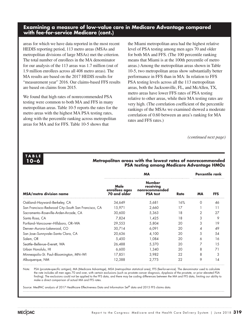# **Examining a measure of low-value care in Medicare Advantage compared with fee-for-service Medicare (cont.)**

areas for which we have data reported in the most recent HEDIS reporting period, 113 metro areas (MSAs and metropolitan divisions of large MSAs) met the criterion. The total number of enrollees in the MA denominator for our analysis of the 113 areas was 1.7 million (out of 1.9 million enrollees across all 408 metro areas). The MA results are based on the 2017 HEDIS results for "measurement year" 2016. Our claims-based FFS results are based on claims from 2015.

We found that high rates of nonrecommended PSA testing were common to both MA and FFS in many metropolitan areas. Table 10-5 reports the rates for the metro areas with the highest MA PSA testing rates, along with the percentile ranking across metropolitan areas for MA and for FFS. Table 10-5 shows that

the Miami metropolitan area had the highest relative level of PSA testing among men ages 70 and older for both MA and FFS. (The 100 percentile ranking means that Miami is at the 100th percentile of metro areas.) Among the metropolitan areas shown in Table 10-5, two metropolitan areas show substantially better performance in FFS than in MA: In relation to FFS PSA testing levels across all the 113 metropolitan areas, both the Jacksonville, FL, and McAllen, TX, metro areas have lower FFS rates of PSA testing relative to other areas, while their MA testing rates are very high. (The correlation coefficient of the percentile rankings of the MSAs we examined showed a moderate correlation of 0.60 between an area's ranking for MA rates and FFS rates.)

*(continued next page)*

# **TABLE**

#### **10–6 Metropolitan areas with the lowest rates of nonrecommended PSA testing among Medicare Advantage HMOs**

|                                                    |                                        |       | <b>Percentile rank</b> |          |     |
|----------------------------------------------------|----------------------------------------|-------|------------------------|----------|-----|
| <b>MSA/metro division name</b>                     | Male<br>enrollees ages<br>70 and older | Rate  | <b>MA</b>              |          |     |
| Oakland-Hayward-Berkeley, CA                       | 34,649                                 | 5,681 | 16%                    | $\Omega$ | 46  |
| San Francisco-Redwood City-South San Francisco, CA | 15.971                                 | 2,660 | 17                     |          | 11  |
| Sacramento-Roseville-Arden-Arcade, CA              | 30,600                                 | 5,363 | 18                     | 2        | 27  |
| Santa Rosa, CA                                     | 7,824                                  | 1,425 | 18                     | 3        | 9   |
| Portland-Vancouver-Hillsboro, OR-WA                | 29,553                                 | 5.804 | 20                     | 3        | 19  |
| Denver-Aurora-Lakewood, CO                         | 30,714                                 | 6.091 | 20                     | 4        | 49  |
| San Jose-Sunnyvale-Santa Clara, CA                 | 20,636                                 | 4.100 | 20                     | 5        | 54  |
| Salem, OR                                          | 5,450                                  | 1.084 | 20                     | 6        | 16  |
| Seattle-Bellevue-Everett, WA                       | 26,488                                 | 5.370 | 20                     | 7        | 1.5 |
| Urban Honolulu, HI                                 | 6,600                                  | 1,340 | 20                     | 8        | 71  |
| Minneapolis-St. Paul-Bloomington, MN-WI            | 17,851                                 | 3.982 | 22                     | 8        | 3   |
| Albuquerque, NM                                    | 12,388                                 | 2.775 | 22                     | 9        | 14  |

Note: PSA (prostate-specific antigen), MA (Medicare Advantage), MSA (metropolitan statistical area), FFS (fee-for-service). The denominator used to calculate the rate includes all men ages 70 and over, with certain exclusions (such as prostate cancer diagnosis, dysplasia of the prostate, or prior elevated PSA finding). The exclusions could not be applied to the FFS data, and there may be coding differences between the MA and FFS data, limiting our ability to make a direct comparison of actual MA and FFS rates.

Source: MedPAC analysis of 2017 Healthcare Effectiveness Data and Information Set® data and 2015 FFS claims data.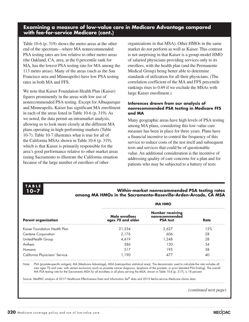## **Examining a measure of low-value care in Medicare Advantage compared with fee-for-service Medicare (cont.)**

Table 10-6 (p. 319) shows the metro areas at the other end of the spectrum—where MA nonrecommended PSA testing rates are low relative to other metro areas (the Oakland, CA, area, at the 0 percentile rank for MA, has the lowest PSA testing rate for MA among the 113 metro areas). Many of the areas (such as the San Francisco area and Minneapolis) have low PSA testing rates in both MA and FFS.

We note that Kaiser Foundation Health Plan (Kaiser) figures prominently in the areas with low use of nonrecommended PSA testing. Except for Albuquerque and Minneapolis, Kaiser has significant MA enrollment in each of the areas listed in Table 10-6 (p. 319). As we noted, the data permit an intramarket analysis, allowing us to look more closely at the different MA plans operating in high-performing markets (Table 10-7). Table 10-7 illustrates what is true for all of the California MSAs shown in Table 10-6 (p. 319), which is that Kaiser is primarily responsible for the area's good performance relative to other market areas (using Sacramento to illustrate the California situation because of the large number of enrollees of other

organizations in that MSA). Other HMOs in the same market do not perform as well as Kaiser. This contrast is not surprising in that Kaiser is a group-model HMO of salaried physicians providing services only to its enrollees, with the health plan (and the Permanente Medical Group) being better able to determine standards of utilization for all their physicians. (The correlation coefficient of the MA and FFS percentile rankings rises to 0.69 if we exclude the MSAs with large Kaiser enrollment.)

#### **Inferences drawn from our analysis of nonrecommended PSA testing in Medicare FFS and MA**

Many geographic areas have high levels of PSA testing among MA plans, considering this low-value care measure has been in place for three years. Plans have a financial incentive to control the frequency of this service to reduce costs of the test itself and subsequent tests and services that could be of questionable value. An additional consideration is the incentive of addressing quality of care concerns for a plan and for patients who may be subjected to a battery of tests



**10–7 Within-market nonrecommended PSA testing rates among MA HMOs in the Sacramento–Roseville–Arden-Arcade, CA MSA**

|                                | <b>MA HMO</b>                       |                                                              |             |  |  |  |
|--------------------------------|-------------------------------------|--------------------------------------------------------------|-------------|--|--|--|
| <b>Parent organization</b>     | Male enrollees<br>ages 70 and older | <b>Number receiving</b><br>nonrecommended<br><b>PSA</b> test | <b>Rate</b> |  |  |  |
| Kaiser Foundation Health Plan  | 21,534                              | 2.627                                                        | 12%         |  |  |  |
| <b>Centene Corporation</b>     | 2.176                               | 606                                                          | 28          |  |  |  |
| UnitedHealth Group             | 4.419                               | 1,248                                                        | 28          |  |  |  |
| Anthem                         | 386                                 | 130                                                          | 34          |  |  |  |
| Humana                         | 517                                 | 19.5                                                         | 38          |  |  |  |
| California Physicians' Service | 1.190                               | 477                                                          | 40          |  |  |  |

Note: PSA (prostate-specific antigen), MA (Medicare Advantage), MSA (metropolitan statistical area). The denominator used to calculate the rate includes all men ages 70 and over, with certain exclusions (such as prostate cancer diagnosis, dysplasia of the prostate, or prior elevated PSA finding). The overall MA PSA testing rate for the Sacramento MSA for all enrollees in all plans serving the MSA, shown in Table 10-4 (p. 317), is 18 percent.

Source: MedPAC analysis of 2017 Healthcare Effectiveness Data and Information Set® data and 2015 fee-for-service Medicare claims data.

*(continued next page)*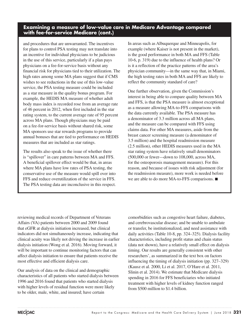# **Examining a measure of low-value care in Medicare Advantage compared with fee-for-service Medicare (cont.)**

and procedures that are unwarranted. The incentives for plans to control PSA testing may not translate into an incentive for individual physicians to be judicious in the use of this service, particularly if a plan pays physicians on a fee-for-service basis without any financial risk for physicians tied to their utilization. The high rates among some MA plans suggest that if CMS wishes to see reductions in the use of this low-value service, the PSA testing measure could be included as a star measure in the quality bonus program. For example, the HEDIS MA measure of whether adult body mass index is recorded rose from an average rate of 46 percent in 2012, when first included in the star rating system, to the current average rate of 95 percent across MA plans. Though physicians may be paid on a fee-for-service basis without shared risk, some MA sponsors use star rewards programs to provide annual bonuses that are tied to performance on HEDIS measures that are included as star ratings.

The results also speak to the issue of whether there is "spillover" in care patterns between MA and FFS. A beneficial spillover effect would be that, in areas where MA plans have low rates of PSA testing, the conservative use of the measure would spill over into FFS and reduce overutilization of the service in FFS. The PSA testing data are inconclusive in this respect. In areas such as Albuquerque and Minneapolis, for example (where Kaiser is not present in the market), is the good performance in both MA and FFS (Table 10-6, p. 319) due to the influence of health plans? Or is it a reflection of the practice patterns of the area's physician community—in the same way that, in Miami, the high testing rates in both MA and FFS are likely to reflect the community standard of care?

One further observation, given the Commission's interest in being able to compare quality between MA and FFS, is that the PSA measure is almost exceptional as a measure allowing MA-to-FFS comparisons with the data currently available. The PSA measure has a denominator of 3.3 million across all MA plans, and the measure can be compared with FFS using claims data. For other MA measures, aside from the breast cancer screening measure (a denominator of 3.5 million) and the hospital readmission measure (2.5 million), other HEDIS measures used in the MA star rating system have relatively small denominators (500,000 or fewer—down to 108,000, across MA, for the osteoporosis management measure). For this reason, and because of issues with risk adjustment (for the readmission measure), more work is needed before we are able to do more MA-to-FFS comparisons. ■

reviewing medical records of Department of Veterans Affairs (VA) patients between 2000 and 2009 found that eGFR at dialysis initiation increased, but clinical indicators did not simultaneously increase, indicating that clinical acuity was likely not driving the increase in earlier dialysis initiation (Wong et al. 2016). Moving forward, it will be important to continue monitoring factors that can affect dialysis initiation to ensure that patients receive the most effective and efficient dialysis care.

Our analysis of data on the clinical and demographic characteristics of all patients who started dialysis between 1996 and 2016 found that patients who started dialysis with higher levels of residual function were more likely to be older, male, white, and insured; have certain

comorbidities such as congestive heart failure, diabetes, and cerebrovascular disease; and be unable to ambulate or transfer, be institutionalized, and need assistance with daily activities (Table 10-8, pp. 324–325). Dialysis facility characteristics, including profit status and chain status (data not shown), have a relatively small effect on dialysis timing. Our results are generally consistent with other researchers', as summarized in the text box on factors influencing the timing of dialysis initiation (pp. 327–329) (Kausz et al. 2000, Li et al. 2017, O'Hare et al. 2011, Slinin et al. 2014). We estimate that Medicare dialysis spending in 2016 for FFS beneficiaries who initiated treatment with higher levels of kidney function ranged from \$500 million to \$1.4 billion.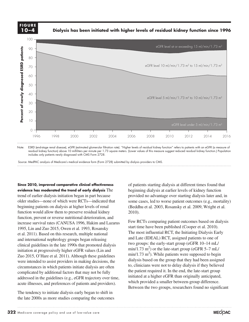**FIGURE FIGURE 10–4**

**Dialysis has been initiated with higher levels of residual kidney function since 1996**



Note: ESRD (end-stage renal disease), eGFR (estimated glomerular filtration rate). "Higher levels of residual kidney function" refers to patients with an eGFR (a measure of residual kidney function) above 10 milliliters per minute per 1.73 square meters. (Lower values of this measure suggest reduced residual kidney function.) Population includes only patients newly diagnosed with CMS Form 2728.

Source: MedPAC analysis of Medicare's medical evidence form (Form 2728) submitted by dialysis providers to CMS.

Since 2010, improved comparative clinical effectiveness evidence has moderated the trend of early dialysis The trend of earlier dialysis initiation began in part because older studies—none of which were RCTs—indicated that beginning patients on dialysis at higher levels of renal beginning patients on dialysis at higher levels of renal function would allow them to preserve residual kidney 2010). function, prevent or reverse nutritional deterioration, and  $F_{\text{out}} P$ increase survival rates (CANUSA 1996, Hakim and Lazarus 1995, Lin and Zuo 2015, Owen et al. 1993, Rosansky et al. 2011). Based on this research, multiple national **I didness in the most in** and international nephrology groups began releasing and Late (IDEAL) RC clinical guidelines in the late 1990s that promoted dialysis initiation at progressively higher eGFR values (Lin and Zuo 2015, O'Hare et al. 2011). Although these guidelines were intended to assist providers in making decisions, the  $\frac{d[3]}{d[3]}$ circumstances in which patients initiate dialysis are often complicated by additional factors that may not be fully addressed in the guidelines (e.g., eGFR trajectory over time, acute illnesses, and preferences of patients and providers).

The tendency to initiate dialysis early began to shift in the late 2000s as more studies comparing the outcomes

of patients starting dialysis at different times found that beginning dialysis at earlier levels of kidney function provided no advantage over starting dialysis later and, in some cases, led to worse patient outcomes (e.g., mortality) (Beddhu et al. 2003, Rosansky et al. 2009, Wright et al. 2010).

Few RCTs comparing patient outcomes based on dialysis start time have been published (Cooper et al. 2010). • I had to manually draw tick marks and axis lines because they kept resetting when I changed any data. The most influential RCT, the Initiating Dialysis Early and Late (IDEAL) RCT, assigned patients to one of two groups: the early-start group (eGFR 10–14 mL/ on at progressively higher eGFR values (L in and  $min/1.73 \text{ m}^2$ ) or the late-start group (eGFR 5–7 mL/  $min/1.73$   $m<sup>2</sup>$ ). While patients were supposed to begin dialysis based on the group that they had been assigned to, clinicians were not to delay dialysis if they believed the patient required it. In the end, the late-start group initiated at a higher eGFR than originally anticipated, which provided a smaller between-group difference. Between the two groups, researchers found no significant

**Title here....**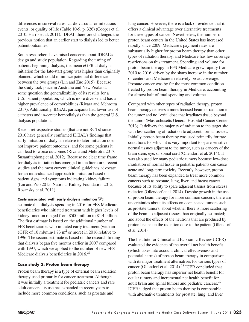differences in survival rates, cardiovascular or infectious events, or quality of life (Table 10-9, p. 326) (Cooper et al. 2010, Harris et al. 2011). IDEAL therefore challenged the previous notion that an earlier start to dialysis led to better patient outcomes.

Some researchers have raised concerns about IDEAL's design and study population. Regarding the timing of patients beginning dialysis, the mean eGFR at dialysis initiation for the late-start group was higher than originally planned, which could minimize potential differences between the two groups (Lin and Zuo 2015). Because the study took place in Australia and New Zealand, some question the generalizability of its results for a U.S. patient population, which is more diverse and has a higher prevalence of comorbidities (Rivara and Mehrotra 2017). Additionally, IDEAL participants had lower use of catheters and in-center hemodialysis than the general U.S. dialysis population.

Recent retrospective studies (that are not RCTs) since 2010 have generally confirmed IDEAL's findings that early initiation of dialysis relative to later initiation does not improve patient outcomes, and for some patients it can lead to worse outcomes (Rivara and Mehrotra 2017, Susantitaphong et al. 2012). Because no clear time frame for dialysis initiation has emerged in the literature, recent studies and the most current clinical guidelines advocate for an individualized approach to initiation based on patient signs and symptoms indicating kidney failure (Lin and Zuo 2015, National Kidney Foundation 2015, Rosansky et al. 2011).

**Costs associated with early dialysis initiation** We estimate that dialysis spending in 2016 for FFS Medicare beneficiaries who initiated treatment with higher levels of kidney function ranged from \$500 million to \$1.4 billion. The first estimate is based on the additional number of FFS beneficiaries who initiated early treatment (with an eGFR of 10 ml/min/1.73 m<sup>2</sup> or more) in 2016 relative to 1996. The second estimate is based on the research finding that dialysis began five months earlier in 2007 compared with 1997, which we applied to the number of new FFS Medicare dialysis beneficiaries in 2016.<sup>27</sup>

#### **Case study 2: Proton beam therapy**

Proton beam therapy is a type of external beam radiation therapy used primarily for cancer treatment. Although it was initially a treatment for pediatric cancers and rare adult cancers, its use has expanded in recent years to include more common conditions, such as prostate and

lung cancer. However, there is a lack of evidence that it offers a clinical advantage over alternative treatments for these types of cancer. Nevertheless, the number of proton beam centers in the United States has increased rapidly since 2009. Medicare's payment rates are substantially higher for proton beam therapy than other types of radiation therapy, and Medicare has few coverage restrictions on this treatment. Spending and volume for proton beam therapy in FFS Medicare grew rapidly from 2010 to 2016, driven by the sharp increase in the number of centers and Medicare's relatively broad coverage. Prostate cancer was by far the most common condition treated by proton beam therapy in Medicare, accounting for almost half of total spending and volume.

Compared with other types of radiation therapy, proton beam therapy delivers a more focused beam of radiation to the tumor and no "exit" dose that irradiates tissue beyond the tumor (Massachusetts General Hospital Cancer Center 2013). It delivers the majority of radiation to the target site with less scattering of radiation to adjacent normal tissues. Initially, proton beam therapy was used primarily for rare conditions for which it is very important to spare sensitive normal tissues adjacent to the tumor, such as cancers of the brain stem, eye, or spinal cord (Ollendorf et al. 2014). It was also used for many pediatric tumors because low-dose irradiation of normal tissue in pediatric patients can cause acute and long-term toxicity. Recently, however, proton beam therapy has been expanded to treat more common cancers such as prostate, lung, liver, and breast cancer because of its ability to spare adjacent tissues from excess radiation (Ollendorf et al. 2014). Despite growth in the use of proton beam therapy for more common cancers, there are uncertainties about its effects on deep-seated tumors such as prostate tumors; about whether there is more scattering of the beam to adjacent tissues than originally estimated; and about the effects of the neutrons that are produced by proton beams on the radiation dose to the patient (Ollendorf et al. 2014).

The Institute for Clinical and Economic Review (ICER) evaluated the evidence of the overall net health benefit (which takes into account clinical effectiveness and potential harms) of proton beam therapy in comparison with its major treatment alternatives for various types of cancer (Ollendorf et al. 2014).<sup>28</sup> ICER concluded that proton beam therapy has superior net health benefit for ocular tumors and incremental net health benefit for adult brain and spinal tumors and pediatric cancers.<sup>29</sup> ICER judged that proton beam therapy is comparable with alternative treatments for prostate, lung, and liver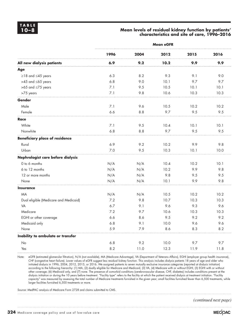#### **10–8 Mean levels of residual kidney function by patients' characteristics and site of care, 1996–2016**

|                                       | <b>Mean eGFR</b> |      |      |      |      |  |  |
|---------------------------------------|------------------|------|------|------|------|--|--|
|                                       | 1996             | 2004 | 2012 | 2015 | 2016 |  |  |
| All new dialysis patients             | 6.9              | 9.2  | 10.2 | 9.9  | 9.9  |  |  |
| Age                                   |                  |      |      |      |      |  |  |
| $\ge$ 18 and $\le$ 45 years           | 6.3              | 8.2  | 9.3  | 9.1  | 9.0  |  |  |
| $>45$ and $\leq 65$ years             | 6.8              | 9.0  | 10.1 | 9.7  | 9.7  |  |  |
| $>65$ and $\leq 75$ years             | 7.1              | 9.5  | 10.5 | 10.1 | 10.1 |  |  |
| >75 years                             | 7.1              | 9.8  | 10.6 | 10.3 | 10.3 |  |  |
| Gender                                |                  |      |      |      |      |  |  |
| Male                                  | 7.1              | 9.6  | 10.5 | 10.2 | 10.2 |  |  |
| Female                                | 6.6              | 8.8  | 9.7  | 9.5  | 9.5  |  |  |
| <b>Race</b>                           |                  |      |      |      |      |  |  |
| White                                 | 7.1              | 9.5  | 10.4 | 10.1 | 10.1 |  |  |
| Nonwhite                              | 6.8              | 8.8  | 9.7  | 9.5  | 9.5  |  |  |
| <b>Beneficiary place of residence</b> |                  |      |      |      |      |  |  |
| Rural                                 | 6.9              | 9.2  | 10.2 | 9.9  | 9.8  |  |  |
| Urban                                 | 7.0              | 9.5  | 10.3 | 10.1 | 10.0 |  |  |
| Nephrologist care before dialysis     |                  |      |      |      |      |  |  |
| 0 to 6 months                         | N/A              | N/A  | 10.4 | 10.2 | 10.1 |  |  |
| 6 to 12 months                        | N/A              | N/A  | 10.2 | 9.9  | 9.8  |  |  |
| 12 or more months                     | N/A              | N/A  | 9.8  | 9.5  | 9.5  |  |  |
| None                                  | N/A              | N/A  | 10.1 | 9.9  | 9.8  |  |  |
| <b>Insurance</b>                      |                  |      |      |      |      |  |  |
| <b>MA</b>                             | N/A              | N/A  | 10.5 | 10.2 | 10.2 |  |  |
| Dual eligible (Medicare and Medicaid) | 7.2              | 9.8  | 10.7 | 10.3 | 10.3 |  |  |
| VA                                    | 6.7              | 9.1  | 9.6  | 9.3  | 9.6  |  |  |
| Medicare                              | 7.2              | 9.7  | 10.6 | 10.3 | 10.3 |  |  |
| EGHI or other coverage                | 6.6              | 8.6  | 9.5  | 9.2  | 9.2  |  |  |
| Medicaid only                         | 6.8              | 9.1  | 10.0 | 9.6  | 9.6  |  |  |
| None                                  | 5.9              | 7.9  | 8.6  | 8.3  | 8.2  |  |  |
| Inability to ambulate or transfer     |                  |      |      |      |      |  |  |
| <b>No</b>                             | 6.8              | 9.2  | 10.0 | 9.7  | 9.7  |  |  |
| Yes                                   | 8.2              | 11.0 | 12.3 | 11.9 | 11.8 |  |  |

Note: eGFR (estimated glomerular filtration), N/A (not available), MA (Medicare Advantage), VA (Department of Veterans Affairs), EGHI (employer group health insurance), CHF (congestive heart failure). Lower values of eGFR suggest less residual kidney function. This analysis includes dialysis patients 18 years of age and older who initiated dialysis in 1996, 2004, 2012, 2015, or 2016. We assigned patients to seven mutually exclusive insurance categories (reported at dialysis initiation) according to the following hierarchy: (1) MA, (2) dually eligible for Medicare and Medicaid, (3) VA, (4) Medicare with or without EGHI, (5) EGHI with or without other coverage; (6) Medicaid only, and (7) none. The presence of comorbid conditions (cerebrovascular disease, CHF, diabetes) includes conditions present at the dialysis initiation or during the 10 years before treatment. "Facility type" refers to the facility at which the patient received dialysis at treatment initiation. "Facility capacity" was measured by assessing the total number of Medicare treatments furnished in the given year; small facilities furnished fewer than 6,500 treatments, while larger facilities furnished 6,500 treatments or more.

Source: MedPAC analysis of Medicare Form 2728 and claims submitted to CMS.

*(continued next page)*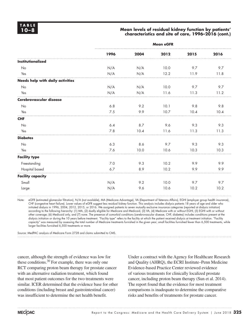#### **10–8 Mean levels of residual kidney function by patients' characteristics and site of care, 1996–2016 (cont.)**

|                                  | <b>Mean eGFR</b> |      |      |      |      |  |  |
|----------------------------------|------------------|------|------|------|------|--|--|
|                                  | 1996             | 2004 | 2012 | 2015 | 2016 |  |  |
| <b>Institutionalized</b>         |                  |      |      |      |      |  |  |
| No                               | N/A              | N/A  | 10.0 | 9.7  | 9.7  |  |  |
| Yes                              | N/A              | N/A  | 12.2 | 11.9 | 11.8 |  |  |
| Needs help with daily activities |                  |      |      |      |      |  |  |
| No                               | N/A              | N/A  | 10.0 | 9.7  | 9.7  |  |  |
| Yes                              | N/A              | N/A  | 11.6 | 11.3 | 11.2 |  |  |
| Cerebrovascular disease          |                  |      |      |      |      |  |  |
| No                               | 6.8              | 9.2  | 10.1 | 9.8  | 9.8  |  |  |
| Yes                              | 7.5              | 9.9  | 10.7 | 10.4 | 10.4 |  |  |
| <b>CHF</b>                       |                  |      |      |      |      |  |  |
| No                               | 6.4              | 8.7  | 9.6  | 9.3  | 9.3  |  |  |
| Yes                              | 7.8              | 10.4 | 11.6 | 11.3 | 11.3 |  |  |
| <b>Diabetes</b>                  |                  |      |      |      |      |  |  |
| No                               | 6.3              | 8.6  | 9.7  | 9.3  | 9.3  |  |  |
| Yes                              | 7.6              | 10.0 | 10.6 | 10.3 | 10.3 |  |  |
| <b>Facility type</b>             |                  |      |      |      |      |  |  |
| Freestanding                     | 7.0              | 9.3  | 10.2 | 9.9  | 9.9  |  |  |
| Hospital based                   | 6.7              | 8.9  | 10.2 | 9.9  | 9.9  |  |  |
| <b>Facility capacity</b>         |                  |      |      |      |      |  |  |
| Small                            | N/A              | 9.2  | 10.0 | 9.7  | 9.7  |  |  |
| Large                            | N/A              | 9.6  | 10.6 | 10.2 | 10.2 |  |  |

Note: eGFR (estimated glomerular filtration), N/A (not available), MA (Medicare Advantage), VA (Department of Veterans Affairs), EGHI (employer group health insurance), CHF (congestive heart failure). Lower values of eGFR suggest less residual kidney function. This analysis includes dialysis patients 18 years of age and older who initiated dialysis in 1996, 2004, 2012, 2015, or 2016. We assigned patients to seven mutually exclusive insurance categories (reported at dialysis initiation) according to the following hierarchy: (1) MA, (2) dually eligible for Medicare and Medicaid, (3) VA, (4) Medicare with or without EGHI, (5) EGHI with or without other coverage; (6) Medicaid only, and (7) none. The presence of comorbid conditions (cerebrovascular disease, CHF, diabetes) includes conditions present at the dialysis initiation or during the 10 years before treatment. "Facility type" refers to the facility at which the patient received dialysis at treatment initiation. "Facility capacity" was measured by assessing the total number of Medicare treatments furnished in the given year; small facilities furnished fewer than 6,500 treatments, while larger facilities furnished 6,500 treatments or more.

Source: MedPAC analysis of Medicare Form 2728 and claims submitted to CMS.

cancer, although the strength of evidence was low for these conditions.<sup>30</sup> For example, there was only one RCT comparing proton beam therapy for prostate cancer with an alternative radiation treatment, which found that most patient outcomes for the two treatments were similar. ICER determined that the evidence base for other conditions (including breast and gastrointestinal cancer) was insufficient to determine the net health benefit.

Under a contract with the Agency for Healthcare Research and Quality (AHRQ), the ECRI Institute–Penn Medicine Evidence-based Practice Center reviewed evidence of various treatments for clinically localized prostate cancer, including proton beam therapy (Sun et al. 2014). The report found that the evidence for most treatment comparisons is inadequate to determine the comparative risks and benefits of treatments for prostate cancer.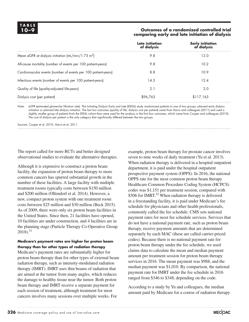# **TABLE**

#### **10–9 Outcomes of a randomized controlled trial comparing early and late initiation of dialysis**

|                                                                | Late initiation<br>of dialysis | Early initiation<br>of dialysis |
|----------------------------------------------------------------|--------------------------------|---------------------------------|
| Mean eGFR at dialysis initiation $(mL/min/1.73 m2)$            | 9.8                            | 12.0                            |
| All-cause mortality (number of events per 100 patient-years)   | 9.8                            | 10.2                            |
| Cardiovascular events (number of events per 100 patient-years) | 8.8                            | 10.9                            |
| Infectious events (number of events per 100 patient-years)     | 14.3                           | 12.4                            |
| Quality of life (quality-adjusted life-years)                  | 2.1                            | 2.0                             |
| Dialysis cost (per patient)                                    | \$96,763                       | \$117,163                       |

Note: eGFR (estimated glomerular filtration rate). The Initiating Dialysis Early and Late (IDEAL) study randomized patients to one of two groups: planned early dialysis initiation or planned late dialysis initiation. The last two outcomes (quality of life, dialysis cost per patient) came from Harris and colleagues (2011) and used a slightly smaller group of patients from the IDEAL cohort than were used for the analysis in the first four outcomes, which came from Cooper and colleagues (2010). The cost of dialysis per patient is the only category that significantly differed between the two groups.

Sources: Cooper et al. 2010, Harris et al. 2011.

The report called for more RCTs and better designed observational studies to evaluate the alternative therapies.

Although it is expensive to construct a proton beam facility, the expansion of proton beam therapy to more common cancers has spurred substantial growth in the number of these facilities. A large facility with multiple treatment rooms typically costs between \$150 million and \$200 million (Ollendorf et al. 2014). However, a new, compact proton system with one treatment room costs between \$25 million and \$30 million (Beck 2015). As of 2009, there were only six proton beam facilities in the United States. Since then, 21 facilities have opened, 10 facilities are under construction, and 4 facilities are in the planning stage (Particle Therapy Co-Operative Group  $2018$ ).<sup>31</sup>

#### **Medicare's payment rates are higher for proton beam therapy than for other types of radiation therapy**

Medicare's payment rates are substantially higher for proton beam therapy than for other types of external beam radiation therapy, such as intensity-modulated radiation therapy (IMRT). IMRT uses thin beams of radiation that are aimed at the tumor from many angles, which reduces the damage to healthy tissue near the tumor. Both proton beam therapy and IMRT receive a separate payment for each session of treatment, although treatment for most cancers involves many sessions over multiple weeks. For

example, proton beam therapy for prostate cancer involves seven to nine weeks of daily treatment (Yu et al. 2013). When radiation therapy is delivered in a hospital outpatient department, it is paid under the hospital outpatient prospective payment system (OPPS). In 2016, the national OPPS rate for the most common proton beam therapy Healthcare Common Procedure Coding System (HCPCS) codes was \$1,151 per treatment session, compared with \$506 for IMRT.<sup>32</sup> When radiation therapy is delivered in a freestanding facility, it is paid under Medicare's fee schedule for physicians and other health professionals, commonly called the fee schedule. CMS sets national payment rates for most fee schedule services. Services that do not have a national payment rate, such as proton beam therapy, receive payment amounts that are determined separately by each MAC (these are called carrier-priced codes). Because there is no national payment rate for proton beam therapy under the fee schedule, we used claims data to calculate the mean and median payment amount per treatment session for proton beam therapy services in 2016. The mean payment was \$988, and the median payment was \$1,010. By comparison, the national payment rate for IMRT under the fee schedule in 2016 ranged from \$346 to \$348, depending on the code.

According to a study by Yu and colleagues, the median amount paid by Medicare for a course of radiation therapy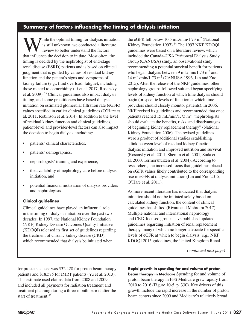# **Summary of factors influencing the timing of dialysis initiation**

While the optimal timing for dialysis initiation<br>is still unknown, we conducted a literature<br>review to better understand the factors<br>that influence the decision to initiate Meet often the is still unknown, we conducted a literature review to better understand the factors that influence the decision to initiate. Most often, the timing is decided by the nephrologist of end-stage renal disease (ESRD) patients and is based on clinical judgment that is guided by values of residual kidney function and the patient's signs and symptoms of kidney failure (e.g., fluid overload, fatigue), including those related to comorbidity (Li et al. 2017, Rosansky et al. 2009).33 Clinical guidelines also impact dialysis timing, and some practitioners have based dialysis initiation on estimated glomerular filtration rate (eGFR) values specified in earlier clinical guidelines (O'Hare et al. 2011, Robinson et al. 2014). In addition to the level of residual kidney function and clinical guidelines, patient-level and provider-level factors can also impact the decision to begin dialysis, including:

- patients' clinical characteristics,
- patients' demographics,
- nephrologists' training and experience,
- the availability of nephrology care before dialysis initiation, and
- potential financial motivation of dialysis providers and nephrologists.

#### **Clinical guidelines**

Clinical guidelines have played an influential role in the timing of dialysis initiation over the past two decades. In 1997, the National Kidney Foundation (NKF) Kidney Disease Outcomes Quality Initiative (KDOQI) released its first set of guidelines regarding the treatment of chronic kidney disease (CKD), which recommended that dialysis be initiated when

the eGFR fell below 10.5 mL/min/1.73 m<sup>2</sup> (National Kidney Foundation 1997).<sup>34</sup> The 1997 NKF KDOQI guidelines were based on a literature review, which included the Canada–USA Peritoneal Dialysis Study Group (CANUSA) study, an observational study recommending a potential survival benefit for patients who began dialysis between 9 mL/min/1.73  $m^2$  and 14 mL/min/1.73 m2 (CANUSA 1996, Lin and Zuo 2015). After the release of the NKF guidelines, other nephrology groups followed suit and began specifying levels of kidney function at which time dialysis should begin (or specific levels of function at which time providers should closely monitor patients). In 2006, NKF revised its guidelines and recommended that once patients reached 15 mL/min/1.73 m<sup>2</sup>, "nephrologists should evaluate the benefits, risks, and disadvantages of beginning kidney replacement therapy" (National Kidney Foundation 2006). The revised guidelines were a product of additional studies establishing a link between level of residual kidney function at dialysis initiation and improved nutrition and survival (Rosansky et al. 2011, Shemin et al. 2001, Suda et al. 2000, Termorshuizen et al. 2004). According to researchers, the increased focus that guidelines placed on eGFR values likely contributed to the corresponding rise in eGFR at dialysis initiation (Lin and Zuo 2015, O'Hare et al. 2011).

As more recent literature has indicated that dialysis initiation should not be initiated solely based on calculated kidney function, the content of clinical guidelines has shifted (Rivara and Mehrotra 2017). Multiple national and international nephrology and CKD-focused groups have published updated guidelines regarding initiation of renal replacement therapy, many of which no longer advocate for specific levels of eGFR at which to begin dialysis (e.g., NKF KDOQI 2015 guidelines, the United Kingdom Renal

*(continued next page)*

for prostate cancer was \$32,428 for proton beam therapy patients and \$18,575 for IMRT patients (Yu et al. 2013). This estimate used claims data from 2008 and 2009 and included all payments for radiation treatment and treatment planning during a three-month period after the start of treatment. $35$ 

**Rapid growth in spending for and volume of proton beam therapy in Medicare** Spending for and volume of proton beam therapy in FFS Medicare grew rapidly from 2010 to 2016 (Figure 10-5, p. 330). Key drivers of this growth include the rapid increase in the number of proton beam centers since 2009 and Medicare's relatively broad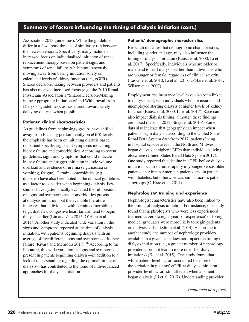# **Summary of factors influencing the timing of dialysis initiation (cont.)**

Association 2013 guidelines). While the guidelines differ in a few areas, threads of similarity run between the newest versions. Specifically, many include an increased focus on individualized initiation of renal replacement therapy based on patient signs and symptoms of renal failure, while simultaneously moving away from basing initiation solely on calculated levels of kidney function (i.e., eGFR). Shared decision-making between providers and patients has also received increased focus (e.g., the 2010 Renal Physicians Association's "Shared Decision-Making in the Appropriate Initiation of and Withdrawal from Dialysis" guidelines), as has a trend toward safely delaying dialysis when possible.

#### **Patients' clinical characteristics**

As guidelines from nephrology groups have shifted away from focusing predominantly on eGFR levels, the emphasis has been on initiating dialysis based on patient-specific signs and symptoms indicating kidney failure and comorbidities. According to recent guidelines, signs and symptoms that could indicate kidney failure and trigger initiation include volume overload and evidence of uremia (e.g., nausea or vomiting, fatigue). Certain comorbidities (e.g., diabetes) have also been noted in the clinical guidelines as a factor to consider when beginning dialysis. Few studies have systematically evaluated the full breadth of signs and symptoms and comorbidities present at dialysis initiation, but the available literature indicates that individuals with certain comorbidities (e.g., diabetes, congestive heart failure) tend to begin dialysis earlier (Lin and Zuo 2015, O'Hare et al. 2011). Another study indicated wide variation in the signs and symptoms reported at the time of dialysis initiation, with patients beginning dialysis with an average of five different signs and symptoms of kidney failure (Rivara and Mehrotra 2017).<sup>36</sup> According to the literature, this wide variation in signs and symptoms present in patients beginning dialysis—in addition to a lack of understanding regarding the optimal timing of dialysis—has contributed to the trend of individualized approaches for dialysis initiation.

#### **Patients' demographic characteristics**

Research indicates that demographic characteristics, including gender and age, may also influence the timing of dialysis initiation (Kausz et al. 2000, Li et al. 2017). Specifically, individuals who are older or male tend to start dialysis earlier than individuals who are younger or female, regardless of clinical severity (Lassalle et al. 2010, Li et al. 2017, O'Hare et al. 2011, Wilson et al. 2007).

Employment and insurance level have also been linked to dialysis start, with individuals who are insured and unemployed starting dialysis at higher levels of kidney function (Kausz et al. 2000, Li et al. 2017). Race can also impact dialysis timing, although these findings are mixed (Li et al. 2017, Streja et al. 2013). Some data also indicate that geography can impact when patients begin dialysis; according to the United States Renal Data System data from 2017, patients living in hospital service areas in the North and Midwest began dialysis at higher eGFRs than individuals living elsewhere (United States Renal Data System 2017). One study reported that decline in eGFR before dialysis initiation occurred more rapidly in younger versus older patients, in African American patients, and in patients with diabetes, but otherwise was similar across patient subgroups (O'Hare et al. 2011).

#### **Nephrologists' training and experience**

Nephrologist characteristics have also been linked to the timing of dialysis initiation. For instance, one study found that nephrologists who were less experienced (defined as zero to eight years of experience) or foreign medical graduates were more likely to begin patients on dialysis earlier (Slinin et al. 2014). According to another study, the number of nephrology providers available in a given state does not impact the timing of dialysis initiation (i.e., a greater number of nephrology providers does not lead to more or earlier dialysis initiations) (Ku et al. 2015). One study found that, while patient-level factors accounted for more of the variation in patients' eGFR at dialysis initiation, provider-level factors still affected when a patient began dialysis (Li et al. 2017). Understanding provider

*(continued next page)*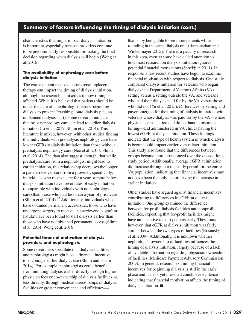# **Summary of factors influencing the timing of dialysis initiation (cont.)**

characteristics that might impact dialysis initiation is important, especially because providers continue to be predominantly responsible for making the final decision regarding when dialysis will begin (Wong et al. 2016).

#### **The availability of nephrology care before dialysis initiation**

The care a patient receives before renal replacement therapy can impact the timing of dialysis initiation, although the research is mixed as to how timing is affected. While it is believed that patients should be under the care of a nephrologist before beginning dialysis to prevent "crashing" onto dialysis (i.e., an unplanned dialysis start), some research indicates that prior nephrology care can lead to earlier dialysis initiation (Li et al. 2017, Slinin et al. 2014). This literature is mixed, however, with other studies finding that individuals with predialysis nephrology care have lower eGFRs at dialysis initiation than those without predialysis nephrology care (Nee et al. 2017, Slinin et al. 2014). The data also suggest, though, that while predialysis care from a nephrologist might lead to earlier initiation, this relationship decreases the longer a patient receives care from a provider; specifically, individuals who receive care for a year or more before dialysis initiation have lower rates of early initiation (comparable with individuals with no nephrology care) than those who had less than a year of prior care (Slinin et al. 2014). $37$  Additionally, individuals who have obtained permanent access (i.e., those who have undergone surgery to receive an arteriovenous graft or fistula) have been found to start dialysis earlier than those who have not obtained permanent access (Slinin et al. 2014, Wong et al. 2016).

#### **Potential financial motivation of dialysis providers and nephrologists**

Some researchers speculate that dialysis facilities and nephrologists might have a financial incentive to encourage earlier dialysis use (Slinin and Ishani 2014). For example, nephrologists could benefit from initiating dialysis earlier directly through higher physician fees or co-ownership of dialysis facilities or, less directly, through medical directorships of dialysis facilities or greater convenience and efficiencythat is, by being able to see more patients while rounding in the same dialysis unit (Ramanathan and Winkelmayer 2015). There is a paucity of research in this area, even as some have called attention to how most research on dialysis initiation ignores potential financial motivations (Senekjian 2011). In response, a few recent studies have begun to examine financial motivation with respect to dialysis. One study compared dialysis initiation for veterans who began dialysis in a Department of Veterans Affairs (VA) setting versus a setting outside the VA, and veterans who had their dialysis paid for by the VA versus those who did not (Yu et al. 2015). Differences by setting and payer emerged for the timing of dialysis initiation, with veterans whose dialysis was paid for by the VA—where physicians are salaried and do not handle insurance billing—and administered in VA clinics having the lowest eGFR at dialysis initiation. These findings indicate that the type of health system in which dialysis is begun could impact earlier versus later initiation. This study also found that the differences between groups became more pronounced over the decade-long study period. Additionally, average eGFR at initiation did increase throughout the study period for the entire VA population, indicating that financial incentives may not have been the only factor driving the increase in earlier initiation.

Other studies have argued against financial incentives contributing to differences in eGFR at dialysis initiation. One group examined the difference between for-profit dialysis facilities and nonprofit facilities, expecting that for-profit facilities might have an incentive to start patients early. They found, however, that eGFR at dialysis initiation was fairly similar between the two types of facilities (Rosansky et al. 2009). Additionally, it is unknown whether nephrologist ownership of facilities influences the timing of dialysis initiation, largely because of a lack of available information regarding physician ownership of facilities (Medicare Payment Advisory Commission 2009). In general, research examining financial incentives for beginning dialysis is still in the early phase and has not yet provided conclusive evidence indicating that financial motivation affects the timing of dialysis initiation. ■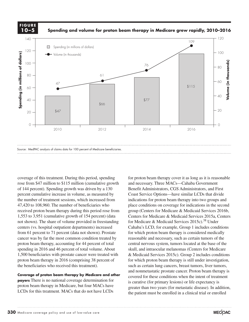**FIGURE 10–5**

**Spending and volume for proton beam therapy in Medicare grew rapidly, 2010–2016**



Source: MedPAC analysis of claims data for 100 percent of Medicare beneficiaries.

coverage of this treatment. During this period, spending rose from \$47 million to \$115 million (cumulative growth of 144 percent). Spending growth was driven by a 130 percent cumulative increase in volume, as measured by the number of treatment sessions, which increased from 47,420 to 108,960. The number of beneficiaries who received proton beam therapy during this period rose from 1,553 to 3,951 (cumulative growth of 154 percent) (data Centers for N not shown). The share of volume provided in freestanding for Medicare & Med centers (vs. hospital outpatient departments) increased refliers (vs. nospital outpatient departments) increased<br>from 61 percent to 71 percent (data not shown). Prostate cancer was by far the most common condition treated by proton beam therapy, accounting for 44 percent of total central nervous system, spending in 2016 and 46 percent of total volume. About 1,500 beneficiaries with prostate cancer were treated with proton beam therapy in 2016 (comprising 38 percent of the beneficiaries who received this treatment). Such and object styles

and nonmetastatic prostate cancer. Pro<br>**Coverage of proton beam therapy by Medicare and other** a covered for these conditions when the **payers** There is no national coverage determination for proton beam therapy in Medicare, but four MACs have LCDs for this treatment. MACs that do not have LCDs

for proton beam therapy cover it as long as it is reasonable and necessary. Three MACs—Cahaba Government Benefit Administrators, CGS Administrators, and First Coast Service Options—have similar LCDs that divide indications for proton beam therapy into two groups and place conditions on coverage for indications in the second group (Centers for Medicare & Medicaid Services 2016b, Centers for Medicare & Medicaid Services 2015a, Centers for Medicare & Medicaid Services  $2015c$ .<sup>38</sup> Under Cahaba's LCD, for example, Group 1 includes conditions for which proton beam therapy is considered medically was by far the most common condition treated by reasonable and necessary, such as certain tumors of the central nervous system, tumors located at the base of the skull, and intraocular melanomas (Centers for Medicare  $\frac{1}{2}$  and  $\frac{1}{2}$  services 2015c). Group 2 includes conditions energiciaries with prostate cancer were treated with  $\frac{1}{2}$  Medicaid Services 2015c). Group 2 includes conditions for which proton beam therapy is still under investigation, such as certain lung cancers, breast tumors, liver tumors, and nonmetastatic prostate cancer. Proton beam therapy is covered for these conditions when the intent of treatment is curative (for primary lesions) or life expectancy is greater than two years (for metastatic disease). In addition, the patient must be enrolled in a clinical trial or enrolled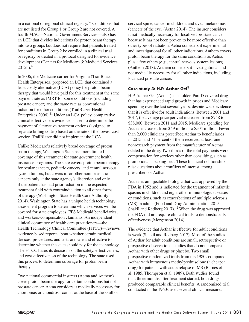in a national or regional clinical registry.39 Conditions that are not listed for Group 1 or Group 2 are not covered. A fourth MAC—National Government Services—also has an LCD that divides indications for proton beam therapy into two groups but does not require that patients treated for conditions in Group 2 be enrolled in a clinical trial or registry or treated in a protocol designed for evidence development (Centers for Medicare & Medicaid Services  $2015b$ ). $40$ 

In 2006, the Medicare carrier for Virginia (TrailBlazer Health Enterprises) proposed an LCD that contained a least costly alternative (LCA) policy for proton beam therapy that would have paid for this treatment at the same payment rate as IMRT for some conditions (including prostate cancer) and the same rate as conventional radiation for other conditions (TrailBlazer Health Enterprises  $2006$ <sup>11</sup> Under an LCA policy, comparative clinical effectiveness evidence is used to determine the payment of alternative treatment options (assigned to separate billing codes) based on the rate of the lowest cost service. TrailBlazer did not implement the LCA.

Unlike Medicare's relatively broad coverage of proton beam therapy, Washington State has more limited coverage of this treatment for state government health insurance programs. The state covers proton beam therapy for ocular cancers, pediatric cancers, and central nervous system tumors, but covers it for other nonmetastatic cancers only at the state agency's discretion and only if the patient has had prior radiation in the expected treatment field with contraindication to all other forms of therapy (Washington State Health Care Authority 2014). Washington State has a unique health technology assessment program to determine which services will be covered for state employees, FFS Medicaid beneficiaries, and workers-compensation claimants. An independent clinical committee of health care practitioners—the Health Technology Clinical Committee (HTCC)—reviews evidence-based reports about whether certain medical devices, procedures, and tests are safe and effective to determine whether the state should pay for the technology. The HTCC bases its decisions on the safety, effectiveness, and cost-effectiveness of the technology. The state used this process to determine coverage for proton beam therapy.

Two national commercial insurers (Aetna and Anthem) cover proton beam therapy for certain conditions but not prostate cancer. Aetna considers it medically necessary for chordomas or chondrosarcomas at the base of the skull or

cervical spine, cancer in children, and uveal melanomas (cancers of the eye) (Aetna 2014). The insurer considers it not medically necessary for localized prostate cancer because it has not been proven to be more effective than other types of radiation. Aetna considers it experimental and investigational for all other indications. Anthem covers proton beam therapy for the same conditions as Aetna, plus a few others (e.g., central nervous system lesions) (Anthem 2018). Anthem considers it investigational and not medically necessary for all other indications, including localized prostate cancer.

#### **Case study 3: H.P. Acthar Gel®**

H.P. Acthar Gel (Acthar) is an older, Part D-covered drug that has experienced rapid growth in prices and Medicare spending over the last several years, despite weak evidence that it is effective for adult indications. Between 2001 and 2017, the average price per vial increased from \$748 to \$38,000. Between 2011 and 2015, Medicare spending for Acthar increased from \$49 million to \$504 million. Fewer than 2,000 clinicians prescribed Acthar to beneficiaries in 2015, and 71 percent of them received at least one nonresearch payment from the manufacturer of Acthar related to the drug. Two-thirds of the total payments were compensation for services other than consulting, such as promotional speaking fees. These financial relationships raise questions about conflicts of interest among prescribers of Acthar.

Acthar is an injectable biologic that was approved by the FDA in 1952 and is indicated for the treatment of infantile spasms in children and eight other immunologic diseases or conditions, such as exacerbations of multiple sclerosis (MS) in adults (Food and Drug Administration 2015, Shakil and Redberg  $2017$ ).<sup>42</sup> When the drug was approved, the FDA did not require clinical trials to demonstrate its effectiveness (Morgenson 2014).

The evidence that Acthar is effective for adult conditions is weak (Shakil and Redberg 2017). Most of the studies of Acthar for adult conditions are small, retrospective or prospective observational studies that do not compare Acthar with other drugs or placebo. Two small, prospective randomized trials from the 1980s compared Acthar with intravenous methylprednisolone (a cheaper drug) for patients with acute relapse of MS (Barnes et al. 1985, Thompson et al. 1989). Both studies found that, three months after treatment started, both drugs produced comparable clinical benefits. A randomized trial conducted in the 1960s used several clinical measures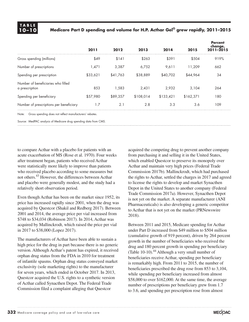# **TABLE**

**10–10 Medicare Part D spending and volume for H.P. Acthar Gel® grew rapidly, 2011–2015** 

|                                                                                                                                | 2011     | 2012     | 2013      | 2014      | 2015      | <b>Percent</b><br>change,<br>$2011 - 2015$ |
|--------------------------------------------------------------------------------------------------------------------------------|----------|----------|-----------|-----------|-----------|--------------------------------------------|
| Gross spending (millions)                                                                                                      | \$49     | \$141    | \$263     | \$391     | \$504     | 919%                                       |
| Number of prescriptions                                                                                                        | 1,471    | 3,387    | 6.752     | 9,611     | 11,209    | 662                                        |
| Spending per prescription                                                                                                      | \$33,621 | \$41,763 | \$38,889  | \$40,702  | \$44,964  | 34                                         |
| Number of beneficiaries who filled<br>a prescription                                                                           | 853      | 1.583    | 2,431     | 2,932     | 3,104     | 264                                        |
| Spending per beneficiary                                                                                                       | \$57,980 | \$89,357 | \$108,014 | \$133,421 | \$162,371 | 180                                        |
| Number of prescriptions per beneficiary                                                                                        | 1.7      | 2.1      | 2.8       | 3.3       | 3.6       | 109                                        |
| $\mathbf{r}$ , and $\mathbf{r}$ , and $\mathbf{r}$ , and $\mathbf{r}$ , and $\mathbf{r}$ , and $\mathbf{r}$ , and $\mathbf{r}$ |          |          |           |           |           |                                            |

Note: Gross spending does not reflect manufacturers' rebates.

Source: MedPAC analysis of Medicare drug spending data from CMS.

to compare Acthar with a placebo for patients with an acute exacerbation of MS (Rose et al. 1970). Four weeks after treatment began, patients who received Acthar were statistically more likely to improve than patients who received placebo according to some measures but not others.43 However, the differences between Acthar and placebo were generally modest, and the study had a relatively short observation period.

Even though Acthar has been on the market since 1952, its price has increased rapidly since 2001, when the drug was acquired by Questcor (Shakil and Redberg 2017). Between 2001 and 2014, the average price per vial increased from \$748 to \$34,034 (Robinson 2017). In 2014, Acthar was acquired by Mallinckrodt, which raised the price per vial in 2017 to \$38,000 (Lopez 2017).

The manufacturers of Acthar have been able to sustain a high price for the drug in part because there is no generic version. Although Acthar's patent has expired, it received orphan drug status from the FDA in 2010 for treatment of infantile spasms. Orphan drug status conveyed market exclusivity (sole marketing rights) to the manufacturer for seven years, which ended in October 2017. In 2013, Questcor acquired the U.S. rights to a synthetic version of Acthar called Synacthen Depot. The Federal Trade Commission filed a complaint alleging that Questcor

acquired the competing drug to prevent another company from purchasing it and selling it in the United States, which enabled Questcor to preserve its monopoly over Acthar and maintain very high prices (Federal Trade Commission 2017b). Mallinckrodt, which had purchased the rights to Acthar, settled the charges in 2017 and agreed to license the rights to develop and market Synacthen Depot in the United States to another company (Federal Trade Commission 2017a). However, Synacthen Depot is not yet on the market. A separate manufacturer (ANI Pharmaceuticals) is also developing a generic competitor to Acthar that is not yet on the market (PRNewswire 2018).

Between 2011 and 2015, Medicare spending for Acthar under Part D increased from \$49 million to \$504 million (cumulative growth of 919 percent), driven by 264 percent growth in the number of beneficiaries who received the drug and 180 percent growth in spending per beneficiary (Table 10-10). $^{44}$  Although a very small number of beneficiaries receive Acthar, spending per beneficiary is remarkably high. From 2011 to 2015, the number of beneficiaries prescribed the drug rose from 853 to 3,104, while spending per beneficiary increased from almost \$58,000 to over \$162,000. At the same time, the average number of prescriptions per beneficiary grew from 1.7 to 3.6, and spending per prescription rose from almost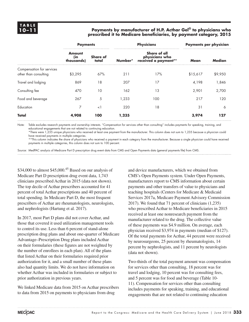#### **10–11 Payments by manufacturer of H.P. Acthar Gel® to physicians who prescribed it to Medicare beneficiaries, by payment category, 2015**

|                                                    | <b>Payments</b>             |                          |         | <b>Physicians</b>                                      | <b>Payments per physician</b> |         |
|----------------------------------------------------|-----------------------------|--------------------------|---------|--------------------------------------------------------|-------------------------------|---------|
|                                                    | Amount<br>(in<br>thousands) | <b>Share of</b><br>total | Number* | Share of all<br>physicians who<br>received a payment** | Mean                          | Median  |
| Compensation for services<br>other than consulting | \$3.295                     | 67%                      | 211     | 17%                                                    | \$15,617                      | \$9,950 |
| Travel and lodging                                 | 869                         | 18                       | 207     | 17                                                     | 4.198                         | 1,846   |
| Consulting fee                                     | 470                         | 10                       | 162     | 13                                                     | 2,901                         | 2,700   |
| Food and beverage                                  | 267                         | 5                        | 1,233   | 100                                                    | 217                           | 120     |
| Education                                          | 7                           | $\lt$ 1                  | 220     | 18                                                     | 31                            | 6       |
| Total                                              | 4,908                       | 100                      | 1,235   |                                                        | 3,974                         | 27      |

Note: Table excludes research payments and ownership interests. "Compensation for services other than consulting" includes payments for speaking, training, and educational engagements that are not related to continuing education.

\*There were 1,235 unique physicians who received at least one payment from the manufacturer. This column does not sum to 1,235 because a physician could have received payments in multiple categories.

\*\*This column indicates the share of physicians who received a payment in each category from the manufacturer. Because a single physician could have received payments in multiple categories, this column does not sum to 100 percent.

Source: MedPAC analysis of Medicare Part D prescription drug event data from CMS and Open Payments data (general payments file) from CMS.

 $$34,000$  to almost  $$45,000$ .<sup>45</sup> Based on our analysis of Medicare Part D prescription drug event data, 1,743 clinicians prescribed Acthar in 2015 (data not shown). The top decile of Acthar prescribers accounted for 41 percent of total Acthar prescriptions and 40 percent of total spending. In Medicare Part D, the most frequent prescribers of Acthar are rheumatologists, neurologists, and nephrologists (Hartung et al. 2017).

In 2017, most Part D plans did not cover Acthar, and those that covered it used utilization management tools to control its use. Less than 6 percent of stand-alone prescription drug plans and about one-quarter of Medicare Advantage–Prescription Drug plans included Acthar on their formularies (these figures are not weighted by the number of enrollees in each plan). All of the plans that listed Acthar on their formularies required prior authorization for it, and a small number of these plans also had quantity limits. We do not have information on whether Acthar was included in formularies or subject to prior authorization in previous years.

We linked Medicare data from 2015 on Acthar prescribers to data from 2015 on payments to physicians from drug

and device manufacturers, which we obtained from CMS's Open Payments system. Under Open Payments, manufacturers report to CMS information about certain payments and other transfers of value to physicians and teaching hospitals (Centers for Medicare & Medicaid Services 2017a, Medicare Payment Advisory Commission 2017). We found that 71 percent of clinicians (1,235) who prescribed Acthar to Medicare beneficiaries in 2015 received at least one nonresearch payment from the manufacturer related to the drug. The collective value of these payments was \$4.9 million. On average, each physician received \$3,974 in payments (median of \$127). Of the total payments for Acthar, 44 percent were received by neurosurgeons, 25 percent by rheumatologists, 14 percent by nephrologists, and 11 percent by neurologists (data not shown).

Two-thirds of the total payment amount was compensation for services other than consulting, 18 percent was for travel and lodging, 10 percent was for consulting fees, and 5 percent was for food and beverage (Table 10- 11). Compensation for services other than consulting includes payments for speaking, training, and educational engagements that are not related to continuing education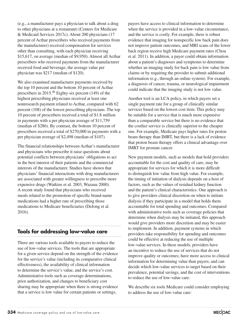(e.g., a manufacturer pays a physician to talk about a drug to other physicians at a restaurant) (Centers for Medicare & Medicaid Services 2017c). About 200 physicians (17 percent of Acthar prescribers who received payments from the manufacturer) received compensation for services other than consulting, with each physician receiving \$15,617, on average (median of \$9,950). Almost all Acthar prescribers who received payments from the manufacturer received food and beverage; the average value per physician was \$217 (median of \$120).

We also examined manufacturer payments received by the top 10 percent and the bottom 10 percent of Acthar prescribers in 2015.<sup>46</sup> Eighty-six percent (149) of the highest prescribing physicians received at least one nonresearch payment related to Acthar, compared with 62 percent (108) of the lowest prescribing physicians. The top 10 percent of prescribers received a total of \$1.8 million in payments with a per physician average of \$11,759 (median of \$286). By contrast, the bottom 10 percent of prescribers received a total of \$270,000 in payments with a per physician average of \$2,498 (median of \$107).

The financial relationships between Acthar's manufacturer and physicians who prescribe it raise questions about potential conflicts between physicians' obligations to act in the best interest of their patients and the commercial interests of the manufacturer. Studies have shown that physicians' financial interactions with drug manufacturers are associated with greater willingness to prescribe more expensive drugs (Watkins et al. 2003, Wazana 2000). A recent study found that physicians who received meals related to the promotion of specific brand-name medications had a higher rate of prescribing those medications to Medicare beneficiaries (DeJong et al. 2016).

# **Tools for addressing low-value care**

There are various tools available to payers to reduce the use of low-value services. The tools that are appropriate for a given service depend on the strength of the evidence for the service's value (including its comparative clinical effectiveness), the availability of clinical information to determine the service's value, and the service's cost. Administrative tools such as coverage determinations, prior authorization, and changes to beneficiary cost sharing may be appropriate when there is strong evidence that a service is low value for certain patients or settings,

payers have access to clinical information to determine when the service is provided in a low-value circumstance, and the service is costly. For example, there is robust evidence that imaging for nonspecific low back pain does not improve patient outcomes, and MRI scans of the lower back region receive high Medicare payment rates (Chou et al. 2011). In addition, a payer could obtain information about a patient's diagnoses and symptoms to determine whether an imaging study for back pain is low value from claims or by requiring the provider to submit additional information (e.g., through an online system). For example, a diagnosis of cancer, trauma, or neurological impairment could indicate that the imaging study is not low value.

Another tool is an LCA policy, in which payers set a single payment rate for a group of clinically similar services based on the lowest cost item. This policy may be suitable for a service that is much more expensive than a comparable service but there is no evidence that the costlier service is clinically superior to the cheaper one. For example, Medicare pays higher rates for proton beam therapy than IMRT, but there is a lack of evidence that proton beam therapy offers a clinical advantage over IMRT for prostate cancer.

New payment models, such as models that hold providers accountable for the cost and quality of care, may be appropriate for services for which it is more difficult to distinguish low value from high value. For example, the timing of initiation of dialysis depends on a host of factors, such as the values of residual kidney function and the patient's clinical characteristics. One approach is to give providers clinical discretion on when to initiate dialysis if they participate in a model that holds them accountable for total spending and outcomes. Compared with administrative tools such as coverage policies that determine when dialysis may be initiated, this approach would give providers more discretion and may be easier to implement. In addition, payment systems in which providers take responsibility for spending and outcomes could be effective at reducing the use of multiple low-value services. In these models, providers have an incentive to reduce the use of services that do not improve quality or outcomes; have more access to clinical information for determining value than payers; and can decide which low-value services to target based on their prevalence, potential savings, and the cost of interventions to reduce the use of low-value care.

We describe six tools Medicare could consider employing to address the use of low-value care: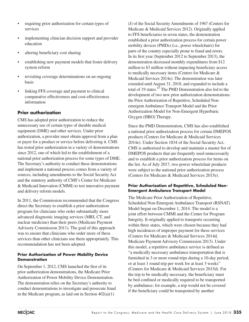- requiring prior authorization for certain types of services
- implementing clinician decision support and provider education
- altering beneficiary cost sharing
- establishing new payment models that foster delivery system reform
- revisiting coverage determinations on an ongoing basis
- linking FFS coverage and payment to clinical comparative effectiveness and cost-effectiveness information

## **Prior authorization**

CMS has adopted prior authorization to reduce the unnecessary use of certain types of durable medical equipment (DME) and other services. Under prior authorization, a provider must obtain approval from a plan or payer for a product or service before delivering it. CMS has tested prior authorization in a variety of demonstrations since 2012, one of which led to the establishment of a national prior authorization process for some types of DME. The Secretary's authority to conduct these demonstrations and implement a national process comes from a variety of sources, including amendments to the Social Security Act and the statutory authority of CMS's Center for Medicare & Medicaid Innovation (CMMI) to test innovative payment and delivery reform models.

In 2011, the Commission recommended that the Congress direct the Secretary to establish a prior authorization program for clinicians who order substantially more advanced diagnostic imaging services (MRI, CT, and nuclear medicine) than their peers (Medicare Payment Advisory Commission 2011). The goal of this approach was to ensure that clinicians who order more of these services than other clinicians use them appropriately. This recommendation has not been adopted.

#### **Prior Authorization of Power Mobility Device Demonstration**

On September 1, 2012, CMS launched the first of its prior authorization demonstrations, the Medicare Prior Authorization of Power Mobility Device Demonstration. The demonstration relies on the Secretary's authority to conduct demonstrations to investigate and prosecute fraud in the Medicare program, as laid out in Section  $402(a)(1)$ 

(J) of the Social Security Amendments of 1967 (Centers for Medicare & Medicaid Services 2012). Originally applied to FFS beneficiaries in seven states, the demonstration established a prior authorization process for certain power mobility devices (PMDs) (i.e., power wheelchairs) for parts of the country especially prone to fraud and errors. In its first year (September 2012 to September 2013), the demonstration decreased monthly expenditures from \$12 million to \$3 million without impacting beneficiary access to medically necessary items (Centers for Medicare & Medicaid Services 2014e). The demonstration was later extended until August 31, 2018, and expanded to include a total of 19 states. $47$  The PMD Demonstration also led to the development of two new prior authorization demonstrations: the Prior Authorization of Repetitive, Scheduled Nonemergent Ambulance Transport Model and the Prior Authorization Model for Non-Emergent Hyperbaric Oxygen (HBO) Therapy.

Since the PMD Demonstration, CMS has also established a national prior authorization process for certain DMEPOS products (Centers for Medicare & Medicaid Services 2014e). Under Section 1834 of the Social Security Act, CMS is authorized to develop and maintain a master list of DMEPOS products that are frequently used unnecessarily and to establish a prior authorization process for items on the list. As of July 2017, two power wheelchair products were subject to the national prior authorization process (Centers for Medicare & Medicaid Services 2015e).

#### **Prior Authorization of Repetitive, Scheduled Non-Emergent Ambulance Transport Model**

The Medicare Prior Authorization of Repetitive, Scheduled Non-Emergent Ambulance Transport (RSNAT) Model began on December 1, 2014. The model is a joint effort between CMMI and the Center for Program Integrity. It originally applied to transports occurring within three states, which were chosen because they had high incidences of improper payment for these services (Centers for Medicare & Medicaid Services 2014d, Medicare Payment Advisory Commission 2013). Under this model, a repetitive ambulance service is defined as "a medically necessary ambulance transportation that is furnished in 3 or more round trips during a 10-day period, or at least 1 round trip per week for at least 3 weeks" (Centers for Medicare & Medicaid Services 2015d). For the trip to be medically necessary, the beneficiary must be bed confined or medically required to be transported by ambulance; for example, a trip would not be covered if the beneficiary could be transported by another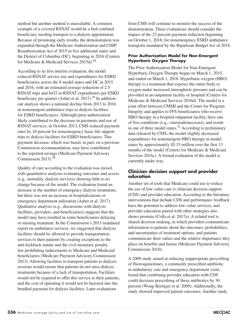method but another method is unavailable. A common example of a covered RSNAT would be a bed-confined beneficiary needing transport to a dialysis appointment. Because of promising early results, the demonstration was expanded through the Medicare Authorization and CHIP Reauthorization Act of 2015 to five additional states and the District of Columbia (DC), beginning in 2016 (Centers for Medicare & Medicaid Services 2015d).<sup>48</sup>

According to its first interim evaluation, the model reduced RSNAT service use and expenditures for ESRD beneficiaries across the 8 model states and DC in 2015 and 2016, with an estimated average reduction of 2.5 RSNAT trips and \$432 in RSNAT expenditures per ESRD beneficiary per quarter (Asher et al. 2017). $^{49}$  In addition, our analysis shows a national decline from 2013 to 2016 in nonemergent ambulance trips to dialysis facilities for ESRD beneficiaries. Although prior authorization likely contributed to the decrease in payments and use of RSNAT services, in October 2013, CMS reduced payment rates by 10 percent for nonemergency basic life support trips to dialysis facilities for ESRD beneficiaries. This payment decrease, which was based, in part, on a previous Commission recommendation, may have contributed to the reported savings (Medicare Payment Advisory Commission 2013). $50$ 

Quality of care according to the evaluation was mixed, with quantitative analyses evaluating outcomes and access (e.g., mortality, dialysis services) showing little to no change because of the model. The evaluation found an increase in the number of emergency dialysis treatments, but there was not an increase in hospitalizations or emergency department utilization (Asher et al. 2017). Qualitative analysis (e.g., discussions with dialysis facilities, providers, and beneficiaries) suggests that the model may have resulted in some beneficiaries delaying or missing treatment. In the Commission's 2013 mandated report on ambulance services, we suggested that dialysis facilities should be allowed to provide transportation services to their patients by creating exceptions to the anti-kickback statute and the civil monetary penalty law prohibiting inducements to Medicare and Medicaid beneficiaries (Medicare Payment Advisory Commission 2013). Allowing facilities to transport patients to dialysis sessions would ensure that patients do not miss dialysis treatments because of a lack of transportation. Facilities would not be required to offer this service to their patients, and the cost of operating it would not be factored into the bundled payment for dialysis facilities. Later evaluations

from CMS will continue to monitor the success of the demonstration. These evaluations should consider the impact of the 23 percent payment reduction beginning on October 1, 2018, for nonemergency ESRD ambulance transports mandated by the Bipartisan Budget Act of 2018.

#### **Prior Authorization Model for Non-Emergent Hyperbaric Oxygen Therapy**

The Prior Authorization Model for Non-Emergent Hyperbaric Oxygen Therapy began on March 1, 2015, and ended on March 1, 2018. Hyperbaric oxygen (HBO) therapy is a treatment that exposes the entire body to oxygen under increased atmospheric pressure and can be provided in an outpatient facility or hospital (Centers for Medicare & Medicaid Services 2016d). The model is a joint effort between CMMI and the Center for Program Integrity and applies to FFS beneficiaries who receive HBO therapy in a hospital outpatient facility, have one of five conditions (e.g., osteoradionecrosis), and reside in one of three model states.<sup>51</sup> According to preliminary data released by CMS, the model slightly decreased expenditures for nonemergent HBO therapy in model states by approximately \$5.33 million over the first 13 months of the model (Centers for Medicare & Medicaid Services 2016c). A formal evaluation of the model is currently under way.

#### **Clinician decision support and provider education**

Another set of tools that Medicare could use to reduce the use of low-value care is clinician decision support (CDS) and provider education. According to the literature, interventions that include CDS and performance feedback have the potential to address low-value services, and provider education paired with other strategies also shows promise (Colla et al. 2017a). A related tool is shared decision-making, in which providers communicate information to patients about the outcomes, probabilities, and uncertainties of treatment options, and patients communicate their values and the relative importance they place on benefits and harms (Medicare Payment Advisory Commission 2010).

A 2009 study aimed at reducing inappropriate prescribing of fluoroquinolones, a commonly prescribed antibiotic in ambulatory care and emergency department visits, found that combining provider education with CDS could decrease prescribing of these antibiotics by 30 percent (Wong-Beringer et al. 2009). Additionally, the study showed improved patient outcomes. Another study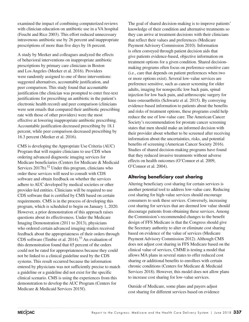examined the impact of combining computerized reviews with clinician education on antibiotic use in a VA hospital (Feucht and Rice 2003). This effort reduced unnecessary intravenous antibiotic use by 26 percent and inappropriate prescriptions of more than five days by 16 percent.

A study by Meeker and colleagues analyzed the effects of behavioral interventions on inappropriate antibiotic prescriptions by primary care clinicians in Boston and Los Angeles (Meeker et al. 2016). Providers were randomly assigned to one of three interventions: suggested alternatives, accountable justification, and peer comparison. This study found that accountable justification (the clinician was prompted to enter free-text justifications for prescribing an antibiotic in the patient's electronic health record) and peer comparison (clinicians were sent emails that compared their antibiotic prescribing rate with those of other providers) were the most effective at lowering inappropriate antibiotic prescribing. Accountable justification decreased prescribing by 18.1 percent, while peer comparison decreased prescribing by 16.3 percent (Meeker et al. 2016).

CMS is developing the Appropriate Use Criteria (AUC) Program that will require clinicians to use CDS when ordering advanced diagnostic imaging services for Medicare beneficiaries (Centers for Medicare & Medicaid Services  $2017b$ .<sup>52</sup> Under this program, clinicians who order these services will need to consult with CDS software and obtain feedback on whether the services adhere to AUC developed by medical societies or other provider-led entities. Clinicians will be required to use CDS software that is certified by CMS based on certain requirements. CMS is in the process of developing this program, which is scheduled to begin on January 1, 2020. However, a prior demonstration of this approach raises questions about its effectiveness. Under the Medicare Imaging Demonstration (2011 to 2013), physicians who ordered certain advanced imaging studies received feedback about the appropriateness of their orders through CDS software (Timbie et al. 2014).53 An evaluation of this demonstration found that 65 percent of the orders could not be rated for appropriateness because they could not be linked to a clinical guideline used by the CDS systems. This result occurred because the information entered by physicians was not sufficiently precise to match a guideline or a guideline did not exist for the specific clinical scenario. CMS is using the experiences from this demonstration to develop the AUC Program (Centers for Medicare & Medicaid Services 2015f).

The goal of shared decision-making is to improve patients' knowledge of their condition and alternative treatments so they can arrive at treatment decisions with their clinicians that reflect their values and preferences (Medicare Payment Advisory Commission 2010). Information is often conveyed through patient decision aids that give patients evidence-based, objective information on treatment options for a given condition. Shared decisionmaking programs often focus on preference-sensitive care (i.e., care that depends on patient preferences when two or more options exist). Several low-value services are preference sensitive, such as cancer screening for older adults, imaging for nonspecific low back pain, spinal injection for low back pain, and arthroscopic surgery for knee osteoarthritis (Schwartz et al. 2015). By conveying evidence-based information to patients about the benefits and risks of treatment options, these programs could help reduce the use of low-value care. The American Cancer Society's recommendation for prostate cancer screening states that men should make an informed decision with their provider about whether to be screened after receiving information about the uncertainties, risks, and potential benefits of screening (American Cancer Society 2016). Studies of shared decision-making programs have found that they reduced invasive treatments without adverse effects on health outcomes (O'Connor et al. 2009, O'Connor et al. 2004).

#### **Altering beneficiary cost sharing**

Altering beneficiary cost sharing for certain services is another potential tool to address low-value care. Reducing cost sharing for high-value services should encourage consumers to seek these services. Conversely, increasing cost sharing for services that are deemed low value should discourage patients from obtaining these services. Among the Commission's recommended changes to the benefit design of FFS Medicare is that the Congress should give the Secretary authority to alter or eliminate cost sharing based on evidence of the value of services (Medicare Payment Advisory Commission 2012). Although CMS does not adjust cost sharing in FFS Medicare based on the clinical value of services, CMMI is testing a model that allows MA plans in several states to offer reduced cost sharing or additional benefits to enrollees with certain chronic conditions (Centers for Medicare & Medicaid Services 2018). However, this model does not allow plans to increase cost sharing for low-value services.

Outside of Medicare, some plans and payers adjust cost sharing for different services based on evidence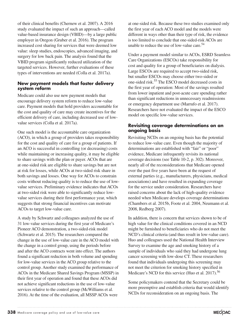of their clinical benefits (Chernew et al. 2007). A 2016 study evaluated the impact of such an approach—called value-based insurance design (VBID)—by a large public employer in Oregon (Gruber et al. 2016). The program increased cost sharing for services that were deemed low value: sleep studies, endoscopies, advanced imaging, and surgery for low back pain. The analysis found that the VBID program significantly reduced utilization of the targeted services. However, further evaluations of these types of interventions are needed (Colla et al. 2017a).

#### **New payment models that foster delivery system reform**

Medicare could also use new payment models that encourage delivery system reform to reduce low-value care. Payment models that hold providers accountable for the cost and quality of care may create incentives for the efficient delivery of care, including decreased use of lowvalue services (Colla et al. 2017a).

One such model is the accountable care organization (ACO), in which a group of providers takes responsibility for the cost and quality of care for a group of patients. If an ACO is successful in controlling (or decreasing) costs while maintaining or increasing quality, it may be eligible to share savings with the plan or payer. ACOs that are at one-sided risk are eligible to share savings but are not at risk for losses, while ACOs at two-sided risk share in both savings and losses. One way for ACOs to constrain costs without reducing quality is to reduce the use of lowvalue services. Preliminary evidence indicates that ACOs at two-sided risk were able to significantly reduce lowvalue services during their first performance year, which suggests that strong financial incentives can motivate ACOs to target low-value care.

A study by Schwartz and colleagues analyzed the use of 31 low-value services during the first year of Medicare's Pioneer ACO demonstration, a two-sided-risk model (Schwartz et al. 2015). The researchers compared the change in the use of low-value care in the ACO model with the change in a control group, using the periods before and after the ACO contracts went into effect. The authors found a significant reduction in both volume and spending for low-value services in the ACO group relative to the control group. Another study examined the performance of ACOs in the Medicare Shared Savings Program (MSSP) in their first year of operation and found that these ACOs did not achieve significant reductions in the use of low-value services relative to the control group (McWilliams et al. 2016). At the time of the evaluation, all MSSP ACOs were

at one-sided risk. Because these two studies examined only the first year of each ACO model and the models were different in ways other than their type of risk, the evidence is too limited to conclude that one-sided-risk ACOs are unable to reduce the use of low-value care.54

Under a payment model similar to ACOs, ESRD Seamless Care Organizations (ESCOs) take responsibility for cost and quality for a group of beneficiaries on dialysis. Large ESCOs are required to accept two-sided risk, but smaller ESCOs may choose either two-sided or one-sided risk.55 The ESCO model decreased costs in the first year of operation: Most of the savings resulted from lower inpatient and post-acute care spending rather than significant reductions in unnecessary readmissions or emergency department use (Marrufo et al. 2017). Researchers have not evaluated the impact of the ESCO model on specific low-value services.

#### **Revisiting coverage determinations on an ongoing basis**

Revisiting NCDs on an ongoing basis has the potential to reduce low-value care. Even though the majority of determinations are established with "fair" or "poor" evidence, Medicare infrequently revisits its national coverage decisions (see Table 10-2, p. 302). Moreover, nearly all of the reconsiderations that Medicare opened over the past five years have been at the request of external parties (e.g., manufacturers, physicians, medical associations) and have resulted in expanding coverage for the service under consideration. Researchers have raised concerns about the lack of high-quality evidence needed when Medicare develops coverage determinations (Chambers et al. 2015b, Foote et al. 2004, Neumann et al. 2008, Redberg 2007).

In addition, there is concern that services shown to be of high value for the clinical conditions covered in an NCD might be furnished to beneficiaries who do not meet the NCD's clinical criteria (and thus result in low-value care). Huo and colleagues used the National Health Interview Survey to examine the age and smoking history of a sample of individuals who said they had undergone lung cancer screening with low-dose CT. These researchers found that individuals undergoing this screening may not meet the criterion for smoking history specified in Medicare's NCD for this service (Huo et al. 2017).<sup>56</sup>

Some policymakers contend that the Secretary could be more preemptive and establish criteria that would identify NCDs for reconsideration on an ongoing basis. The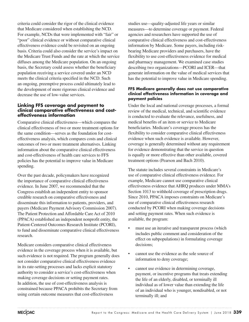criteria could consider the rigor of the clinical evidence that Medicare considered when establishing the NCD. For example, NCDs that were implemented with "fair" or "poor" clinical evidence or without comparative clinical effectiveness evidence could be revisited on an ongoing basis. Criteria could also consider the service's impact on the Medicare Trust Funds and the rate at which the service diffuses among the Medicare population. On an ongoing basis, the Secretary could assess whether the beneficiary population receiving a service covered under an NCD meets the clinical criteria specified in the NCD. Such an ongoing, preemptive process could ultimately lead to the development of more rigorous clinical evidence and decrease the use of low-value services.

#### **Linking FFS coverage and payment to clinical comparative effectiveness and costeffectiveness information**

Comparative clinical effectiveness—which compares the clinical effectiveness of two or more treatment options for the same condition—serves as the foundation for costeffectiveness analysis, which compares costs and clinical outcomes of two or more treatment alternatives. Linking information about the comparative clinical effectiveness and cost-effectiveness of health care services to FFS policies has the potential to improve value in Medicare spending.

Over the past decade, policymakers have recognized the importance of comparative clinical effectiveness evidence. In June 2007, we recommended that the Congress establish an independent entity to sponsor credible research on comparative effectiveness and disseminate this information to patients, providers, and payers (Medicare Payment Advisory Commission 2007). The Patient Protection and Affordable Care Act of 2010 (PPACA) established an independent nonprofit entity, the Patient-Centered Outcomes Research Institute (PCORI), to fund and disseminate comparative clinical effectiveness research.

Medicare considers comparative clinical effectiveness evidence in the coverage process when it is available, but such evidence is not required. The program generally does not consider comparative clinical effectiveness evidence in its rate-setting processes and lacks explicit statutory authority to consider a service's cost-effectiveness when making coverage decisions or setting payment rates. In addition, the use of cost-effectiveness analysis is constrained because PPACA prohibits the Secretary from using certain outcome measures that cost-effectiveness

studies use—quality-adjusted life years or similar measures—to determine coverage or payment. Federal agencies and researchers have supported the use of comparative clinical effectiveness and cost-effectiveness information by Medicare. Some payers, including riskbearing Medicare providers and purchasers, have the flexibility to use cost-effectiveness evidence for medical and pharmacy management. We examined case studies describing two organizations—PCORI and ICER—that generate information on the value of medical services that has the potential to improve value in Medicare spending.

#### **FFS Medicare generally does not use comparative clinical effectiveness information in coverage and payment policies**

Under the local and national coverage processes, a formal review of the medical, technical, and scientific evidence is conducted to evaluate the relevance, usefulness, and medical benefits of an item or service to Medicare beneficiaries. Medicare's coverage process has the flexibility to consider comparative clinical effectiveness evidence when such evidence is available. However, coverage is generally determined without any requirement for evidence demonstrating that the service in question is equally or more effective than other available, covered treatment options (Pearson and Bach 2010).

The statute includes several constraints in Medicare's use of comparative clinical effectiveness evidence. For example, Medicare cannot use comparative clinical effectiveness evidence that AHRQ produces under MMA's Section 1013 to withhold coverage of prescription drugs. Since 2010, PPACA imposes constraints on Medicare's use of comparative clinical effectiveness research conducted by PCORI when making coverage decisions and setting payment rates. When such evidence is available, the program:

- must use an iterative and transparent process (which includes public comment and consideration of the effect on subpopulations) in formulating coverage decisions;
- cannot use the evidence as the sole source of information to deny coverage;
- cannot use evidence in determining coverage, payment, or incentive programs that treats extending the life of an elderly, disabled, or terminally ill individual as of lower value than extending the life of an individual who is younger, nondisabled, or not terminally ill; and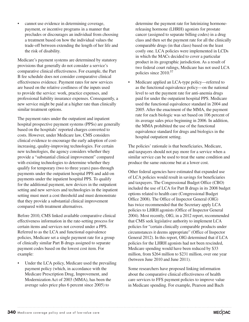• cannot use evidence in determining coverage, payment, or incentive programs in a manner that precludes or discourages an individual from choosing a treatment based on how the individual values the trade-off between extending the length of her life and the risk of disability.

Medicare's payment systems are determined by statutory provisions that generally do not consider a service's comparative clinical effectiveness. For example, the Part B fee schedule does not consider comparative clinical effectiveness evidence. Payment rates for new services are based on the relative costliness of the inputs used to provide the service: work, practice expenses, and professional liability insurance expenses. Consequently, a new service might be paid at a higher rate than clinically similar treatment options.

The payment rates under the outpatient and inpatient hospital prospective payment systems (PPSs) are generally based on the hospitals' reported charges converted to costs. However, under Medicare law, CMS considers clinical evidence to encourage the early adoption of costincreasing, quality-improving technologies. For certain new technologies, the agency considers whether they provide a "substantial clinical improvement" compared with existing technologies to determine whether they qualify for temporary (two to three years) pass-through payments under the outpatient hospital PPS and add-on payments under the inpatient hospital PPS. To qualify for the additional payment, new devices in the outpatient setting and new services and technologies in the inpatient setting must meet a cost threshold and must demonstrate that they provide a substantial clinical improvement compared with treatment alternatives.

Before 2010, CMS linked available comparative clinical effectiveness information in the rate-setting process for certain items and services not covered under a PPS. Referred to as the LCA and functional equivalence policies, Medicare set a single payment rate for a group of clinically similar Part B drugs assigned to separate payment codes based on the lowest cost item. For example:

• Under the LCA policy, Medicare used the prevailing payment policy (which, in accordance with the Medicare Prescription Drug, Improvement, and Modernization Act of 2003 (MMA), has been the average sales price plus 6 percent since 2005) to

determine the payment rate for luteinizing hormonereleasing hormone (LHRH) agonists for prostate cancer (assigned to separate billing codes) in a drug class and then set the payment rate for all the clinically comparable drugs (in that class) based on the least costly one. LCA policies were implemented in LCDs in which the MACs decided to cover a particular product in its geographic jurisdiction. As a result of two federal court rulings, Medicare has not used LCA policies since 2010.57

Medicare applied an LCA-type policy—referred to as the functional equivalence policy—on the national level to set the payment rate for anti-anemia drugs paid for under the outpatient hospital PPS. Medicare used the functional equivalence standard in 2004 and 2005. After the enactment of the MMA, the payment rate for each biologic was set based on 106 percent of its average sales price beginning in 2006. In addition, the MMA prohibited the use of the functional equivalence standard for drugs and biologics in the hospital outpatient setting.

The policies' rationale is that beneficiaries, Medicare, and taxpayers should not pay more for a service when a similar service can be used to treat the same condition and produce the same outcome but at a lower cost.

Other federal agencies have estimated that expanded use of LCA policies would result in savings for beneficiaries and taxpayers. The Congressional Budget Office (CBO) included the use of LCA for Part B drugs in its 2008 budget options related to health care (Congressional Budget Office 2008). The Office of Inspector General (OIG) has twice recommended that the Secretary apply LCA policies to LHRH agonists (Office of Inspector General 2004). Most recently, OIG, in a 2012 report, recommended that CMS seek legislative authority to implement LCA policies for "certain clinically comparable products under circumstances it deems appropriate" (Office of Inspector General 2012). In this report, OIG determined that if LCA policies for the LHRH agonists had not been rescinded, Medicare spending would have been reduced by \$33 million, from \$264 million to \$231 million, over one year (between June 2010 and June 2011).

Some researchers have proposed linking information about the comparative clinical effectiveness of health care services to FFS payment policies to improve value in Medicare spending. For example, Pearson and Bach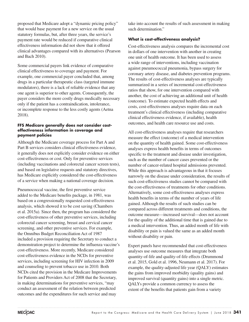proposed that Medicare adopt a "dynamic pricing policy" that would base payment for a new service on the usual statutory formulas, but, after three years, the service's payment rate would be reduced if comparative clinical effectiveness information did not show that it offered clinical advantages compared with its alternatives (Pearson and Bach 2010).

Some commercial payers link evidence of comparative clinical effectiveness to coverage and payment. For example, one commercial payer concluded that, among drugs in a particular therapeutic class (targeted immune modulators), there is a lack of reliable evidence that any one agent is superior to other agents. Consequently, the payer considers the more costly drugs medically necessary only if the patient has a contraindication, intolerance, or incomplete response to the less costly agents (Aetna 2018).

#### **FFS Medicare generally does not consider costeffectiveness information in coverage and payment policies**

Although the Medicare coverage process for Part A and Part B services considers clinical effectiveness evidence, it generally does not explicitly consider evidence on either cost-effectiveness or cost. Only for preventive services (including vaccinations and colorectal cancer screen tests), and based on legislative requests and statutory directives, has Medicare explicitly considered the cost-effectiveness of a service when making a national coverage decision.

Pneumococcal vaccine, the first preventive service added to the Medicare benefits package, in 1981, was based on a congressionally requested cost-effectiveness analysis, which showed it to be cost saving (Chambers et al. 2015a). Since then, the program has considered the cost-effectiveness of other preventive services, including colorectal cancer screening, breast and cervical cancer screening, and other preventive services. For example, the Omnibus Budget Reconciliation Act of 1987 included a provision requiring the Secretary to conduct a demonstration project to determine the influenza vaccine's cost-effectiveness. More recently, Medicare considered cost-effectiveness evidence in the NCDs for preventive services, including screening for HIV infection in 2009 and counseling to prevent tobacco use in 2010. Both NCDs cited the provision in the Medicare Improvements for Patients and Providers Act of 2008 that the Secretary, in making determinations for preventive services, "may conduct an assessment of the relation between predicted outcomes and the expenditures for such service and may

take into account the results of such assessment in making such determination."

#### **What is cost-effectiveness analysis?**

Cost-effectiveness analysis compares the incremental cost in dollars of one intervention with another in creating one unit of health outcome. It has been used to assess a wide range of interventions, including vaccination against pneumococcal pneumonia, bypass surgery for coronary artery disease, and diabetes prevention programs. The results of cost-effectiveness analyses are typically summarized in a series of incremental cost-effectiveness ratios that show, for one intervention compared with another, the cost of achieving an additional unit of health (outcome). To estimate expected health effects and costs, cost-effectiveness analyses require data on each treatment's clinical effectiveness (including comparative clinical effectiveness evidence, if available), health outcomes, and health care resource use and costs.

All cost-effectiveness analyses require that researchers measure the effect (outcome) of a medical intervention on the quantity of health gained. Some cost-effectiveness analyses express health benefits in terms of outcomes specific to the treatment and disease under investigation, such as the number of cancer cases prevented or the number of cancer-related hospital admissions prevented. While this approach is advantageous in that it focuses narrowly on the disease under consideration, the results of such cost-effectiveness studies cannot be compared with the cost-effectiveness of treatments for other conditions. Alternatively, some cost-effectiveness analyses express health benefits in terms of the number of years of life gained. Although the results of such studies can be compared across different treatments and conditions, the outcome measure—increased survival—does not account for the quality of the additional time that is gained due to a medical intervention. Thus, an added month of life with disability or pain is valued the same as an added month without disability or pain.

Expert panels have recommended that cost-effectiveness analyses use outcome measures that integrate both quantity-of-life and quality-of-life effects (Drummond et al. 2015, Gold et al. 1996, Neumann et al. 2017). For example, the quality-adjusted life year (QALY) estimates the gains from improved morbidity (quality gains) and improved survival (quantity gains) into a single metric. QALYs provide a common currency to assess the extent of the benefits that patients gain from a variety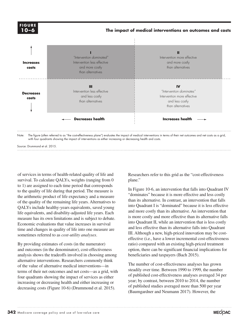

#### **The impact of medical interventions on outcomes and costs**



Note: The figure (often referred to as "the cost-effectiveness plane") evaluates the impact of medical interventions in terms of their net outcomes and net costs as a grid, with four quadrants showing the impact of interventions as either increasing or decreasing health and costs.

Source: Drummond et al. 2015.

of services in terms of health-related quality of life and survival. To calculate QALYs, weights (ranging from 0 to 1) are assigned to each time period that corresponds to the quality of life during that period. The measure is the arithmetic product of life expectancy and a measure of the quality of the remaining life years. Alternatives to QALYs include healthy-years equivalents, saved young life equivalents, and disability-adjusted life years. Each measure has its own limitations and is subject to debate. Economic evaluations that value increases in survival time and changes in quality of life into one measure are sometimes referred to as *cost-utility analyses*.

By providing estimates of costs (in the numerator) and outcomes (in the denominator), cost-effectiveness analysis shows the tradeoffs involved in choosing among alternative interventions. Researchers commonly think of the value of alternative medical interventions—in terms of their net outcomes and net costs—as a grid, with four quadrants showing the impact of services as either increasing or decreasing health and either increasing or decreasing costs (Figure 10-6) (Drummond et al. 2015).

Researchers refer to this grid as the "cost-effectiveness plane."

In Figure 10-6, an intervention that falls into Quadrant IV "dominates" because it is more effective and less costly than its alternative. In contrast, an intervention that falls into Quadrant I is "dominated" because it is less effective and more costly than its alternative. An intervention that is more costly and more effective than its alternative falls into Quadrant II, while an intervention that is less costly and less effective than its alternative falls into Quadrant III. Although a new, high-priced innovation may be costeffective (i.e., have a lower incremental cost-effectiveness ratio) compared with an existing high-priced treatment option, there can be significant financial implications for beneficiaries and taxpayers (Bach 2015).

The number of cost-effectiveness analyses has grown steadily over time. Between 1990 to 1999, the number of published cost-effectiveness analyses averaged 34 per year; by contrast, between 2010 to 2014, the number of published studies averaged more than 500 per year (Baumgardner and Neumann 2017). However, the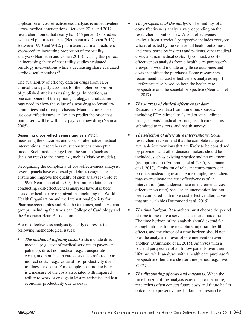application of cost-effectiveness analysis is not equivalent across medical interventions. Between 2010 and 2012, researchers found that nearly half (46 percent) of studies evaluated pharmaceuticals (Neumann and Cohen 2015). Between 1990 and 2012, pharmaceutical manufacturers sponsored an increasing proportion of cost-utility analyses (Neumann and Cohen 2015). During this period, an increasing share of cost-utility studies evaluated oncology interventions while a decreasing share evaluated cardiovascular studies.58

The availability of efficacy data on drugs from FDA clinical trials partly accounts for the higher proportion of published studies assessing drugs. In addition, as one component of their pricing strategy, manufacturers may need to show the value of a new drug to formulary committees and other purchasers. Manufacturers also use cost-effectiveness analysis to predict the price that purchasers will be willing to pay for a new drug (Neumann 2005).

#### **Designing a cost-effectiveness analysis** When

measuring the outcomes and costs of alternative medical interventions, researchers must construct a conceptual model. Such models range from the simple (such as decision trees) to the complex (such as Markov models).

Recognizing the complexity of cost-effectiveness analysis, several panels have endorsed guidelines designed to ensure and improve the quality of such analyses (Gold et al. 1996, Neumann et al. 2017). Recommendations for conducting cost-effectiveness analyses have also been issued by health care organizations, including the World Health Organization and the International Society for Pharmacoeconomics and Health Outcomes, and physician groups, including the American College of Cardiology and the American Heart Association.

A cost-effectiveness analysis typically addresses the following methodological issues:

*• The method of defining costs.* Costs include direct medical (e.g., cost of medical services to payers and patients), direct nonmedical (e.g., transportation costs), and non–health care costs (also referred to as indirect costs) (e.g., value of lost productivity due to illness or death). For example, lost productivity is a measure of the costs associated with impaired ability to work or engage in leisure activities and lost economic productivity due to death.

- *• The perspective of the analysis.* The findings of a cost-effectiveness analysis vary depending on the researcher's point of view. A cost-effectiveness analysis from a societal perspective includes everyone who is affected by the service; all health outcomes; and costs borne by insurers and patients, other medical costs, and nonmedical costs. By contrast, a costeffectiveness analysis from a health care purchaser's viewpoint would include only those outcomes and costs that affect the purchaser. Some researchers recommend that cost-effectiveness analyses report a reference case based on both the health care perspective and the societal perspective (Neumann et al. 2017).
- *• The sources of clinical effectiveness data.*  Researchers use data from numerous sources, including FDA clinical trials and practical clinical trials, patients' medical records, health care claims submitted to insurers, and health surveys.
- *• The selection of alternative interventions.* Some researchers recommend that the complete range of available interventions that are likely to be considered by providers and other decision makers should be included, such as existing practice and no treatment (as appropriate) (Drummond et al. 2015, Neumann et al. 2017). Omission of relevant comparators can produce misleading results. For example, researchers may overestimate the cost-effectiveness of an intervention (and underestimate its incremental costeffectiveness ratio) because an intervention has not been compared with more cost-effective alternatives that are available (Drummond et al. 2015).
- *• The time horizon.* Researchers must choose the period of time to measure a service's costs and outcomes. The time horizon of the analysis should extend far enough into the future to capture important health effects, and the choice of a time horizon should not bias the analysis in favor of one intervention over another (Drummond et al. 2015). Analyses with a societal perspective often follow patients over their lifetime, while analyses with a health care purchaser's perspective often use a shorter time period (e.g., five years).
- *• The discounting of costs and outcomes.* When the time horizon of the analysis extends into the future, researchers often convert future costs and future health outcomes to present value. In doing so, researchers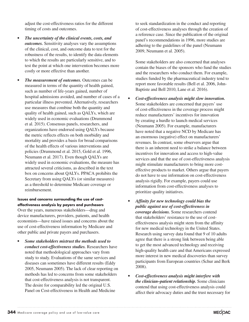adjust the cost-effectiveness ratios for the different timing of costs and outcomes.

- *• The uncertainty of the clinical events, costs, and outcomes.* Sensitivity analyses vary the assumptions of the clinical, cost, and outcome data to test for the robustness of the results, to identify the data elements to which the results are particularly sensitive, and to test the point at which one intervention becomes more costly or more effective than another.
- *• The measurement of outcomes.* Outcomes can be measured in terms of the quantity of health gained, such as number of life-years gained, number of hospital admissions avoided, and number of cases of a particular illness prevented. Alternatively, researchers use measures that combine both the quantity and quality of health gained, such as QALYs, which are widely used in economic evaluations (Drummond et al. 2015). Consensus panels, researchers, and organizations have endorsed using QALYs because the metric reflects effects on both morbidity and mortality and provides a basis for broad comparisons of the health effects of various interventions and policies (Drummond et al. 2015, Gold et al. 1996, Neumann et al. 2017). Even though QALYs are widely used in economic evaluations, the measure has attracted several criticisms, as described in the text box on concerns about QALYs. PPACA prohibits the Secretary from using QALYs (or similar measures) as a threshold to determine Medicare coverage or reimbursement.

#### **Issues and concerns surrounding the use of costeffectiveness analysis by payers and purchasers**

Over the years, numerous stakeholders—drug and device manufacturers, providers, patients, and health economists—have raised issues and concerns about the use of cost-effectiveness information by Medicare and other public and private payers and purchasers.

*• Some stakeholders mistrust the methods used to conduct cost-effectiveness studies.* Researchers have noted that methodological approaches vary from study to study. Evaluations of the same services and diseases can sometimes have different results (Eddy 2005, Neumann 2005). The lack of clear reporting on methods has led to concerns from some stakeholders that cost-effectiveness analysis is not transparent. The desire for comparability led the original U.S. Panel on Cost-effectiveness in Health and Medicine

to seek standardization in the conduct and reporting of cost-effectiveness analyses through the creation of a reference case. Since the publication of the original panel's recommendations in 1996, more studies are adhering to the guidelines of the panel (Neumann 2009, Neumann et al. 2005).

Some stakeholders are also concerned that analyses contain the biases of the sponsors who fund the studies and the researchers who conduct them. For example, studies funded by the pharmaceutical industry tend to report more favorable results (Bell et al. 2006, John-Baptiste and Bell 2010, Lane et al. 2016).

- *• Cost-effectiveness analysis might slow innovation.* Some stakeholders are concerned that payers' use of cost-effectiveness in the coverage process might reduce manufacturers' incentives for innovation by creating a hurdle to launch medical services (Neumann 2005). For example, manufacturers have noted that a negative NCD by Medicare has an enormous (negative) effect on manufacturers' revenues. In contrast, some observers argue that there is an inherent need to strike a balance between incentives for innovation and access to high-value services and that the use of cost-effectiveness analysis might stimulate manufacturers to bring more costeffective products to market. Others argue that payers do not have to use information on cost-effectiveness analysis rigidly. For example, payers could use information from cost-effectiveness analyses to prioritize quality initiatives.
- *• Affinity for new technology could bias the public against use of cost-effectiveness in coverage decisions.* Some researchers contend that stakeholders' resistance to the use of costeffectiveness analysis might stem from the affinity for new medical technology in the United States. Research using survey data found that 9 of 10 adults agree that there is a strong link between being able to get the most advanced technology and receiving high-quality health care and that Americans expressed more interest in new medical discoveries than survey participants from European countries (Schur and Berk 2008).
- *• Cost-effectiveness analysis might interfere with the clinician–patient relationship.* Some clinicians contend that using cost-effectiveness analysis could affect their advocacy duties and the trust necessary for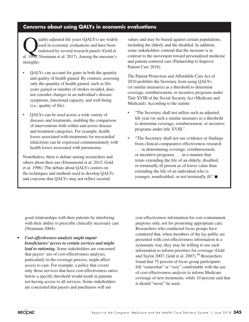### **Concerns about using QALYs in economic evaluations**

uality-adjusted life years (QALYs) are widely<br>used in economic evaluations and have been<br>endorsed by several research panels (Gold et used in economic evaluations and have been endorsed by several research panels (Gold et al. 1996, Neumann et al. 2017). Among the measure's strengths:

- QALYs can account for gains in both the quantity and quality of health gained. By contrast, assessing only the quantity of health gained, such as lifeyears gained or number of strokes avoided, does not consider changes in an individual's disease symptoms, functional capacity, and well-being (i.e., quality of life).
- QALYs can be used across a wide variety of diseases and treatments, enabling the comparison of interventions both within and across disease and treatment categories. For example, health losses associated with treatments for myocardial infarctions can be expressed commensurately with health losses associated with pneumonia.

Nonetheless, there is debate among researchers and others about their use (Drummond et al. 2015, Gold et al. 1996). The debate about QALYs centers on the techniques and methods used to develop QALYs and concerns that QALYs may not reflect societal

values and may be biased against certain populations, including the elderly and the disabled. In addition, some stakeholders contend that the measure is in contrast to the movement toward personalized medicine and patient-centered care (Partnership to Improve Patient Care 2018).

The Patient Protection and Affordable Care Act of 2010 prohibits the Secretary from using QALYs (or similar measures) as a threshold to determine coverage, reimbursement, or incentive programs under Title XVIII of the Social Security Act (Medicare and Medicaid). According to the statute:

- "The Secretary shall not utilize such an adjusted life year (or such a similar measure) as a threshold to determine coverage, reimbursement, or incentive programs under title XVIII."
- "The Secretary shall not use evidence or findings from clinical comparative effectiveness research . . . in determining coverage, reimbursement, or incentive programs . . . in a manner that treats extending the life of an elderly, disabled, or terminally ill person as of lower value than extending the life of an individual who is younger, nondisabled, or not terminally ill." ■

good relationships with their patients by interfering with their ability to prescribe clinically necessary care (Neumann 2004).

*• Cost-effectiveness analysis might impair beneficiaries' access to certain services and might lead to rationing.* Some stakeholders are concerned that payers' use of cost-effectiveness analyses, particularly in the coverage process, might affect access to care. For example, a policy that covers only those services that have cost-effectiveness ratios below a specific threshold would result in patients not having access to all services. Some stakeholders are concerned that payers and purchasers will use

cost-effectiveness information for cost-containment purposes only, not for promoting appropriate care. Researchers who conducted focus groups have countered that, when members of the lay public are presented with cost-effectiveness information in a systematic way, they may be willing to use such information to inform priorities for coverage (Gold and Taylor 2007, Gold et al. 2007).59 Researchers found that 75 percent of focus group participants felt "somewhat" or "very" comfortable with the use of cost-effectiveness analysis to inform Medicare coverage of new treatments, while 10 percent said that it should "never" be used.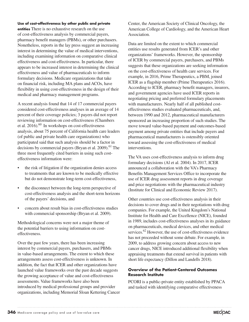#### **Use of cost-effectiveness by other public and private**

**entities** There is no exhaustive research on the use of cost-effectiveness analysis by commercial payers, pharmacy benefit managers (PBMs), or other purchasers. Nonetheless, reports in the lay press suggest an increasing interest in determining the value of medical interventions, including examining information on comparative clinical effectiveness and cost-effectiveness. In particular, there appears to be increased interest in determining the clinical effectiveness and value of pharmaceuticals to inform formulary decisions. Medicare organizations that take on financial risk, including MA plans and ACOs, have flexibility in using cost-effectiveness in the design of their medical and pharmacy management programs.

A recent analysis found that 14 of 17 commercial payers considered cost-effectiveness analyses in an average of 14 percent of their coverage policies; 3 payers did not report reviewing information on cost-effectiveness (Chambers et al.  $2016$ .<sup>60</sup> In workshops on cost-effectiveness analysis, about 75 percent of California health care leaders (of public and private health care organizations) who participated said that such analysis should be a factor in decisions by commercial payers (Bryan et al. 2009).<sup>61</sup> The three most frequently cited barriers in using such costeffectiveness information were:

- the risk of litigation if the organization denies access to treatments that are known to be medically effective but do not demonstrate long-term cost-effectiveness,
- the disconnect between the long-term perspective of cost-effectiveness analysis and the short-term horizons of the payers' decisions, and
- concern about result bias in cost-effectiveness studies with commercial sponsorship (Bryan et al. 2009).

Methodological concerns were not a major theme of the potential barriers to using information on costeffectiveness.

Over the past few years, there has been increasing interest by commercial payers, purchasers, and PBMs in value-based arrangements. The extent to which these arrangements assess cost-effectiveness is unknown. In addition, the fact that ICER and other organizations have launched value frameworks over the past decade suggests the growing acceptance of value and cost-effectiveness assessments. Value frameworks have also been introduced by medical professional groups and provider organizations, including Memorial Sloan Kettering Cancer Center, the American Society of Clinical Oncology, the American College of Cardiology, and the American Heart Association.

Data are limited on the extent to which commercial entities use results generated from ICER's and other organizations' frameworks. However, the sponsorship of ICER by commercial payers, purchasers, and PBMs suggests that these organizations are seeking information on the cost-effectiveness of health care services. For example, in 2016, Prime Therapeutics, a PBM, joined ICER as a flagship member (Prime Therapeutics 2016). According to ICER, pharmacy benefit managers, insurers, and government agencies have used ICER reports in negotiating pricing and preferred formulary placements with manufacturers. Nearly half of all published costeffectiveness studies evaluated pharmaceuticals, and, between 1990 and 2012, pharmaceutical manufacturers sponsored an increasing proportion of such studies. The move toward value-based payment and outcomes-based payment among private entities that include payers and pharmaceutical manufacturers is ostensibly oriented toward assessing the cost-effectiveness of medical interventions.

The VA uses cost-effectiveness analysis to inform drug formulary decisions (Al et al. 2004). In 2017, ICER announced a collaboration with the VA's Pharmacy Benefits Management Services Office to incorporate the use of ICER drug assessment reports in drug coverage and price negotiations with the pharmaceutical industry (Institute for Clinical and Economic Review 2017).

Other countries use cost-effectiveness analysis in their decisions to cover drugs and in their negotiations with drug companies. For example, the United Kingdom's National Institute for Health and Care Excellence (NICE), founded in 1989, includes cost-effectiveness analyses in its guidance on pharmaceuticals, medical devices, and other medical services.<sup>62</sup> However, the use of cost-effectiveness evidence has not proceeded without some debate. For example, in 2009, to address growing concern about access to new cancer drugs, NICE introduced additional flexibility when appraising treatments that extend survival in patients with short life expectancy (Dillon and Landells 2018).

#### **Overview of the Patient-Centered Outcomes Research Institute**

PCORI is a public-private entity established by PPACA and tasked with identifying comparative effectiveness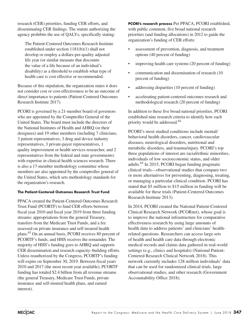research (CER) priorities, funding CER efforts, and disseminating CER findings. The statute authorizing the agency prohibits the use of QALYs, specifically stating:

The Patient-Centered Outcomes Research Institute established under section 1181(b)(1) shall not develop or employ a dollars-per-quality adjusted life year (or similar measure that discounts the value of a life because of an individual's disability) as a threshold to establish what type of health care is cost effective or recommended.

Because of this stipulation, the organization states it does not consider cost or cost-effectiveness to be an outcome of direct importance to patients (Patient-Centered Outcomes Research Institute 2017).

PCORI is governed by a 21-member board of governors who are appointed by the Comptroller General of the United States. The board must include the directors of the National Institutes of Health and AHRQ (or their designees) and 19 other members (including 7 clinicians, 3 patient representatives, 3 drug and device industry representatives, 3 private-payer representatives, 1 quality improvement or health services researcher, and 2 representatives from the federal and state governments) with expertise in clinical health sciences research. There is also a 17-member methodology committee whose members are also appointed by the comptroller general of the United States, which sets methodology standards for the organization's research.

#### **The Patient-Centered Outcomes Research Trust Fund**

PPACA created the Patient-Centered Outcomes Research Trust Fund (PCORTF) to fund CER efforts between fiscal year 2010 and fiscal year 2019 from three funding streams: appropriations from the general Treasury, transfers from the Medicare Trust Funds, and a fee assessed on private insurance and self-insured health plans.63 On an annual basis, PCORI receives 80 percent of PCORTF's funds, and HHS receives the remainder. The majority of HHS's funding goes to AHRQ and supports CER dissemination and research capacity–building efforts. Unless reauthorized by the Congress, PCORTF's funding will expire on September 30, 2019. Between fiscal years 2010 and 2017 (the most recent year available), PCORTF funding has totaled \$2.4 billion from all revenue streams (the general Treasury, Medicare Trust Funds, private insurance and self-insured health plans, and earned interest).

**PCORI's research process** Per PPACA, PCORI established, with public comment, five broad national research priorities (and funding allocations) in 2012 to guide the organization's funding of CER efforts:

- assessment of prevention, diagnosis, and treatment options (40 percent of funding)
- improving health care systems (20 percent of funding)
- communication and dissemination of research (10) percent of funding)
- addressing disparities (10 percent of funding)
- accelerating patient-centered outcomes research and methodological research (20 percent of funding)

In addition to these five broad national priorities, PCORI established nine research criteria to identify how each priority would be addressed.64

PCORI's most studied conditions include mental/ behavioral health disorders, cancer, cardiovascular diseases, neurological disorders, nutritional and metabolic disorders, and trauma/injury. PCORI's top three populations of interest are racial/ethnic minorities, individuals of low socioeconomic status, and older adults.65 In 2015, PCORI began funding pragmatic clinical trials—observational studies that compare two or more alternatives for preventing, diagnosing, treating, or managing a particular clinical condition. PCORI has stated that \$5 million to \$15 million in funding will be available for these trials (Patient-Centered Outcomes Research Institute 2013).

In 2014, PCORI created the National Patient-Centered Clinical Research Network (PCORnet), whose goal is to improve the national infrastructure for comparative effectiveness research by using large amounts of health data to address patients' and clinicians' healthrelated questions. Researchers can access large sets of health and health care data through electronic medical records and claims data gathered in real-world settings (e.g., clinics and hospitals) (National Patient-Centered Research Clinical Network 2018). This network currently includes 128 million individuals' data that can be used for randomized clinical trials, large observational studies, and other research (Government Accountability Office 2018).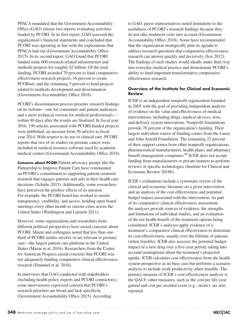PPACA mandated that the Government Accountability Office (GAO) release two reports evaluating activities funded by PCORI. In its first report, GAO assessed the organization's financial statements and concluded that PCORI was operating in line with the expectations that PPACA laid out (Government Accountability Office 2015). In its second report, GAO found that PCORI funded some 600 research-related infrastructure and methods projects for roughly \$2 billion. Of the total funding, PCORI awarded 79 percent to fund comparativeeffectiveness research projects, 16 percent to create PCORnet, and the remaining 5 percent to fund projects related to methods development and dissemination (Government Accountability Office 2018).

PCORI's dissemination process presents research findings on its website—one for consumers and patient audiences and a more technical version for medical professionals within 90 days after the results are finalized. In fiscal year 2016, 190 articles associated with PCORI-funded projects were published, an increase from 56 articles in fiscal year 2014. With respect to its use in clinical care, PCORI reports that two of its studies on prostate cancer were included in medical resource software used by academic medical centers (Government Accountability Office 2018).

**Concerns about PCORI** Patient advocacy groups like the Partnership to Improve Patient Care have commented on PCORI's commitment to supporting patient-centered research that engages patients and aids in their health care decisions (Schulte 2015). Additionally, some researchers have perceived the positive effects of its mission. For example, the PCORI board has worked to ensure transparency, credibility, and access, holding open board meetings every other month in various cities across the United States (Washington and Lipstein 2011).

However, some organizations and researchers from different political perspectives have raised concerns about PCORI. Mazur and colleagues noted that less than onethird of PCORI studies involve or are relevant to primary care—the largest patient care platform in the United States (Mazur et al. 2016). Researchers from the Center for American Progress raised concerns that PCORI was not adequately funding comparative clinical effectiveness research (Emanuel et al. 2016).

In interviews that GAO conducted with stakeholders (including health policy experts and PCORI contractors), some interviewees expressed concern that PCORI's research priorities are broad and lack specificity (Government Accountability Office 2015). According

to GAO, payer representatives noted limitations to the usefulness of PCORI's research findings because they do not take treatment costs into account (Government Accountability Office 2018). Some have recommended that the organization strategically plan its agenda to address research questions that comparative-effectiveness research can answer quickly and decisively (Sox 2012). The findings of such studies would ideally make their way into everyday medical practice and demonstrate PCORI's ability to fund important transformative comparativeeffectiveness research.

#### **Overview of the Institute for Clinical and Economic Review**

ICER is an independent nonprofit organization founded in 2005 with the goal of providing independent analysis of evidence on the value and effectiveness of medical interventions, including drugs, medical devices, tests, and delivery system innovations. Nonprofit foundations provide 78 percent of the organization's funding. Their largest individual source of funding comes from the Laura and John Arnold Foundation. The remaining 22 percent of their support comes from other nonprofit organizations, pharmaceutical manufacturers, health plans, and pharmacy benefit management companies.<sup>66</sup> ICER does not accept funding from manufacturers or private insurers to perform reviews of specific technologies (Institute for Clinical and Economic Review 2018b).

ICER's evaluations include a systematic review of the clinical and economic literature on a given intervention and an analysis of the cost-effectiveness and potential budget impact associated with the intervention. As part of its comparative clinical effectiveness assessment, the analyses provide sources of evidence, the strengths and limitations of individual studies, and an evaluation of the net health benefit of the treatment options being considered. ICER's analyses apply evidence of a treatment's comparative clinical effectiveness to determine its cost-effectiveness, usually over the lifetime of patients (when feasible). ICER also assesses the potential budget impact of a new drug over a five-year period, taking into account assumptions about the treatment's projected uptake. ICER calculates cost-effectiveness from the health system perspective as its base case but performs a scenario analysis to include work productivity when feasible. The primary measure of ICER's cost-effectiveness analysis is the QALY; other measures, such as the cost per life-year gained and cost per avoided event (e.g., stroke), are also reported.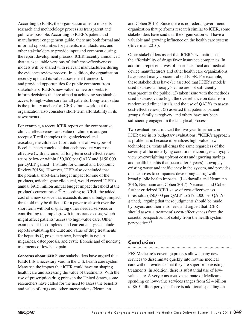According to ICER, the organization aims to make its research and methodology process as transparent and public as possible. According to ICER's patient and manufacturer engagement guide, there are both formal and informal opportunities for patients, manufacturers, and other stakeholders to provide input and comment during the report development process. ICER recently announced that its executable versions of draft cost-effectiveness models will be shared with relevant manufacturers during the evidence review process. In addition, the organization recently updated its value assessment framework and provided opportunities for public comment from stakeholders. ICER's new value framework seeks to inform decisions that are aimed at achieving sustainable access to high-value care for all patients. Long-term value is the primary anchor for ICER's framework, but the organization also considers short-term affordability in its assessments.

For example, a recent ICER report on the comparative clinical effectiveness and value of chimeric antigen receptor T-cell therapies (tisagenlecleucel and axicabtagene ciloleucel) for treatment of two types of B-cell cancers concluded that each product was costeffective (with incremental long-term cost-effectiveness ratios below or within \$50,000 per QALY and \$150,000 per QALY gained) (Institute for Clinical and Economic Review 2018a). However, ICER also concluded that the potential short-term budget impact for one of the products, axicabtagene ciloleucel, would exceed ICER's annual \$915 million annual budget impact threshold at the product's current price.<sup>67</sup> According to ICER, the added cost of a new service that exceeds its annual budget impact threshold may be difficult for a payer to absorb over the short term without displacing other needed services or contributing to a rapid growth in insurance costs, which might affect patients' access to high-value care. Other examples of its completed and current analyses include reports evaluating the CER and value of drug treatments for hepatitis C, prostate cancer, hemophilia type A, migraines, osteoporosis, and cystic fibrosis and of nondrug treatments of low back pain.

**Concerns about ICER** Some stakeholders have argued that ICER fills a necessary void in the U.S. health care system. Many see the impact that ICER could have on shaping health care and assessing the value of treatments. With the rise of prescription drug prices in the United States, some researchers have called for the need to assess the benefits and value of drugs and other interventions (Neumann

and Cohen 2015). Since there is no federal government organization that performs research similar to ICER, some stakeholders have said that the organization will have a valuable and growing influence on the health care system (Silverman 2016).

Other stakeholders assert that ICER's evaluations of the affordability of drugs favor insurance companies. In addition, representatives of pharmaceutical and medical device manufacturers and other health care organizations have raised many concerns about ICER. For example, these stakeholders have (1) asserted that ICER's models used to assess a therapy's value are not sufficiently transparent to the public; (2) taken issue with the methods used to assess value (e.g., the overreliance on data from randomized clinical trials and the use of QALYs to assess cost-effectiveness); (3) asserted that patients, patient groups, family caregivers, and others have not been sufficiently engaged in the analytical process.

Two evaluations criticized the five-year time horizon ICER uses in its budgetary evaluations: "ICER's approach is problematic because it penalizes high-value new technologies, treats all drugs the same regardless of the severity of the underlying condition, encourages a myopic view (overweighting upfront costs and ignoring savings and health benefits that occur after 5 years), downplays existing waste and inefficiency in the system, and provides disincentives to companies developing a drug with broad public health impacts" (Lakdawalla and Neumann 2016, Neumann and Cohen 2017). Neumann and Cohen further criticized ICER's use of cost-effectiveness thresholds (\$50,000 per QALY to \$175,000 per QALY gained), arguing that these judgments should be made by payers and their enrollees, and argued that ICER should assess a treatment's cost-effectiveness from the societal perspective, not solely from the health system perspective.<sup>68</sup>

# **Conclusion**

FFS Medicare's coverage process allows many new services to disseminate quickly into routine medical care without evidence that they are superior to existing treatments. In addition, there is substantial use of lowvalue care. A very conservative estimate of Medicare spending on low-value services ranges from \$2.4 billion to \$6.5 billion per year. There is additional spending on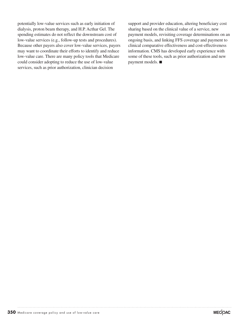potentially low-value services such as early initiation of dialysis, proton beam therapy, and H.P. Acthar Gel. The spending estimates do not reflect the downstream cost of low-value services (e.g., follow-up tests and procedures). Because other payers also cover low-value services, payers may want to coordinate their efforts to identify and reduce low-value care. There are many policy tools that Medicare could consider adopting to reduce the use of low-value services, such as prior authorization, clinician decision

support and provider education, altering beneficiary cost sharing based on the clinical value of a service, new payment models, revisiting coverage determinations on an ongoing basis, and linking FFS coverage and payment to clinical comparative effectiveness and cost-effectiveness information. CMS has developed early experience with some of these tools, such as prior authorization and new payment models. ■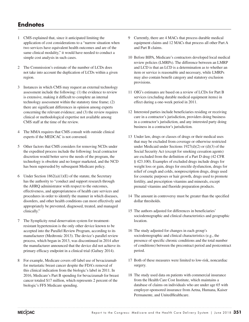# **Endnotes**

- 1 CMS explained that, since it anticipated limiting the application of cost considerations to a "narrow situation when two services have equivalent health outcomes and are of the same clinical modality," it would have needed to conduct a simple cost analysis in such cases.
- 2 The Commission's estimate of the number of LCDs does not take into account the duplication of LCDs within a given region.
- 3 Instances in which CMS may request an external technology assessment include the following: (1) the evidence to review is extensive, making it difficult to complete an internal technology assessment within the statutory time frame; (2) there are significant differences in opinion among experts concerning the relevant evidence; and (3) the review requires clinical or methodological expertise not available among CMS staff at the time of the review.
- 4 The MMA requires that CMS consult with outside clinical experts if the MEDCAC is not convened.
- 5 Other factors that CMS considers for removing NCDs under the expedited process include the following: local contractor discretion would better serve the needs of the program, the technology is obsolete and no longer marketed, and the NCD has been superseded by subsequent Medicare policy.
- 6 Under Section  $1862(a)(1)(E)$  of the statute, the Secretary has the authority to "conduct and support research through the AHRQ administrator with respect to the outcomes, effectiveness, and appropriateness of health care services and procedures in order to identify the manner in which diseases, disorders, and other health conditions can most effectively and appropriately be prevented, diagnosed, treated, and managed clinically."
- 7 The Symplicity renal denervation system for treatmentresistant hypertension is the only other device known to be accepted into the Parallel Review Program, according to its manufacturer (Medtronic 2013). The device's parallel review process, which began in 2013, was discontinued in 2014 after the manufacturer announced that the device did not achieve its primary efficacy endpoint in a clinical trial (Gafney 2014).
- 8 For example, Medicare covers off-label use of bevacizumab for metastatic breast cancer despite the FDA's removal of this clinical indication from the biologic's label in 2011. In 2016, Medicare's Part B spending for bevacizumab for breast cancer totaled \$17 million, which represents 2 percent of the biologic's FFS Medicare spending.
- Currently, there are 4 MACs that process durable medical equipment claims and 12 MACs that process all other Part A and Part B claims.
- 10 Before BIPA, Medicare's contractors developed local medical review policies (LMRPs). The difference between an LMRP and LCD is that an LCD is a determination as to whether an item or service is reasonable and necessary, while LMRPs may also contain benefit category and statutory exclusion provisions.
- 11 OIG's estimates are based on a review of LCDs for Part B services (excluding durable medical equipment items) in effect during a one-week period in 2011.
- 12 Interested parties include beneficiaries residing or receiving care in a contractor's jurisdiction, providers doing business in a contractor's jurisdiction, and any interested party doing business in a contractor's jurisdiction.
- 13 Under law, drugs or classes of drugs or their medical uses that may be excluded from coverage or otherwise restricted under Medicaid under Sections 1927(d)(2) or (d)(3) of the Social Security Act (except for smoking cessation agents) are excluded from the definition of a Part D drug (42 CFR § 423.100). Examples of excluded drugs include drugs for weight loss or gain, drugs for erectile dysfunction, drugs for relief of cough and colds, nonprescription drugs, drugs used for cosmetic purposes or hair growth, drugs used to promote fertility, and prescription vitamins and minerals, except prenatal vitamins and fluoride preparation products.
- 14 The amount in controversy must be greater than the specified dollar thresholds.
- 15 The authors adjusted for differences in beneficiaries' sociodemographic and clinical characteristics and geographic location.
- 16 The study adjusted for changes in each group's sociodemographic and clinical characteristics (e.g., the presence of specific chronic conditions and the total number of conditions) between the precontract period and postcontract period.
- 17 Both of these measures were limited to low-risk, noncardiac surgery.
- 18 The study used data on patients with commercial insurance from the Health Care Cost Institute, which maintains a database of claims on individuals who are under age 65 with employer-sponsored insurance from Aetna, Humana, Kaiser Permanente, and UnitedHealthcare.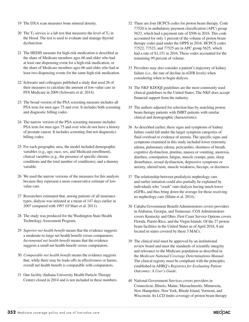- 19 The DXA scan measures bone mineral density.
- 20 The  $T_3$  service is a lab test that measures the level of  $T_3$  in the blood. The test is used to evaluate and manage thyroid dysfunction.
- 21 The HEDIS measure for high-risk medication is described as the share of Medicare members ages 66 and older who had at least one dispensing event for a high-risk medication, or the share of Medicare members ages 66 and older who had at least two dispensing events for the same high-risk medication.
- 22 Schwartz and colleagues published a study that used 26 of their measures to calculate the amount of low-value care in FFS Medicare in 2009 (Schwartz et al. 2014).
- 23 The broad version of the PSA screening measure includes all PSA tests for men ages 75 and over. It includes both screening and diagnostic billing codes.
- 24 The narrow version of the PSA screening measure includes PSA tests for men ages 75 and over who do not have a history of prostate cancer. It includes screening (but not diagnostic) billing codes.
- 25 For each geographic area, the model included demographic variables (e.g., age, race, sex, and Medicaid enrollment), clinical variables (e.g., the presence of specific chronic conditions and the total number of conditions), and a dummy variable.
- 26 We used the narrow versions of the measures for this analysis because they represent a more conservative estimate of lowvalue care.
- 27 Researchers estimated that, among patients of all insurance types, dialysis was initiated at a mean of 147 days earlier in 2007 compared with 1997 (O'Hare et al. 2011).
- 28 The study was produced for the Washington State Health Technology Assessment Program.
- 29 *Superior net health benefit* means that the evidence suggests a moderate-to-large net health benefit versus comparators. *Incremental net health benefit* means that the evidence suggests a small net health benefit versus comparators.
- 30 *Comparable net health benefit* means the evidence suggests that, while there may be trade-offs in effectiveness or harms, overall net health benefit is comparable with comparators.
- 31 One facility (Indiana University Health Particle Therapy Center) closed in 2014 and is not included in these numbers.
- 32 There are four HCPCS codes for proton beam therapy. Code 77520 is in ambulatory payment classification (APC) group 5623, which had a payment rate of \$506 in 2016. This code accounted for only 1 percent of the volume of proton beam therapy codes paid under the OPPS in 2016. HCPCS codes 77522, 77523, and 77525 are in APC group 5625, which had a rate of \$1,151 in 2016. These codes accounted for the remaining 99 percent of volume.
- 33 Providers may also consider a patient's trajectory of kidney failure (i.e., the rate of decline in eGFR levels) when considering when to begin dialysis.
- 34 The NKF KDOQI guidelines are the most commonly used clinical guidelines in the United States. The NKF does accept financial support from the industry.
- 35 The authors adjusted for selection bias by matching proton beam therapy patients with IMRT patients with similar clinical and demographic characteristics.
- 36 As described earlier, these signs and symptoms of kidney failure could fall under the larger symptom categories of fluid overload or evidence of uremia. The specific signs and symptoms examined in this study included lower extremity edema, pulmonary edema, pericarditis, shortness of breath, cognitive dysfunction, pruritus, nausea or vomiting, anorexia, diarrhea, constipation, fatigue, muscle cramps, pain, sleep disturbance, sexual dysfunction, depressive symptoms or anxiety, altered taste, muscle weakness, hiccups, or dizziness.
- 37 The relationship between predialysis nephrology care and earlier initiation could also partially be explained by individuals who "crash" onto dialysis having much lower eGFRs, and thus bring down the average for those receiving no nephrology care (Slinin et al. 2014).
- 38 Cahaba Government Benefit Administrators covers providers in Alabama, Georgia, and Tennessee. CGS Administrators covers Kentucky and Ohio. First Coast Service Options covers Florida, Puerto Rico, and the Virgin Islands. Of the 27 proton beam facilities in the United States as of April 2018, 8 are located in states covered by these 3 MACs.
- 39 The clinical trial must be approved by an institutional review board and meet the standards of scientific integrity and relevance to the Medicare population as described in the *Medicare National Coverage Determinations Manual*. The clinical registry must be compliant with the principles established in AHRQ's *Registries for Evaluating Patient Outcomes: A User's Guide*.
- 40 National Government Services covers providers in Connecticut, Illinois, Maine, Massachusetts, Minnesota, New Hampshire, New York, Rhode Island, Vermont, and Wisconsin. Its LCD limits coverage of proton beam therapy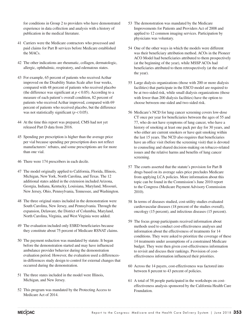for conditions in Group 2 to providers who have demonstrated experience in data collection and analysis with a history of publication in the medical literature.

- 41 Carriers were the Medicare contractors who processed and paid claims for Part B services before Medicare established the MACs.
- 42 The other indications are rheumatic, collagen, dermatologic, allergic, ophthalmic, respiratory, and edematous states.
- 43 For example, 65 percent of patients who received Acthar improved on the Disability Status Scale after four weeks, compared with 48 percent of patients who received placebo (the difference was significant at  $p < 0.05$ ). According to a measure of each patient's overall condition, 82 percent of patients who received Acthar improved, compared with 69 percent of patients who received placebo, but the difference was not statistically significant  $(p < 0.05)$ .
- 44 At the time this report was prepared, CMS had not yet released Part D data from 2016.
- 45 Spending per prescription is higher than the average price per vial because spending per prescription does not reflect manufacturers' rebates, and some prescriptions are for more than one vial.
- 46 There were 174 prescribers in each decile.
- 47 The model originally applied to California, Florida, Illinois, Michigan, New York, North Carolina, and Texas. The 12 additional states added in the extension included Arizona, Georgia, Indiana, Kentucky, Louisiana, Maryland, Missouri, New Jersey, Ohio, Pennsylvania, Tennessee, and Washington.
- 48 The three original states included in the demonstration were South Carolina, New Jersey, and Pennsylvania. Through the expansion, Delaware, the District of Columbia, Maryland, North Carolina, Virginia, and West Virginia were added.
- 49 The evaluation included only ESRD beneficiaries because they constitute about 75 percent of Medicare RSNAT claims.
- 50 The payment reduction was mandated by statute. It began before the demonstration started and may have influenced ambulance provider behavior during the demonstration evaluation period. However, the evaluation used a differencesin-differences study design to control for external changes that occurred during the demonstration.
- 51 The three states included in the model were Illinois, Michigan, and New Jersey.
- 52 This program was mandated by the Protecting Access to Medicare Act of 2014.
- 53 The demonstration was mandated by the Medicare Improvements for Patients and Providers Act of 2008 and applied to 12 common imaging services. Participation by physicians was voluntary.
- 54 One of the other ways in which the models were different was their beneficiary attribution method. ACOs in the Pioneer ACO Model had beneficiaries attributed to them prospectively (at the beginning of the year), while MSSP ACOs had beneficiaries attributed to them retrospectively (at the end of the year).
- 55 Large dialysis organizations (those with 200 or more dialysis facilities) that participate in the ESCO model are required to be at two-sided risk, while small dialysis organizations (those with fewer than 200 dialysis facilities) have the option to choose between one-sided and two-sided risk.
- 56 Medicare's NCD for lung cancer screening covers low-dose CT once per year for beneficiaries between the ages of 55 and 77, who do not have symptoms of lung cancer, who have a history of smoking at least one pack per day for 30 years, and who either are current smokers or have quit smoking within the last 15 years. The NCD also requires that beneficiaries have an office visit (before the screening visit) that is devoted to counseling and shared decision-making on tobacco-related issues and the relative harms and benefits of lung cancer screening.
- 57 The courts asserted that the statute's provision for Part B drugs based on its average sales price precludes Medicare from applying LCA policies. More information about this topic can be found in the Commission's June 2010 report to the Congress (Medicare Payment Advisory Commission 2010).
- 58 In terms of diseases studied, cost-utility studies evaluated cardiovascular diseases (18 percent of the studies overall), oncology (15 percent), and infectious diseases (15 percent).
- 59 The focus group participants received information about methods used to conduct cost-effectiveness analyses and information about the effectiveness of treatments for 14 conditions. They were asked to prioritize the coverage of these 14 treatments under assumptions of a constrained Medicare budget. They were then given cost-effectiveness information to revisit and discuss their rankings. Provision of costeffectiveness information influenced their priorities.
- 60 Across the 14 payers, cost-effectiveness was factored into between 8 percent to 43 percent of policies.
- 61 A total of 58 people participated in the workshops on costeffectiveness analysis sponsored by the California Health Care Foundation.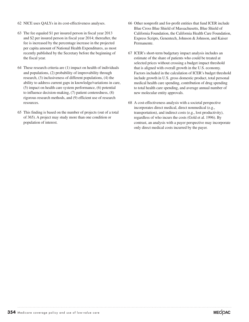- 62 NICE uses QALYs in its cost-effectiveness analyses.
- 63 The fee equaled \$1 per insured person in fiscal year 2013 and \$2 per insured person in fiscal year 2014; thereafter, the fee is increased by the percentage increase in the projected per capita amount of National Health Expenditures, as most recently published by the Secretary before the beginning of the fiscal year.
- 64 These research criteria are (1) impact on health of individuals and populations, (2) probability of improvability through research, (3) inclusiveness of different populations, (4) the ability to address current gaps in knowledge/variations in care, (5) impact on health care system performance, (6) potential to influence decision-making, (7) patient centeredness, (8) rigorous research methods, and (9) efficient use of research resources.
- 65 This finding is based on the number of projects (out of a total of 365). A project may study more than one condition or population of interest.
- 66 Other nonprofit and for-profit entities that fund ICER include Blue Cross Blue Shield of Massachusetts, Blue Shield of California Foundation, the California Health Care Foundation, Express Scripts, Genentech, Johnson & Johnson, and Kaiser Permanente.
- 67 ICER's short-term budgetary impact analysis includes an estimate of the share of patients who could be treated at selected prices without crossing a budget impact threshold that is aligned with overall growth in the U.S. economy. Factors included in the calculation of ICER's budget threshold include growth in U.S. gross domestic product, total personal medical health care spending, contribution of drug spending to total health care spending, and average annual number of new molecular entity approvals.
- 68 A cost-effectiveness analysis with a societal perspective incorporates direct medical, direct nonmedical (e.g., transportation), and indirect costs (e.g., lost productivity), regardless of who incurs the costs (Gold et al. 1996). By contrast, an analysis with a payer perspective may incorporate only direct medical costs incurred by the payer.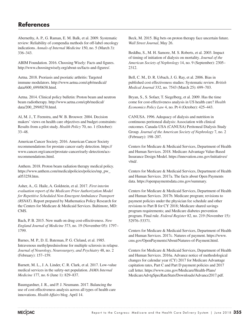# **References**

Abernethy, A. P., G. Raman, E. M. Balk, et al. 2009. Systematic review: Reliability of compendia methods for off-label oncology indications. *Annals of Internal Medicine* 150, no. 5 (March 3): 336–343.

ABIM Foundation. 2016. Choosing Wisely: Facts and figures. http://www.choosingwisely.org/about-us/facts-and-figures/.

Aetna. 2018. Psoriasis and psoriatic arthritis: Targeted immune modulators. http://www.aetna.com/cpb/medical/ data/600\_699/0658.html.

Aetna. 2014. Clinical policy bulletin: Proton beam and neutron beam radiotherapy. http://www.aetna.com/cpb/medical/ data/200\_299/0270.html.

Al, M. J., T. Feenstra, and W. B. Brouwer. 2004. Decision makers' views on health care objectives and budget constraints: Results from a pilot study. *Health Policy* 70, no. 1 (October): 33–48.

American Cancer Society. 2016. American Cancer Society recommendations for prostate cancer early detection. https:// www.cancer.org/cancer/prostate-cancer/early-detection/acsrecommendations.html.

Anthem. 2018. Proton beam radiation therapy medical policy. https://www.anthem.com/medicalpolicies/policies/mp\_pw\_ a053258.htm.

Asher, A., G. Haile, A. Goldstein, et al. 2017. *First interim evaluation report of the Medicare Prior Authorization Model for Repetitive Scheduled Non-Emergent Ambulance Transport (RSNAT)*. Report prepared by Mathematica Policy Research for the Centers for Medicare & Medicaid Services. Baltimore, MD: CMS.

Bach, P. B. 2015. New math on drug cost-effectiveness. *New England Journal of Medicine* 373, no. 19 (November 05): 1797– 1799.

Barnes, M. P., D. E. Bateman, P. G. Cleland, et al. 1985. Intravenous methylprednisolone for multiple sclerosis in relapse. *Journal of Neurology, Neurosurgery, and Psychiatry* 48, no. 2 (February): 157–159.

Barnett, M. L., J. A. Linder, C. R. Clark, et al. 2017. Low-value medical services in the safety-net population. *JAMA Internal Medicine* 177, no. 6 (June 1): 829–837.

Baumgardner, J. R., and P. J. Neumann. 2017. Balancing the use of cost effectiveness analysis across all types of health care innovations. *Health Affairs* blog. April 14.

Beck, M. 2015. Big bets on proton therapy face uncertain future. *Wall Street Journal*, May 26.

Beddhu, S., M. H. Samore, M. S. Roberts, et al. 2003. Impact of timing of initiation of dialysis on mortality. *Journal of the American Society of Nephrology* 14, no. 9 (September): 2305– 2312.

Bell, C. M., D. R. Urbach, J. G. Ray, et al. 2006. Bias in published cost effectiveness studies: Systematic review. *British Medical Journal* 332, no. 7543 (March 25): 699–703.

Bryan, S., S. Sofaer, T. Siegelberg, et al. 2009. Has the time come for cost-effectiveness analysis in US health care? *Health Economics Policy Law* 4, no. Pt 4 (October): 425–443.

CANUSA. 1996. Adequacy of dialysis and nutrition in continuous peritoneal dialysis: Association with clinical outcomes. Canada-USA (CANUSA) Peritoneal Dialysis Study Group. *Journal of the American Society of Nephrology* 7, no. 2 (February): 198–207.

Centers for Medicare & Medicaid Services, Department of Health and Human Services. 2018. Medicare Advantage Value-Based Insurance Design Model. https://innovation.cms.gov/initiatives/ vbid/.

Centers for Medicare & Medicaid Services, Department of Health and Human Services. 2017a. The facts about Open Payments data. https://openpaymentsdata.cms.gov/summary.

Centers for Medicare & Medicaid Services, Department of Health and Human Services. 2017b. Medicare program; revisions to payment policies under the physician fee schedule and other revisions to Part B for CY 2018; Medicare shared savings program requirements; and Medicare diabetes prevention program. Final rule. *Federal Register* 82, no. 219 (November 15): 52976–53371.

Centers for Medicare & Medicaid Services, Department of Health and Human Services. 2017c. Natures of payment. https://www. cms.gov/OpenPayments/About/Natures-of-Payment.html.

Centers for Medicare & Medicaid Services, Department of Health and Human Services. 2016a. Advance notice of methodological changes for calendar year (CY) 2017 for Medicare Advantage capitation rates, Part C and Part D payment policies and 2017 call letter. https://www.cms.gov/Medicare/Health-Plans/ MedicareAdvtgSpecRateStats/Downloads/Advance2017.pdf.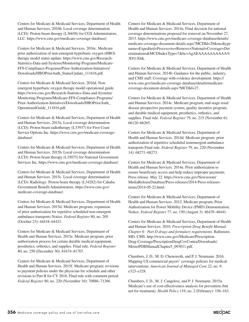Centers for Medicare & Medicaid Services, Department of Health and Human Services. 2016b. Local coverage determination (LCD): Proton beam therapy (L36658) for CGS Administrators, LLC. https://www.cms.gov/medicare-coverage-database/.

Centers for Medicare & Medicaid Services. 2016c. Medicare prior authorization of non-emergent hyperbaric oxygen (HBO) therapy model status update. https://www.cms.gov/Research-Statistics-Data-and-Systems/Monitoring-Programs/Medicare-FFS-Compliance-Programs/Prior-Authorization-Initiatives/ Downloads/HBOPriorAuth\_StatusUpdate\_111616.pdf.

Centers for Medicare & Medicaid Services. 2016d. Nonemergent hyperbaric oxygen therapy model operational guide. https://www.cms.gov/Research-Statistics-Data-and-Systems/ Monitoring-Programs/Medicare-FFS-Compliance-Programs/ Prior-Authorization-Initiatives/Downloads/HBOPriorAuth\_ OperationalGuide\_111816.pdf.

Centers for Medicare & Medicaid Services, Department of Health and Human Services. 2015a. Local coverage determination (LCD): Proton beam radiotherapy (L33937) for First Coast Service Options Inc. https://www.cms.gov/medicare-coveragedatabase/.

Centers for Medicare & Medicaid Services, Department of Health and Human Services. 2015b. Local coverage determination (LCD): Proton beam therapy (L35075) for National Government Services Inc. https://www.cms.gov/medicare-coverage-database/.

Centers for Medicare & Medicaid Services, Department of Health and Human Services. 2015c. Local coverage determination (LCD): Radiology: Proton beam therapy (L34282) for Cahaba Government Benefit Administrators. https://www.cms.gov/ medicare-coverage-database/.

Centers for Medicare & Medicaid Services, Department of Health and Human Services. 2015d. Medicare program; expansion of prior authorization for repetitive scheduled non-emergent ambulance transports Notice. *Federal Register* 80, no. 205 (October 23): 64418–64421.

Centers for Medicare & Medicaid Services, Department of Health and Human Services. 2015e. Medicare program; prior authorization process for certain durable medical equipment, prosthetics, orthotics, and supplies. Final rule. *Federal Register* 80, no. 250 (December 30): 81674–81707.

Centers for Medicare & Medicaid Services, Department of Health and Human Services. 2015f. Medicare program; revisions to payment policies under the physician fee schedule and other revisions to Part B for CY 2016. Final rule with comment period. *Federal Register* 80, no. 220 (November 16): 70886–71386.

Centers for Medicare & Medicaid Services, Department of Health and Human Services. 2014a. Final decision for national coverage determinations proposed for removal on November 27, 2013. https://www.cms.gov/medicare-coverage-database/details/ medicare-coverage-document-details.aspx?MCDId=29&mcdtype name=Expedited+Process+to+Remove+National+Coverage+Det erminations&MCDIndexType=7&bc=AgAEAAAAAAAAAA% 3D%3D&.

Centers for Medicare & Medicaid Services, Department of Health and Human Services. 2014b. Guidance for the public, industry, and CMS staff: Coverage with evidence development. https:// www.cms.gov/medicare-coverage-database/details/medicarecoverage-document-details.aspx?MCDId=27.

Centers for Medicare & Medicaid Services, Department of Health and Human Services. 2014c. Medicare program; end-stage renal disease prospective payment system, quality incentive program, and durable medical equipment, prosthetics, orthotics, and supplies. Final rule. *Federal Register* 79, no. 215 (November 6): 66120–66265.

Centers for Medicare & Medicaid Services, Department of Health and Human Services. 2014d. Medicare program: prior authorization of repetitive scheduled nonemergent ambulance transports Final rule. *Federal Register* 79, no. 220 (November 14): 68271–68273.

Centers for Medicare & Medicaid Services, Department of Health and Human Services. 2014e. Prior authorization to ensure beneficiary access and help reduce improper payments. Press release. May 22. https://www.cms.gov/Newsroom/ MediaReleaseDatabase/Press-releases/2014-Press-releasesitems/2014-05-22.html.

Centers for Medicare & Medicaid Services, Department of Health and Human Services. 2012. Medicare program; Prior Authorization for Power Mobility Device (PMD) Demonstration. Notice. *Federal Register* 77, no. 150 (August 3): 46439–46441.

Centers for Medicare & Medicaid Services, Department of Health and Human Services. 2010. *Prescription Drug Benefit Manual. Chapter 6: Part D drugs and formulary requirements*. Baltimore, MD: CMS. http://www.cms.gov/Medicare/Prescription-Drug-Coverage/PrescriptionDrugCovContra/Downloads/ MemoPDBManualChapter5\_093011.pdf.

Chambers, J. D., M. D. Chenoweth, and P. J. Neumann. 2016. Mapping US commercial payers' coverage policies for medical interventions. *American Journal of Managed Care* 22, no. 9: e323–e328.

Chambers, J. D., M. J. Cangelosi, and P. J. Neumann. 2015a. Medicare's use of cost-effectiveness analysis for prevention (but not for treatment). *Health Policy* 119, no. 2 (February): 156–163.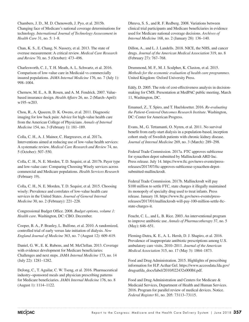Chambers, J. D., M. D. Chenoweth, J. Pyo, et al. 2015b. Changing face of Medicare's national coverage determinations for technology. *International Journal of Technology Asssessment in Health Care* 31, no. 5: 1–8.

Chan, K. S., E. Chang, N. Nassery, et al. 2013. The state of overuse measurement: A critical review. *Medical Care Research and Review* 70, no. 5 (October): 473–496.

Charlesworth, C. J., T. H. Meath, A. L. Schwartz, et al. 2016. Comparison of low-value care in Medicaid vs commercially insured populations. *JAMA Internal Medicine* 176, no. 7 (July 1): 998–1004.

Chernew, M. E., A. B. Rosen, and A. M. Fendrick. 2007. Valuebased insurance design. *Health Affairs* 26, no. 2 (March–April): w195–w203.

Chou, R., A. Qaseem, D. K. Owens, et al. 2011. Diagnostic imaging for low back pain: Advice for high-value health care from the American College of Physicians. *Annals of Internal Medicine* 154, no. 3 (February 1): 181–189.

Colla, C. H., A. J. Mainor, C. Hargreaves, et al. 2017a. Interventions aimed at reducing use of low-value health services: A systematic review. *Medical Care Research and Review* 74, no. 5 (October): 507–550.

Colla, C. H., N. E. Morden, T. D. Sequist, et al. 2017b. Payer type and low-value care: Comparing Choosing Wisely services across commercial and Medicare populations. *Health Services Research* (February 19).

Colla, C. H., N. E. Morden, T. D. Sequist, et al. 2015. Choosing wisely: Prevalence and correlates of low-value health care services in the United States. *Journal of General Internal Medicine* 30, no. 2 (February): 221–228.

Congressional Budget Office. 2008. *Budget options, volume 1: Health care*. Washington, DC: CBO. December.

Cooper, B. A., P. Branley, L. Bulfone, et al. 2010. A randomized, controlled trial of early versus late initiation of dialysis. *New England Journal of Medicine* 363, no. 7 (August 12): 609–619.

Daniel, G. W., E. K. Rubens, and M. McClellan. 2013. Coverage with evidence development for Medicare beneficiaries: Challenges and next steps. *JAMA Internal Medicine* 173, no. 14 (July 22): 1281–1282.

DeJong, C., T. Aguilar, C. W. Tseng, et al. 2016. Pharmaceutical industry-sponsored meals and physician prescribing patterns for Medicare beneficiaries. *JAMA Internal Medicine* 176, no. 8 (August 1): 1114–1122.

Dhruva, S. S., and R. F. Redberg. 2008. Variations between clinical trial participants and Medicare beneficiaries in evidence used for Medicare national coverage decisions. *Archives of Internal Medicine* 168, no. 2 (January 28): 136–140.

Dillon, A., and L. J. Landells. 2018. NICE, the NHS, and cancer drugs. *Journal of the American Medical Association* 319, no. 8 (February 27): 767–768.

Drummond, M. F., M. J. Sculpher, K. Claxton, et al. 2015. *Methods for the economic evaluation of health care programmes*. United Kingdom: Oxford University Press.

Eddy, D. 2005. The role of cost-effectiveness analysis in decisionmaking for CMS. Presentation at MedPAC public meeting, March 11, Washington, DC.

Emanuel, Z., T. Spiro, and T. Huelskoetter. 2016. *Re-evaluating the Patient-Centered Outcomes Research Institute*. Washington, DC: Center for American Progress.

Evans, M., G. Tettamanti, O. Nyren, et al. 2011. No survival benefit from early-start dialysis in a population-based, inception cohort study of Swedish patients with chronic kidney disease. *Journal of Internal Medicine* 269, no. 3 (March): 289–298.

Federal Trade Commission. 2017a. FTC approves sublicense for synacthen depot submitted by Mallinckrodt ARD Inc. Press release. July 14. https://www.ftc.gov/news-events/pressreleases/2017/07/ftc-approves-sublicense-synacthen-depotsubmitted-mallinckrodt.

Federal Trade Commission. 2017b. Mallinckrodt will pay \$100 million to settle FTC, state charges it illegally maintained its monopoly of specialty drug used to treat infants. Press release. January 18. https://www.ftc.gov/news-events/pressreleases/2017/01/mallinckrodt-will-pay-100-million-settle-ftcstate-charges-it.

Feucht, C. L., and L. B. Rice. 2003. An interventional program to improve antibiotic use. *Annals of Pharmacotherapy* 37, no. 5 (May): 646–651.

Fleming-Dutra, K. E., A. L. Hersh, D. J. Shapiro, et al. 2016. Prevalence of inappropriate antibiotic prescriptions among U.S. ambulatory care visits, 2010–2011. *Journal of the American Medical Association* 315, no. 17 (May 3): 1864–1873.

Food and Drug Administration. 2015. Highlights of prescribing information for H.P. Acthar Gel. https://www.accessdata.fda.gov/ drugsatfda\_docs/label/2010/022432s000lbl.pdf.

Food and Drug Administration and Centers for Medicare & Medicaid Services, Department of Health and Human Services. 2016. Program for parallel review of medical devices. Notice. *Federal Register* 81, no. 205: 73113–73115.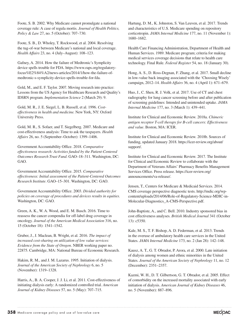Foote, S. B. 2002. Why Medicare cannot promulgate a national coverage rule: A case of regula mortis. *Journal of Health Politics, Policy & Law* 27, no. 5 (October): 707–730.

Foote, S. B., D. Wholey, T. Rockwood, et al. 2004. Resolving the tug-of-war between Medicare's national and local coverage. *Health Affairs* 23, no. 4 (July–August): 108–123.

Gafney, A. 2014. How the failure of Medtronic's Symplicity device spells trouble for FDA. https://www.raps.org/regulatoryfocus%E2%84%A2/news-articles/2014/1/how-the-failure-ofmedtronic-s-symplicity-device-spells-trouble-for-fda.

Gold, M., and E. F. Taylor. 2007. Moving research into practice: Lessons from the US Agency for Healthcare Research and Quality's IDSRN program. *Implementation Science* 2 (March 29): 9.

Gold, M. R., J. E. Siegel, L. B. Russell, et al. 1996. *Costeffectiveness in health and medicine.* New York, NY: Oxford University Press.

Gold, M. R., S. Sofaer, and T. Siegelberg. 2007. Medicare and cost-effectiveness analysis: Time to ask the taxpayers. *Health Affairs* 26, no. 5 (September–October): 1399–1406.

Government Accountability Office. 2018. *Comparative effectiveness research: Activities funded by the Patient-Centered Outcomes Research Trust Fund*. GAO–18–311. Washington, DC: GAO.

Government Accountability Office. 2015. *Comparative effectiveness: Initial assessment of the Patient-Centered Outcomes Research Institute*. GAO–15–301. Washington, DC: GAO.

Government Accountability Office. 2003. *Divided authority for policies on coverage of procedures and devices results in equities*. Washington, DC: GAO.

Green, A. K., W. A. Wood, and E. M. Basch. 2016. Time to reassess the cancer compendia for off-label drug coverage in oncology. *Journal of the American Medical Association* 316, no. 15 (October 18): 1541–1542.

Gruber, J., J. Maclean, B. Wright, et al. 2016. *The impact of increased cost-sharing on utilization of low value services: Evidence from the State of Oregon*. NBER working paper no. 22875. Cambridge, MA: National Bureau of Economic Research.

Hakim, R. M., and J. M. Lazarus. 1995. Initiation of dialysis. *Journal of the American Society of Nephrology* 6, no. 5 (November): 1319–1328.

Harris, A., B. A. Cooper, J. J. Li, et al. 2011. Cost-effectiveness of initiating dialysis early: A randomized controlled trial. *American Journal of Kidney Diseases* 57, no. 5 (May): 707–715.

Hartung, D. M., K. Johnston, S. Van Leuven, et al. 2017. Trends and characteristics of U.S. Medicare spending on repository corticotropin. *JAMA Internal Medicine* 177, no. 11 (November 1): 1680–1682.

Health Care Financing Administration, Department of Health and Human Services. 1989. Medicare program; criteria for making medical services coverage decisions that relate to health care technology. Final Rule. *Federal Register* 54, no. 18 (January 30).

Hong, A. S., D. Ross-Degnan, F. Zhang, et al. 2017. Small decline in low-value back imaging associated with the 'Choosing Wisely' campaign, 2012–14. *Health Affairs* 36, no. 4 (April 1): 671–679.

Huo, J., C. Shen, R. J. Volk, et al. 2017. Use of CT and chest radiography for lung cancer screening before and after publication of screening guidelines: Intended and unintended uptake. *JAMA Internal Medicine* 177, no. 3 (March 1): 439–441.

Institute for Clinical and Economic Review. 2018a. *Chimeric antigen receptor T-cell therapy for B-cell cancers: Effectiveness and value*. Boston, MA: ICER.

Institute for Clinical and Economic Review. 2018b. Sources of funding, updated January 2018. https://icer-review.org/about/ support/.

Institute for Clinical and Economic Review. 2017. The Institute for Clinical and Economic Review to collaborate with the Department of Veterans Affairs' Pharmacy Benefits Management Services Office. Press release. https://icer-review.org/ announcements/va-release/.

Jensen, T., Centers for Medicare & Medicaid Services. 2014. CMS coverage perspective diagnostic tests. http://mdic.org/wpcontent/uploads/2014/06/Role-of-Regulatory-Science-MDIC-in-Molecular-Diagnostics\_A-CMS-Perspective.pdf.

John-Baptiste, A., and C. Bell. 2010. Industry sponsored bias in cost effectiveness analyses. *British Medical Journal* 341 (October 13): c5350.

Kale, M. S., T. F. Bishop, A. D. Federman, et al. 2013. Trends in the overuse of ambulatory health care services in the United States. *JAMA Internal Medicine* 173, no. 2 (Jan 28): 142–148.

Kausz, A. T., G. T. Obrador, P. Arora, et al. 2000. Late initiation of dialysis among women and ethnic minorities in the United States. *Journal of the American Society of Nephrology* 11, no. 12 (December): 2351–2357.

Kazmi, W. H., D. T. Gilbertson, G. T. Obrador, et al. 2005. Effect of comorbidity on the increased mortality associated with early initiation of dialysis. *American Journal of Kidney Diseases* 46, no. 5 (November): 887–896.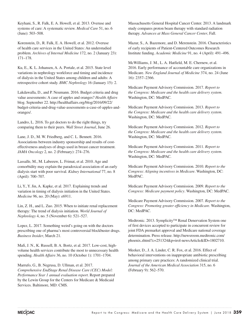Keyhani, S., R. Falk, E. A. Howell, et al. 2013. Overuse and systems of care: A systematic review. *Medical Care* 51, no. 6 (June): 503–508.

Korenstein, D., R. Falk, E. A. Howell, et al. 2012. Overuse of health care services in the United States: An understudied problem. *Archives of Internal Medicine* 172, no. 2 (January 23): 171–178.

Ku, E., K. L. Johansen, A. A. Portale, et al. 2015. State level variations in nephrology workforce and timing and incidence of dialysis in the United States among children and adults: A retrospective cohort study. *BMC Nephrology* 16 (January 15): 2.

Lakdawalla, D., and P. Neumann. 2016. Budget criteria and drug value assessments: A case of apples and oranges? *Health Affairs* blog. September 22. http://healthaffairs.org/blog/2016/09/22/ budget-criteria-and-drug-value-assessments-a-case-of-apples-andoranges/.

Landro, L. 2016. To get doctors to do the right things, try comparing them to their peers. *Wall Street Journal*, June 26.

Lane, J. D., M. W. Friedberg, and C. L. Bennett. 2016. Associations between industry sponsorship and results of costeffectiveness analyses of drugs used in breast cancer treatment. *JAMA Oncology* 2, no. 2 (February): 274–276.

Lassalle, M., M. Labeeuw, L. Frimat, et al. 2010. Age and comorbidity may explain the paradoxical association of an early dialysis start with poor survival. *Kidney International* 77, no. 8 (April): 700–707.

Li, Y., Y. Jin, A. Kapke, et al. 2017. Explaining trends and variation in timing of dialysis initiation in the United States. *Medicine* 96, no. 20 (May): e6911.

Lin, Z. H., and L. Zuo. 2015. When to initiate renal replacement therapy: The trend of dialysis initiation. *World Journal of Nephrology* 4, no. 5 (November 6): 521–527.

Lopez, L. 2017. Something weird's going on with the doctors prescribing one of pharma's most controversial blockbuster drugs. *Business Insider*, March 21.

Mafi, J. N., K. Russell, B. A. Bortz, et al. 2017. Low-cost, highvolume health services contribute the most to unnecessary health spending. *Health Affairs* 36, no. 10 (October 1): 1701–1704.

Marrufo, G., B. Negrusa, D. Ullman, et al. 2017. *Comprehensive EndStage Renal Disease Care (CEC) Model: Performance Year 1 annual evaluation report*. Report prepared by the Lewin Group for the Centers for Medicare & Medicaid Services. Baltimore, MD: CMS.

Massachusetts General Hospital Cancer Center. 2013. A landmark study compares proton beam therapy with standard radiation therapy. *Advances at Mass General Cancer Center*, Fall.

Mazur, S., A. Bazemore, and D. Merenstein. 2016. Characteristics of early recipients of Patient-Centered Outcomes Research Institute funding. *Academic Medicine* 91, no. 4 (April): 491–496.

McWilliams, J. M., L. A. Hatfield, M. E. Chernew, et al. 2016. Early performance of accountable care organizations in Medicare. *New England Journal of Medicine* 374, no. 24 (June 16): 2357–2366.

Medicare Payment Advisory Commission. 2017. *Report to the Congress: Medicare and the health care delivery system*. Washington, DC: MedPAC.

Medicare Payment Advisory Commission. 2013. *Report to the Congress: Medicare and the health care delivery system*. Washington, DC: MedPAC.

Medicare Payment Advisory Commission. 2012. *Report to the Congress: Medicare and the health care delivery system*. Washington, DC: MedPAC.

Medicare Payment Advisory Commission. 2011. *Report to the Congress: Medicare and the health care delivery system*. Washington, DC: MedPAC.

Medicare Payment Advisory Commission. 2010. *Report to the Congress: Aligning incentives in Medicare*. Washington, DC: MedPAC.

Medicare Payment Advisory Commission. 2009. *Report to the Congress: Medicare payment policy*. Washington, DC: MedPAC.

Medicare Payment Advisory Commission. 2007. *Report to the Congress: Promoting greater efficiency in Medicare*. Washington, DC: MedPAC.

Medtronic. 2013. Symplicity™ Renal Denervation System one of first devices accepted to participate in concurrent review for joint FDA premarket approval and Medicare national coverage determination. Press release. http://newsroom.medtronic.com/ phoenix.zhtml?c=251324&p=irol-newsArticle&ID=1802710.

Meeker, D., J. A. Linder, C. R. Fox, et al. 2016. Effect of behavioral interventions on inappropriate antibiotic prescribing among primary care practices: A randomized clinical trial. *Journal of the American Medical Association* 315, no. 6 (February 9): 562–570.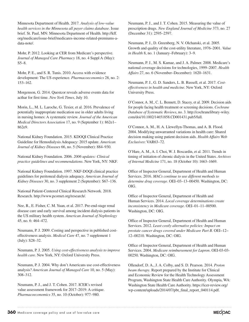Minnesota Department of Health. 2017. *Analysis of low-value health services in the Minnesota all payer claims database*. Issue brief. St. Paul, MN: Minnesota Department of Health. http://kff. org/medicare/issue-brief/medicares-income-related-premiums-adata-note/.

Mohr, P. 2012. Looking at CER from Medicare's perspective. *Journal of Managed Care Pharmacy* 18, no. 4 Suppl A (May): S5–8.

Mohr, P. E., and S. R. Tunis. 2010. Access with evidence development: The US experience. *Pharmacoeconomics* 28, no. 2: 153–162.

Morgenson, G. 2014. Questcor reveals adverse events data for acthar for first time. *New York Times*, July 10.

Morin, L., M. L. Laroche, G. Texier, et al. 2016. Prevalence of potentially inappropriate medication use in older adults living in nursing homes: A systematic review. *Journal of the American Medical Directors Association* 17, no. 9 (September 1): 862e1– 862e9.

National Kidney Foundation. 2015. KDOQI Clinical Practice Guideline for Hemodialysis Adequacy: 2015 update. *American Journal of Kidney Diseases* 66, no. 5 (November): 884–930.

National Kidney Foundation. 2006. *2006 updates: Clinical practice guidelines and recommendations*. New York, NY: NKF.

National Kidney Foundation. 1997. NKF-DOQI clinical practice guidelines for peritoneal dialysis adequacy. *American Journal of Kidney Diseases* 30, no. 3 supplement 2 (September): S67–136.

National Patient-Centered Clinical Research Network. 2018. Research. http://www.pcornet.org/research/.

Nee, R., E. Fisher, C. M. Yuan, et al. 2017. Pre-end-stage renal disease care and early survival among incident dialysis patients in the US military health system. *American Journal of Nephrology* 45, no. 6: 464–472.

Neumann, P. J. 2009. Costing and perspective in published costeffectiveness analysis. *Medical Care* 47, no. 7 supplement 1 (July): S28–32.

Neumann, P. J. 2005. *Using cost-effectiveness analysis to improve health care.* New York, NY: Oxford University Press.

Neumann, P. J. 2004. Why don't Americans use cost-effectiveness analysis? *American Journal of Managed Care* 10, no. 5 (May): 308–312.

Neumann, P. J., and J. T. Cohen. 2017. ICER's revised value assessment framework for 2017–2019: A critique. *Pharmacoeconomics* 35, no. 10 (October): 977–980.

Neumann, P. J., and J. T. Cohen. 2015. Measuring the value of prescription drugs. *New England Journal of Medicine* 373, no. 27 (December 31): 2595–2597.

Neumann, P. J., D. Greenberg, N. V. Olchanski, et al. 2005. Growth and quality of the cost-utility literature, 1976–2001. *Value in Health* 8, no. 1 (January–February): 3–9.

Neumann, P. J., M. S. Kamae, and J. A. Palmer. 2008. Medicare's national coverage decisions for technologies, 1999–2007. *Health Affairs* 27, no. 6 (November–December): 1620–1631.

Neumann, P. J., G. D. Sanders, L. B. Russell, et al. 2017. *Costeffectiveness in health and medicine*. New York, NY: Oxford University Press.

O'Connor, A. M., C. L. Bennett, D. Stacey, et al. 2009. Decision aids for people facing health treatment or screening decisions. *Cochrane Database of Systematic Reviews*, no. 3. http://cochranelibrary-wiley. com/doi/10.1002/14651858.CD001431.pub5/full.

O'Connor, A. M., H. A. Llewellyn-Thomas, and A. B. Flood. 2004. Modifying unwarranted variations in health care: Shared decision making using patient decision aids. *Health Affairs Web Exclusives*: VAR63–72.

O'Hare, A. M., A. I. Choi, W. J. Boscardin, et al. 2011. Trends in timing of initiation of chronic dialysis in the United States. *Archives of Internal Medicine* 171, no. 18 (October 10): 1663–1669.

Office of Inspector General, Department of Health and Human Services. 2016. *MACs continue to use different methods to determine drug coverage*. OEI–03–13–00450. Washington, DC: OIG.

Office of Inspector General, Department of Health and Human Services. 2014. *Local coverage determinations create inconsistency in Medicare coverage*. OEI–01–11–00500. Washington, DC: OIG.

Office of Inspector General, Department of Health and Human Services. 2012. *Least costly alternative policies: Impact on prostate cancer drugs covered under Medicare Part B*. OEI-12- 12-00210. Washington, DC: OIG.

Office of Inspector General, Department of Health and Human Services. 2004. *Medicare reimbursement for Lupron*. OEI-03-03- 00250. Washington, DC: OIG.

Ollendorf, D. A., J. A. Colby, and S. D. Pearson. 2014. *Proton beam therapy*. Report prepared by the Institute for Clinical and Economic Review for the Health Technology Assessment Program, Washington State Health Care Authority. Olympia, WA: Washington State Health Care Authority. https://icer-review.org/ wp-content/uploads/2014/07/pbt\_final\_report\_040114.pdf.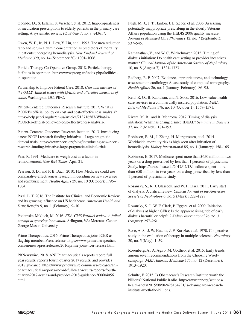Opondo, D., S. Eslami, S. Visscher, et al. 2012. Inappropriateness of medication prescriptions to elderly patients in the primary care setting: A systematic review. *PLoS One* 7, no. 8: e43617.

Owen, W. F., Jr., N. L. Lew, Y. Liu, et al. 1993. The urea reduction ratio and serum albumin concentration as predictors of mortality in patients undergoing hemodialysis. *New England Journal of Medicine* 329, no. 14 (September 30): 1001–1006.

Particle Therapy Co-Operative Group. 2018. Particle therapy facilities in operation. https://www.ptcog.ch/index.php/facilitiesin-operation.

Partnership to Improve Patient Care. 2018. *Uses and misuses of the QALY: Ethical issues with QALYs and alterative measures of value*. Washington, DC: PIPC.

Patient-Centered Outcomes Research Institute. 2017. What is PCORI's official policy on cost and cost-effectiveness analysis? https://help.pcori.org/hc/en-us/articles/213716587-What-is-PCORI-s-official-policy-on-cost-effectiveness-analysis-.

Patient-Centered Outcomes Research Institute. 2013. Introducing a new PCORI research funding initiative—Large pragmatic clinical trials. https://www.pcori.org/blog/introducing-new-pcoriresearch-funding-initiative-large-pragmatic-clinical-trials.

Pear, R. 1991. Medicare to weigh cost as a factor in reimbursement. *New York Times*, April 21.

Pearson, S. D., and P. B. Bach. 2010. How Medicare could use comparative effectiveness research in deciding on new coverage and reimbursement. *Health Affairs* 29, no. 10 (October): 1796– 1804.

Pizzi, L. T. 2016. The Institute for Clinical and Economic Review and its growing influence on US healthcare. *American Health and Drug Benefits* 9, no. 1 (February): 9–10.

Podemska-Mikluch, M. 2016. *FDA-CMS Parallel review: A failed attempt at spurring innovation*. Arlington, VA: Mercatus Center George Mason University.

Prime Therapeutics. 2016. Prime Therapeutics joins ICER as flagship member. Press release. https://www.primetherapeutics. com/en/news/pressreleases/2016/prime-joins-icer-release.html.

PRNewswire. 2018. ANI Pharmaceuticals reports record full year results, reports fourth quarter 2017 results, and provides 2018 guidance. https://www.prnewswire.com/news-releases/anipharmaceuticals-reports-record-full-year-results-reports-fourthquarter-2017-results-and-provides-2018-guidance-300604056. html.

Pugh, M. J., J. T. Hanlon, J. E. Zeber, et al. 2006. Assessing potentially inappropriate prescribing in the elderly Veterans Affairs population using the HEDIS 2006 quality measure. *Journal of Managed Care Pharmacy* 12, no. 7 (September): 537–545.

Ramanathan, V., and W. C. Winkelmayer. 2015. Timing of dialysis initiation: Do health care setting or provider incentives matter? *Clinical Journal of the American Society of Nephrology* 10, no. 8 (August 7): 1321–1323.

Redberg, R. F. 2007. Evidence, appropriateness, and technology assessment in cardiology: A case study of computed tomography. *Health Affairs* 26, no. 1 (January–February): 86–95.

Reid, R. O., B. Rabideau, and N. Sood. 2016. Low-value health care services in a commercially insured population. *JAMA Internal Medicine* 176, no. 10 (October 1): 1567–1571.

Rivara, M. B., and R. Mehrotra. 2017. Timing of dialysis initiation: What has changed since IDEAL? *Seminars in Dialysis* 37, no. 2 (March): 181–193.

Robinson, B. M., J. Zhang, H. Morgenstern, et al. 2014. Worldwide, mortality risk is high soon after initiation of hemodialysis. *Kidney International* 85, no. 1 (January): 158–165.

Robinson, E. 2017. Medicare spent more than \$650 million in two years on a drug prescribed by less than 1 percents of physicians: Study. https://news.ohsu.edu/2017/02/13/medicare-spent-morethan-650-million-in-two-years-on-a-drug-prescribed-by-less-than-1-percent-of-physicians:-study.

Rosansky, S., R. J. Glassock, and W. F. Clark. 2011. Early start of dialysis: A critical review. *Clinical Journal of the American Society of Nephrology* 6, no. 5 (May): 1222–1228.

Rosansky, S. J., W. F. Clark, P. Eggers, et al. 2009. Initiation of dialysis at higher GFRs: Is the apparent rising tide of early dialysis harmful or helpful? *Kidney International* 76, no. 3 (August): 257–261.

Rose, A. S., J. W. Kuzma, J. F. Kurtzke, et al. 1970. Cooperative study in the evaluation of therapy in multiple sclerosis. *Neurology* 20, no. 5 (May): 1–59.

Rosenberg, A., A. Agiro, M. Gottlieb, et al. 2015. Early trends among seven recommendations from the Choosing Wisely campaign. *JAMA Internal Medicine* 175, no. 12 (December): 1913–1920.

Schulte, F. 2015. Is Obamacare's Research Institute worth the billions? National Public Radio. http://www.npr.org/sections/ health-shots/2015/08/04/428164731/is-obamacares-researchinstitute-worth-the-billions.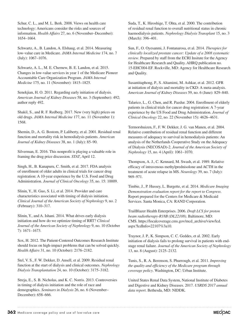Schur, C. L., and M. L. Berk. 2008. Views on health care technology: Americans consider the risks and sources of information. *Health Affairs* 27, no. 6 (November–December): 1654–1664.

Schwartz, A., B. Landon, A. Elshaug, et al. 2014. Measuring low-value care in Medicare. *JAMA Internal Medicine* 174, no. 7 (July): 1067–1076.

Schwartz, A. L., M. E. Chernew, B. E. Landon, et al. 2015. Changes in low-value services in year 1 of the Medicare Pioneer Accountable Care Organization Program. *JAMA Internal Medicine* 175, no. 11 (November): 1815–1825.

Senekjian, H. O. 2011. Regarding early initiation of dialysis. *American Journal of Kidney Diseases* 58, no. 3 (September): 492; author reply 492.

Shakil, S., and R. F. Redberg. 2017. New (very high) prices on old drugs. *JAMA Internal Medicine* 177, no. 11 (November 1): 1568.

Shemin, D., A. G. Bostom, P. Laliberty, et al. 2001. Residual renal function and mortality risk in hemodialysis patients. *American Journal of Kidney Diseases* 38, no. 1 (July): 85–90.

Silverman, E. 2016. This nonprofit is playing a valuable role in framing the drug price discussion. *STAT*, April 12.

Singh, H., B. Kanapuru, C. Smith, et al. 2017. FDA analysis of enrollment of older adults in clinical trials for cancer drug registration: A 10-year experience by the U.S. Food and Drug Administration. *Journal of Clinical Oncology* 35, no. 15: 10009.

Slinin, Y., H. Guo, S. Li, et al. 2014. Provider and care characteristics associated with timing of dialysis initiation. *Clinical Journal of the American Society of Nephrology* 9, no. 2 (February): 310–317.

Slinin, Y., and A. Ishani. 2014. What drives early dialysis initiation and how do we optimize timing of RRT? *Clinical Journal of the American Society of Nephrology* 9, no. 10 (October 7): 1671–1673.

Sox, H. 2012. The Patient-Centered Outcomes Research Institute should focus on high-impact problems that can be solved quickly. *Health Affairs* 31, no. 10 (October): 2176–2182.

Stel, V. S., F. W. Dekker, D. Ansell, et al. 2009. Residual renal function at the start of dialysis and clinical outcomes. *Nephrology Dialysis Transplantation* 24, no. 10 (October): 3175–3182.

Streja, E., S. B. Nicholas, and K. C. Norris. 2013. Controversies in timing of dialysis initiation and the role of race and demographics. *Seminars in Dialysis* 26, no. 6 (November– December): 658–666.

Suda, T., K. Hiroshige, T. Ohta, et al. 2000. The contribution of residual renal function to overall nutritional status in chronic haemodialysis patients. *Nephrology Dialysis Transplant* 15, no. 3 (March): 396–401.

Sun, F., O. Oyesanmi, J. Fontanarosa, et al. 2014. *Therapies for clinically localized prostate cancer: Update of a 2008 systematic review*. Prepared by staff from the ECRI Insitute for the Agency for Healthcare Research and Quality. AHRQ publication no. 15-EHC004-EF. Rockville, MD: Agency for Healthcare Research and Quality.

Susantitaphong, P., S. Altamimi, M. Ashkar, et al. 2012. GFR at initiation of dialysis and mortality in CKD: A meta-analysis. *American Journal of Kidney Diseases* 59, no. 6 (June): 829–840.

Talarico, L., G. Chen, and R. Pazdur. 2004. Enrollment of elderly patients in clinical trials for cancer drug registration: A 7-year experience by the US Food and Drug Administration. *Journal of Clinical Oncology* 22, no. 22 (November 15): 4626–4631.

Termorshuizen, F., F. W. Dekker, J. G. van Manen, et al. 2004. Relative contribution of residual renal function and different measures of adequacy to survival in hemodialysis patients: An analysis of the Netherlands Cooperative Study on the Adequacy of Dialysis (NECOSAD)-2. *Journal of the American Society of Nephrology* 15, no. 4 (April): 1061–1070.

Thompson, A. J., C. Kennard, M. Swash, et al. 1989. Relative efficacy of intravenous methylprednisolone and ACTH in the treatment of acute relapse in MS. *Neurology* 39, no. 7 (July): 969–971.

Timbie, J., P. Hussey, L. Burgette, et al. 2014. *Medicare Imaging Demonstration evaluation report for the report to Congress*. Report prepared for the Centers for Medicare & Medicaid Services. Santa Monica, CA: RAND Corporation.

TrailBlazer Health Enterprises. 2006. *Draft LCS for proton beam radiotherapy-R18B (DL22108)*. Baltimore, MD: CMS. https://localcoverage.cms.gov/mcd\_archive/view/lcd. aspx?lcdInfo=22107%3a10.

Traynor, J. P., K. Simpson, C. C. Geddes, et al. 2002. Early initiation of dialysis fails to prolong survival in patients with endstage renal failure. *Journal of the American Society of Nephrology* 13, no. 8 (August): 2125–2132.

Tunis, S., R. A. Berenson, S. Phurrough, et al. 2011. *Improving the quality and efficiency of the Medicare program through coverage policy*. Washington, DC: Urban Institute.

United States Renal Data System, National Institute of Diabetes and Digestive and Kidney Diseases. 2017. *USRDS 2017 annual data report*. Bethesda, MD: NIDDK.